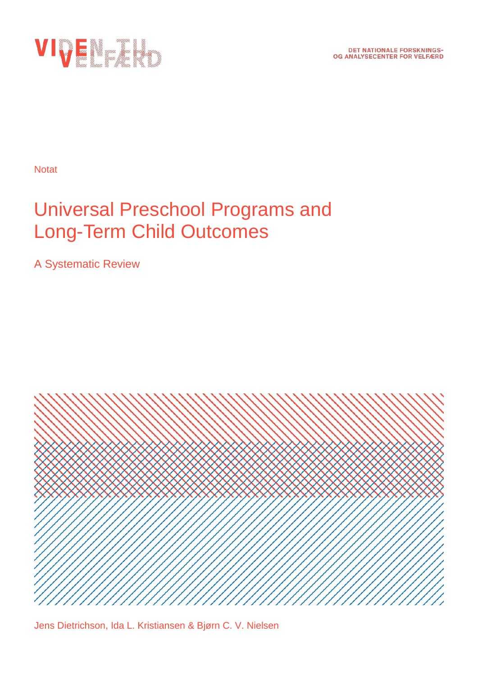

**Notat** 

# Universal Preschool Programs and Long-Term Child Outcomes

A Systematic Review



Jens Dietrichson, Ida L. Kristiansen & Bjørn C. V. Nielsen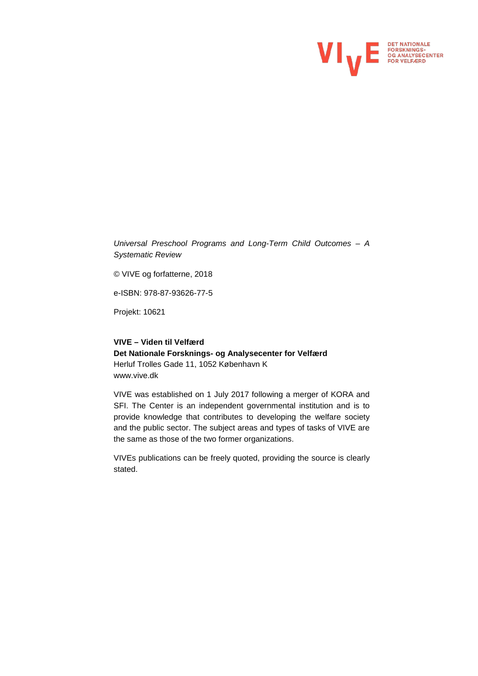

*Universal Preschool Programs and Long-Term Child Outcomes – A Systematic Review*

© VIVE og forfatterne, 2018

e-ISBN: 978-87-93626-77-5

Projekt: 10621

#### **VIVE – Viden til Velfærd Det Nationale Forsknings- og Analysecenter for Velfærd** Herluf Trolles Gade 11, 1052 København K www.vive.dk

VIVE was established on 1 July 2017 following a merger of KORA and SFI. The Center is an independent governmental institution and is to provide knowledge that contributes to developing the welfare society and the public sector. The subject areas and types of tasks of VIVE are the same as those of the two former organizations.

VIVEs publications can be freely quoted, providing the source is clearly stated.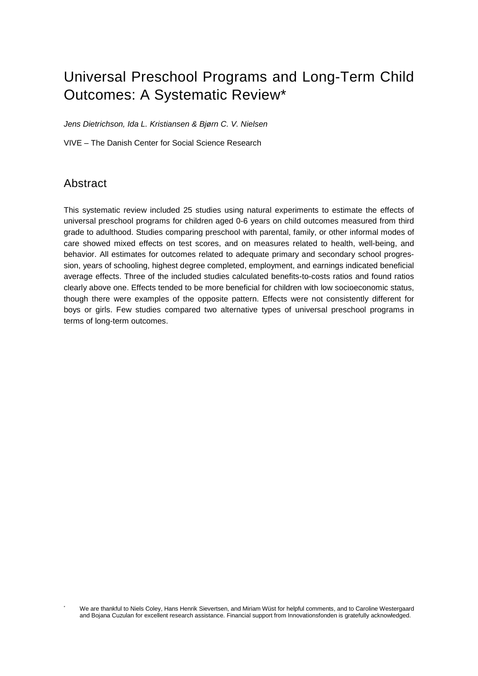## Universal Preschool Programs and Long-Term Child Outcomes: A Systematic Review[\\*](#page-2-0)

*Jens Dietrichson, Ida L. Kristiansen & Bjørn C. V. Nielsen*

VIVE – The Danish Center for Social Science Research

#### Abstract

This systematic review included 25 studies using natural experiments to estimate the effects of universal preschool programs for children aged 0-6 years on child outcomes measured from third grade to adulthood. Studies comparing preschool with parental, family, or other informal modes of care showed mixed effects on test scores, and on measures related to health, well-being, and behavior. All estimates for outcomes related to adequate primary and secondary school progression, years of schooling, highest degree completed, employment, and earnings indicated beneficial average effects. Three of the included studies calculated benefits-to-costs ratios and found ratios clearly above one. Effects tended to be more beneficial for children with low socioeconomic status, though there were examples of the opposite pattern. Effects were not consistently different for boys or girls. Few studies compared two alternative types of universal preschool programs in terms of long-term outcomes.

<span id="page-2-0"></span>We are thankful to Niels Coley, Hans Henrik Sievertsen, and Miriam Wüst for helpful comments, and to Caroline Westergaard and Bojana Cuzulan for excellent research assistance. Financial support from Innovationsfonden is gratefully acknowledged.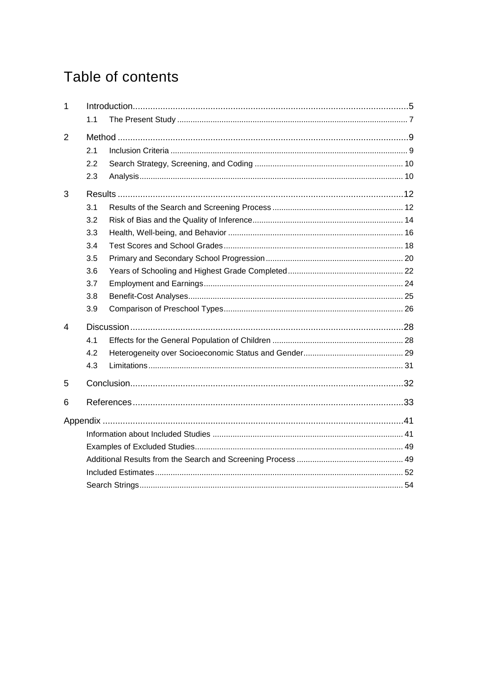## Table of contents

| $\mathbf{1}$ |     |  |
|--------------|-----|--|
|              | 1.1 |  |
| 2            |     |  |
|              | 2.1 |  |
|              | 2.2 |  |
|              | 2.3 |  |
| 3            |     |  |
|              | 3.1 |  |
|              | 3.2 |  |
|              | 3.3 |  |
|              | 3.4 |  |
|              | 3.5 |  |
|              | 3.6 |  |
|              | 3.7 |  |
|              | 3.8 |  |
|              | 3.9 |  |
| 4            |     |  |
|              | 4.1 |  |
|              | 4.2 |  |
|              | 4.3 |  |
| 5            |     |  |
| 6            |     |  |
|              |     |  |
|              |     |  |
|              |     |  |
|              |     |  |
|              |     |  |
|              |     |  |
|              |     |  |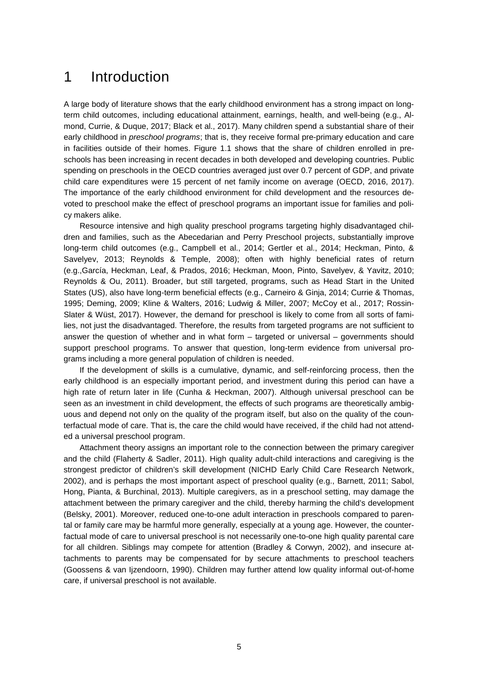### <span id="page-4-0"></span>1 Introduction

A large body of literature shows that the early childhood environment has a strong impact on longterm child outcomes, including educational attainment, earnings, health, and well-being (e.g., Almond, Currie, & Duque, 2017; Black et al., 2017). Many children spend a substantial share of their early childhood in *preschool programs*; that is, they receive formal pre-primary education and care in facilities outside of their homes. Figure 1.1 shows that the share of children enrolled in preschools has been increasing in recent decades in both developed and developing countries. Public spending on preschools in the OECD countries averaged just over 0.7 percent of GDP, and private child care expenditures were 15 percent of net family income on average (OECD, 2016, 2017). The importance of the early childhood environment for child development and the resources devoted to preschool make the effect of preschool programs an important issue for families and policy makers alike.

Resource intensive and high quality preschool programs targeting highly disadvantaged children and families, such as the Abecedarian and Perry Preschool projects, substantially improve long-term child outcomes (e.g., Campbell et al., 2014; Gertler et al., 2014; Heckman, Pinto, & Savelyev, 2013; Reynolds & Temple, 2008); often with highly beneficial rates of return (e.g.,García, Heckman, Leaf, & Prados, 2016; Heckman, Moon, Pinto, Savelyev, & Yavitz, 2010; Reynolds & Ou, 2011). Broader, but still targeted, programs, such as Head Start in the United States (US), also have long-term beneficial effects (e.g., Carneiro & Ginja, 2014; Currie & Thomas, 1995; Deming, 2009; Kline & Walters, 2016; Ludwig & Miller, 2007; McCoy et al., 2017; Rossin-Slater & Wüst, 2017). However, the demand for preschool is likely to come from all sorts of families, not just the disadvantaged. Therefore, the results from targeted programs are not sufficient to answer the question of whether and in what form – targeted or universal – governments should support preschool programs. To answer that question, long-term evidence from universal programs including a more general population of children is needed.

If the development of skills is a cumulative, dynamic, and self-reinforcing process, then the early childhood is an especially important period, and investment during this period can have a high rate of return later in life (Cunha & Heckman, 2007). Although universal preschool can be seen as an investment in child development, the effects of such programs are theoretically ambiguous and depend not only on the quality of the program itself, but also on the quality of the counterfactual mode of care. That is, the care the child would have received, if the child had not attended a universal preschool program.

Attachment theory assigns an important role to the connection between the primary caregiver and the child (Flaherty & Sadler, 2011). High quality adult-child interactions and caregiving is the strongest predictor of children's skill development (NICHD Early Child Care Research Network, 2002), and is perhaps the most important aspect of preschool quality (e.g., Barnett, 2011; Sabol, Hong, Pianta, & Burchinal, 2013). Multiple caregivers, as in a preschool setting, may damage the attachment between the primary caregiver and the child, thereby harming the child's development (Belsky, 2001). Moreover, reduced one-to-one adult interaction in preschools compared to parental or family care may be harmful more generally, especially at a young age. However, the counterfactual mode of care to universal preschool is not necessarily one-to-one high quality parental care for all children. Siblings may compete for attention (Bradley & Corwyn, 2002), and insecure attachments to parents may be compensated for by secure attachments to preschool teachers (Goossens & van Ijzendoorn, 1990). Children may further attend low quality informal out-of-home care, if universal preschool is not available.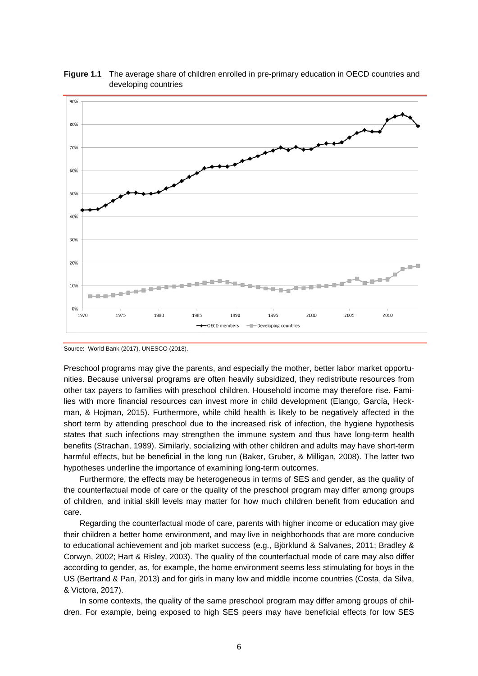

**Figure 1.1** The average share of children enrolled in pre-primary education in OECD countries and developing countries

Preschool programs may give the parents, and especially the mother, better labor market opportunities. Because universal programs are often heavily subsidized, they redistribute resources from other tax payers to families with preschool children. Household income may therefore rise. Families with more financial resources can invest more in child development (Elango, García, Heckman, & Hojman, 2015). Furthermore, while child health is likely to be negatively affected in the short term by attending preschool due to the increased risk of infection, the hygiene hypothesis states that such infections may strengthen the immune system and thus have long-term health benefits (Strachan, 1989). Similarly, socializing with other children and adults may have short-term harmful effects, but be beneficial in the long run (Baker, Gruber, & Milligan, 2008). The latter two hypotheses underline the importance of examining long-term outcomes.

Furthermore, the effects may be heterogeneous in terms of SES and gender, as the quality of the counterfactual mode of care or the quality of the preschool program may differ among groups of children, and initial skill levels may matter for how much children benefit from education and care.

Regarding the counterfactual mode of care, parents with higher income or education may give their children a better home environment, and may live in neighborhoods that are more conducive to educational achievement and job market success (e.g., Björklund & Salvanes, 2011; Bradley & Corwyn, 2002; Hart & Risley, 2003). The quality of the counterfactual mode of care may also differ according to gender, as, for example, the home environment seems less stimulating for boys in the US (Bertrand & Pan, 2013) and for girls in many low and middle income countries (Costa, da Silva, & Victora, 2017).

In some contexts, the quality of the same preschool program may differ among groups of children. For example, being exposed to high SES peers may have beneficial effects for low SES

Source: World Bank (2017), UNESCO (2018).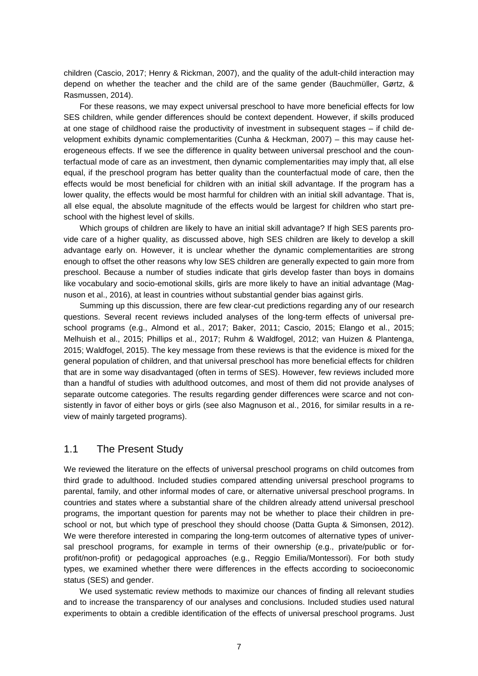children (Cascio, 2017; Henry & Rickman, 2007), and the quality of the adult-child interaction may depend on whether the teacher and the child are of the same gender (Bauchmüller, Gørtz, & Rasmussen, 2014).

For these reasons, we may expect universal preschool to have more beneficial effects for low SES children, while gender differences should be context dependent. However, if skills produced at one stage of childhood raise the productivity of investment in subsequent stages – if child development exhibits dynamic complementarities (Cunha & Heckman, 2007) – this may cause heterogeneous effects. If we see the difference in quality between universal preschool and the counterfactual mode of care as an investment, then dynamic complementarities may imply that, all else equal, if the preschool program has better quality than the counterfactual mode of care, then the effects would be most beneficial for children with an initial skill advantage. If the program has a lower quality, the effects would be most harmful for children with an initial skill advantage. That is, all else equal, the absolute magnitude of the effects would be largest for children who start preschool with the highest level of skills.

Which groups of children are likely to have an initial skill advantage? If high SES parents provide care of a higher quality, as discussed above, high SES children are likely to develop a skill advantage early on. However, it is unclear whether the dynamic complementarities are strong enough to offset the other reasons why low SES children are generally expected to gain more from preschool. Because a number of studies indicate that girls develop faster than boys in domains like vocabulary and socio-emotional skills, girls are more likely to have an initial advantage (Magnuson et al., 2016), at least in countries without substantial gender bias against girls.

Summing up this discussion, there are few clear-cut predictions regarding any of our research questions. Several recent reviews included analyses of the long-term effects of universal preschool programs (e.g., Almond et al., 2017; Baker, 2011; Cascio, 2015; Elango et al., 2015; Melhuish et al., 2015; Phillips et al., 2017; Ruhm & Waldfogel, 2012; van Huizen & Plantenga, 2015; Waldfogel, 2015). The key message from these reviews is that the evidence is mixed for the general population of children, and that universal preschool has more beneficial effects for children that are in some way disadvantaged (often in terms of SES). However, few reviews included more than a handful of studies with adulthood outcomes, and most of them did not provide analyses of separate outcome categories. The results regarding gender differences were scarce and not consistently in favor of either boys or girls (see also Magnuson et al., 2016, for similar results in a review of mainly targeted programs).

#### <span id="page-6-0"></span>1.1 The Present Study

We reviewed the literature on the effects of universal preschool programs on child outcomes from third grade to adulthood. Included studies compared attending universal preschool programs to parental, family, and other informal modes of care, or alternative universal preschool programs. In countries and states where a substantial share of the children already attend universal preschool programs, the important question for parents may not be whether to place their children in preschool or not, but which type of preschool they should choose (Datta Gupta & Simonsen, 2012). We were therefore interested in comparing the long-term outcomes of alternative types of universal preschool programs, for example in terms of their ownership (e.g., private/public or forprofit/non-profit) or pedagogical approaches (e.g., Reggio Emilia/Montessori). For both study types, we examined whether there were differences in the effects according to socioeconomic status (SES) and gender.

We used systematic review methods to maximize our chances of finding all relevant studies and to increase the transparency of our analyses and conclusions. Included studies used natural experiments to obtain a credible identification of the effects of universal preschool programs. Just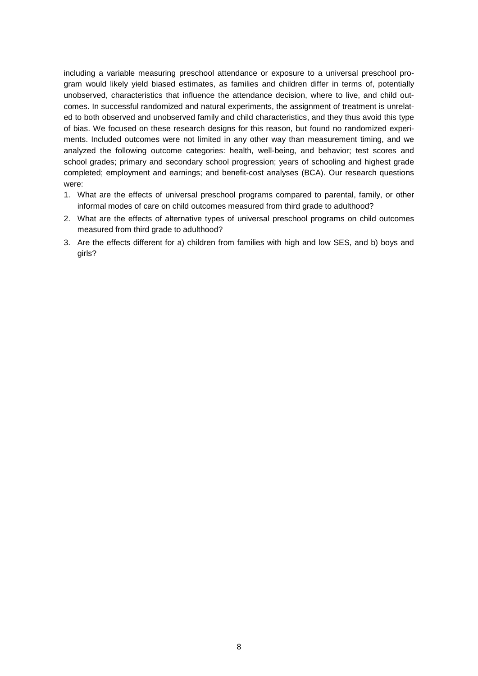including a variable measuring preschool attendance or exposure to a universal preschool program would likely yield biased estimates, as families and children differ in terms of, potentially unobserved, characteristics that influence the attendance decision, where to live, and child outcomes. In successful randomized and natural experiments, the assignment of treatment is unrelated to both observed and unobserved family and child characteristics, and they thus avoid this type of bias. We focused on these research designs for this reason, but found no randomized experiments. Included outcomes were not limited in any other way than measurement timing, and we analyzed the following outcome categories: health, well-being, and behavior; test scores and school grades; primary and secondary school progression; years of schooling and highest grade completed; employment and earnings; and benefit-cost analyses (BCA). Our research questions were:

- 1. What are the effects of universal preschool programs compared to parental, family, or other informal modes of care on child outcomes measured from third grade to adulthood?
- 2. What are the effects of alternative types of universal preschool programs on child outcomes measured from third grade to adulthood?
- 3. Are the effects different for a) children from families with high and low SES, and b) boys and girls?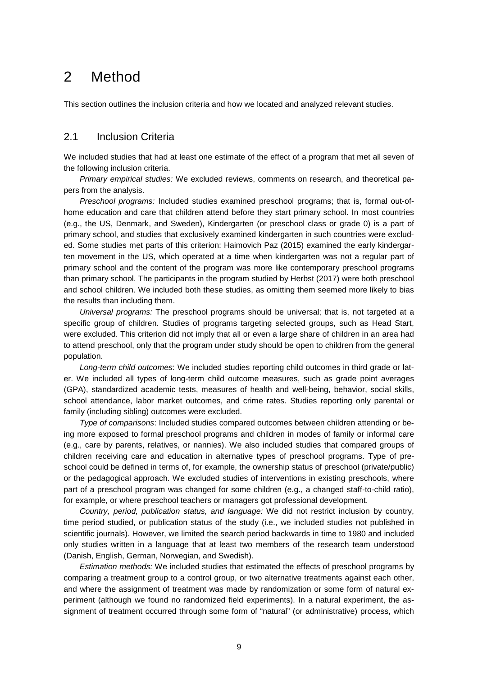### <span id="page-8-0"></span>2 Method

This section outlines the inclusion criteria and how we located and analyzed relevant studies.

#### <span id="page-8-1"></span>2.1 Inclusion Criteria

We included studies that had at least one estimate of the effect of a program that met all seven of the following inclusion criteria.

*Primary empirical studies:* We excluded reviews, comments on research, and theoretical papers from the analysis.

*Preschool programs:* Included studies examined preschool programs; that is, formal out-ofhome education and care that children attend before they start primary school. In most countries (e.g., the US, Denmark, and Sweden), Kindergarten (or preschool class or grade 0) is a part of primary school, and studies that exclusively examined kindergarten in such countries were excluded. Some studies met parts of this criterion: Haimovich Paz (2015) examined the early kindergarten movement in the US, which operated at a time when kindergarten was not a regular part of primary school and the content of the program was more like contemporary preschool programs than primary school. The participants in the program studied by Herbst (2017) were both preschool and school children. We included both these studies, as omitting them seemed more likely to bias the results than including them.

*Universal programs:* The preschool programs should be universal; that is, not targeted at a specific group of children. Studies of programs targeting selected groups, such as Head Start, were excluded. This criterion did not imply that all or even a large share of children in an area had to attend preschool, only that the program under study should be open to children from the general population.

*Long-term child outcomes*: We included studies reporting child outcomes in third grade or later. We included all types of long-term child outcome measures, such as grade point averages (GPA), standardized academic tests, measures of health and well-being, behavior, social skills, school attendance, labor market outcomes, and crime rates. Studies reporting only parental or family (including sibling) outcomes were excluded.

*Type of comparisons*: Included studies compared outcomes between children attending or being more exposed to formal preschool programs and children in modes of family or informal care (e.g., care by parents, relatives, or nannies). We also included studies that compared groups of children receiving care and education in alternative types of preschool programs. Type of preschool could be defined in terms of, for example, the ownership status of preschool (private/public) or the pedagogical approach. We excluded studies of interventions in existing preschools, where part of a preschool program was changed for some children (e.g., a changed staff-to-child ratio), for example, or where preschool teachers or managers got professional development.

*Country, period, publication status, and language:* We did not restrict inclusion by country, time period studied, or publication status of the study (i.e., we included studies not published in scientific journals). However, we limited the search period backwards in time to 1980 and included only studies written in a language that at least two members of the research team understood (Danish, English, German, Norwegian, and Swedish).

*Estimation methods:* We included studies that estimated the effects of preschool programs by comparing a treatment group to a control group, or two alternative treatments against each other, and where the assignment of treatment was made by randomization or some form of natural experiment (although we found no randomized field experiments). In a natural experiment, the assignment of treatment occurred through some form of "natural" (or administrative) process, which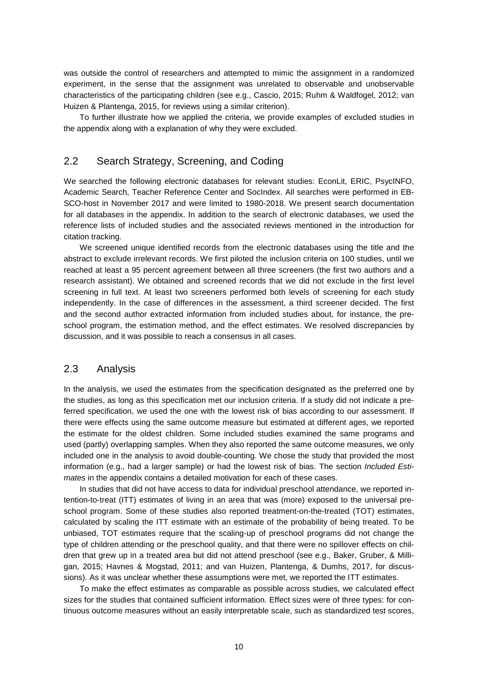was outside the control of researchers and attempted to mimic the assignment in a randomized experiment, in the sense that the assignment was unrelated to observable and unobservable characteristics of the participating children (see e.g., Cascio, 2015; Ruhm & Waldfogel, 2012; van Huizen & Plantenga, 2015, for reviews using a similar criterion).

<span id="page-9-0"></span>To further illustrate how we applied the criteria, we provide examples of excluded studies in the appendix along with a explanation of why they were excluded.

#### 2.2 Search Strategy, Screening, and Coding

We searched the following electronic databases for relevant studies: EconLit, ERIC, PsycINFO, Academic Search, Teacher Reference Center and SocIndex. All searches were performed in EB-SCO-host in November 2017 and were limited to 1980-2018. We present search documentation for all databases in the appendix. In addition to the search of electronic databases, we used the reference lists of included studies and the associated reviews mentioned in the introduction for citation tracking.

We screened unique identified records from the electronic databases using the title and the abstract to exclude irrelevant records. We first piloted the inclusion criteria on 100 studies, until we reached at least a 95 percent agreement between all three screeners (the first two authors and a research assistant). We obtained and screened records that we did not exclude in the first level screening in full text. At least two screeners performed both levels of screening for each study independently. In the case of differences in the assessment, a third screener decided. The first and the second author extracted information from included studies about, for instance, the preschool program, the estimation method, and the effect estimates. We resolved discrepancies by discussion, and it was possible to reach a consensus in all cases.

#### <span id="page-9-1"></span>2.3 Analysis

In the analysis, we used the estimates from the specification designated as the preferred one by the studies, as long as this specification met our inclusion criteria. If a study did not indicate a preferred specification, we used the one with the lowest risk of bias according to our assessment. If there were effects using the same outcome measure but estimated at different ages, we reported the estimate for the oldest children. Some included studies examined the same programs and used (partly) overlapping samples. When they also reported the same outcome measures, we only included one in the analysis to avoid double-counting. We chose the study that provided the most information (e.g., had a larger sample) or had the lowest risk of bias. The section *Included Estimates* in the appendix contains a detailed motivation for each of these cases.

In studies that did not have access to data for individual preschool attendance, we reported intention-to-treat (ITT) estimates of living in an area that was (more) exposed to the universal preschool program. Some of these studies also reported treatment-on-the-treated (TOT) estimates, calculated by scaling the ITT estimate with an estimate of the probability of being treated. To be unbiased, TOT estimates require that the scaling-up of preschool programs did not change the type of children attending or the preschool quality, and that there were no spillover effects on children that grew up in a treated area but did not attend preschool (see e.g., Baker, Gruber, & Milligan, 2015; Havnes & Mogstad, 2011; and van Huizen, Plantenga, & Dumhs, 2017, for discussions). As it was unclear whether these assumptions were met, we reported the ITT estimates.

To make the effect estimates as comparable as possible across studies, we calculated effect sizes for the studies that contained sufficient information. Effect sizes were of three types: for continuous outcome measures without an easily interpretable scale, such as standardized test scores,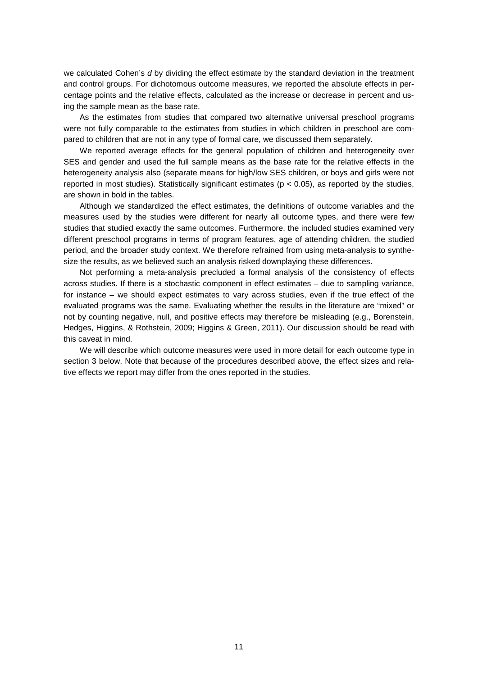we calculated Cohen's *d* by dividing the effect estimate by the standard deviation in the treatment and control groups. For dichotomous outcome measures, we reported the absolute effects in percentage points and the relative effects, calculated as the increase or decrease in percent and using the sample mean as the base rate.

As the estimates from studies that compared two alternative universal preschool programs were not fully comparable to the estimates from studies in which children in preschool are compared to children that are not in any type of formal care, we discussed them separately.

We reported average effects for the general population of children and heterogeneity over SES and gender and used the full sample means as the base rate for the relative effects in the heterogeneity analysis also (separate means for high/low SES children, or boys and girls were not reported in most studies). Statistically significant estimates ( $p < 0.05$ ), as reported by the studies, are shown in bold in the tables.

Although we standardized the effect estimates, the definitions of outcome variables and the measures used by the studies were different for nearly all outcome types, and there were few studies that studied exactly the same outcomes. Furthermore, the included studies examined very different preschool programs in terms of program features, age of attending children, the studied period, and the broader study context. We therefore refrained from using meta-analysis to synthesize the results, as we believed such an analysis risked downplaying these differences.

Not performing a meta-analysis precluded a formal analysis of the consistency of effects across studies. If there is a stochastic component in effect estimates – due to sampling variance, for instance – we should expect estimates to vary across studies, even if the true effect of the evaluated programs was the same. Evaluating whether the results in the literature are "mixed" or not by counting negative, null, and positive effects may therefore be misleading (e.g., Borenstein, Hedges, Higgins, & Rothstein, 2009; Higgins & Green, 2011). Our discussion should be read with this caveat in mind.

We will describe which outcome measures were used in more detail for each outcome type in section 3 below. Note that because of the procedures described above, the effect sizes and relative effects we report may differ from the ones reported in the studies.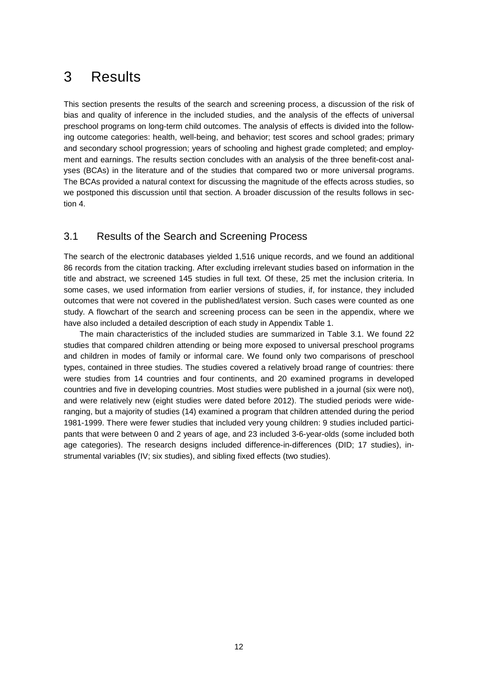### <span id="page-11-0"></span>3 Results

This section presents the results of the search and screening process, a discussion of the risk of bias and quality of inference in the included studies, and the analysis of the effects of universal preschool programs on long-term child outcomes. The analysis of effects is divided into the following outcome categories: health, well-being, and behavior; test scores and school grades; primary and secondary school progression; years of schooling and highest grade completed; and employment and earnings. The results section concludes with an analysis of the three benefit-cost analyses (BCAs) in the literature and of the studies that compared two or more universal programs. The BCAs provided a natural context for discussing the magnitude of the effects across studies, so we postponed this discussion until that section. A broader discussion of the results follows in section 4.

#### <span id="page-11-1"></span>3.1 Results of the Search and Screening Process

The search of the electronic databases yielded 1,516 unique records, and we found an additional 86 records from the citation tracking. After excluding irrelevant studies based on information in the title and abstract, we screened 145 studies in full text. Of these, 25 met the inclusion criteria. In some cases, we used information from earlier versions of studies, if, for instance, they included outcomes that were not covered in the published/latest version. Such cases were counted as one study. A flowchart of the search and screening process can be seen in the appendix, where we have also included a detailed description of each study in Appendix Table 1.

The main characteristics of the included studies are summarized in Table 3.1. We found 22 studies that compared children attending or being more exposed to universal preschool programs and children in modes of family or informal care. We found only two comparisons of preschool types, contained in three studies. The studies covered a relatively broad range of countries: there were studies from 14 countries and four continents, and 20 examined programs in developed countries and five in developing countries. Most studies were published in a journal (six were not), and were relatively new (eight studies were dated before 2012). The studied periods were wideranging, but a majority of studies (14) examined a program that children attended during the period 1981-1999. There were fewer studies that included very young children: 9 studies included participants that were between 0 and 2 years of age, and 23 included 3-6-year-olds (some included both age categories). The research designs included difference-in-differences (DID; 17 studies), instrumental variables (IV; six studies), and sibling fixed effects (two studies).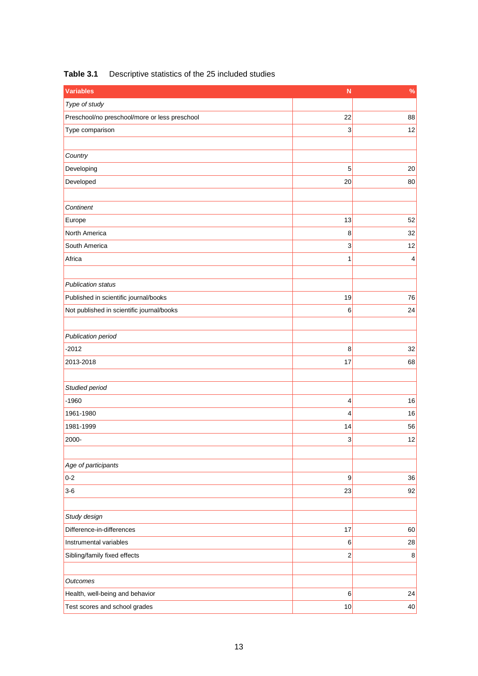| <b>Variables</b>                              | N                | $\frac{9}{6}$  |
|-----------------------------------------------|------------------|----------------|
| Type of study                                 |                  |                |
| Preschool/no preschool/more or less preschool | 22               | 88             |
| Type comparison                               | 3                | 12             |
|                                               |                  |                |
| Country                                       |                  |                |
| Developing                                    | 5                | 20             |
| Developed                                     | 20               | 80             |
|                                               |                  |                |
| Continent                                     |                  |                |
| Europe                                        | 13               | 52             |
| North America                                 | 8                | 32             |
| South America                                 | 3                | 12             |
| Africa                                        | $\mathbf 1$      | $\overline{4}$ |
|                                               |                  |                |
| <b>Publication status</b>                     |                  |                |
| Published in scientific journal/books         | 19               | 76             |
| Not published in scientific journal/books     | 6                | 24             |
|                                               |                  |                |
| Publication period                            |                  |                |
| $-2012$                                       | 8                | 32             |
| 2013-2018                                     | 17               | 68             |
|                                               |                  |                |
| Studied period                                |                  |                |
| $-1960$                                       | 4                | 16             |
| 1961-1980                                     | 4                | 16             |
| 1981-1999                                     | 14               | 56             |
| 2000-                                         | 3                | 12             |
|                                               |                  |                |
| Age of participants                           |                  |                |
| $0 - 2$                                       | $\boldsymbol{9}$ | 36             |
| $3-6$                                         | 23               | 92             |
|                                               |                  |                |
| Study design                                  |                  |                |
| Difference-in-differences                     | 17               | 60             |
| Instrumental variables                        | 6                | 28             |
| Sibling/family fixed effects                  | $\overline{c}$   | $\,$ 8 $\,$    |
|                                               |                  |                |
| Outcomes                                      |                  |                |
| Health, well-being and behavior               | 6                | 24             |
| Test scores and school grades                 | 10               | $40\,$         |

#### **Table 3.1** Descriptive statistics of the 25 included studies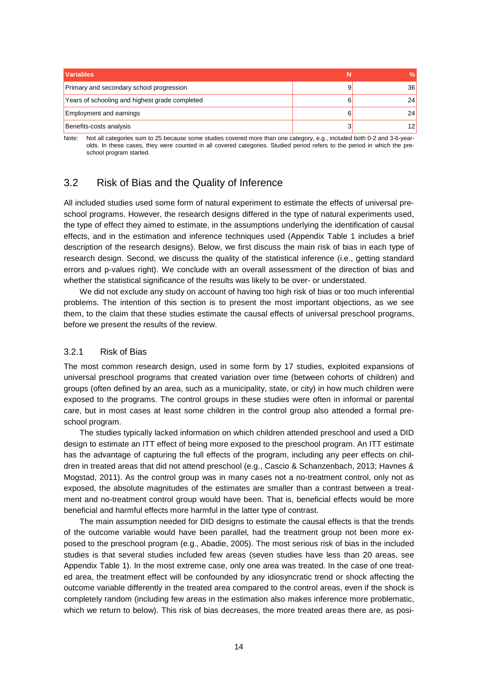| <b>Variables</b>                               |   | %               |
|------------------------------------------------|---|-----------------|
| Primary and secondary school progression       | 9 | 36              |
| Years of schooling and highest grade completed | 6 | 24 <sub>1</sub> |
| <b>Employment and earnings</b>                 | 6 | 24              |
| Benefits-costs analysis                        |   | 1つ              |

<span id="page-13-0"></span>Note: Not all categories sum to 25 because some studies covered more than one category, e.g., included both 0-2 and 3-6-yearolds. In these cases, they were counted in all covered categories. Studied period refers to the period in which the preschool program started.

#### 3.2 Risk of Bias and the Quality of Inference

All included studies used some form of natural experiment to estimate the effects of universal preschool programs. However, the research designs differed in the type of natural experiments used, the type of effect they aimed to estimate, in the assumptions underlying the identification of causal effects, and in the estimation and inference techniques used (Appendix Table 1 includes a brief description of the research designs). Below, we first discuss the main risk of bias in each type of research design. Second, we discuss the quality of the statistical inference (i.e., getting standard errors and p-values right). We conclude with an overall assessment of the direction of bias and whether the statistical significance of the results was likely to be over- or understated.

We did not exclude any study on account of having too high risk of bias or too much inferential problems. The intention of this section is to present the most important objections, as we see them, to the claim that these studies estimate the causal effects of universal preschool programs, before we present the results of the review.

#### 3.2.1 Risk of Bias

The most common research design, used in some form by 17 studies, exploited expansions of universal preschool programs that created variation over time (between cohorts of children) and groups (often defined by an area, such as a municipality, state, or city) in how much children were exposed to the programs. The control groups in these studies were often in informal or parental care, but in most cases at least some children in the control group also attended a formal preschool program.

The studies typically lacked information on which children attended preschool and used a DID design to estimate an ITT effect of being more exposed to the preschool program. An ITT estimate has the advantage of capturing the full effects of the program, including any peer effects on children in treated areas that did not attend preschool (e.g., Cascio & Schanzenbach, 2013; Havnes & Mogstad, 2011). As the control group was in many cases not a no-treatment control, only not as exposed, the absolute magnitudes of the estimates are smaller than a contrast between a treatment and no-treatment control group would have been. That is, beneficial effects would be more beneficial and harmful effects more harmful in the latter type of contrast.

The main assumption needed for DID designs to estimate the causal effects is that the trends of the outcome variable would have been parallel, had the treatment group not been more exposed to the preschool program (e.g., Abadie, 2005). The most serious risk of bias in the included studies is that several studies included few areas (seven studies have less than 20 areas, see Appendix Table 1). In the most extreme case, only one area was treated. In the case of one treated area, the treatment effect will be confounded by any idiosyncratic trend or shock affecting the outcome variable differently in the treated area compared to the control areas, even if the shock is completely random (including few areas in the estimation also makes inference more problematic, which we return to below). This risk of bias decreases, the more treated areas there are, as posi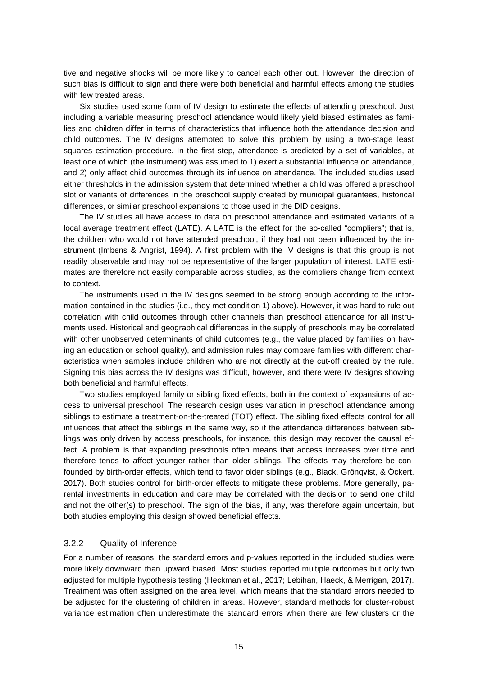tive and negative shocks will be more likely to cancel each other out. However, the direction of such bias is difficult to sign and there were both beneficial and harmful effects among the studies with few treated areas.

Six studies used some form of IV design to estimate the effects of attending preschool. Just including a variable measuring preschool attendance would likely yield biased estimates as families and children differ in terms of characteristics that influence both the attendance decision and child outcomes. The IV designs attempted to solve this problem by using a two-stage least squares estimation procedure. In the first step, attendance is predicted by a set of variables, at least one of which (the instrument) was assumed to 1) exert a substantial influence on attendance, and 2) only affect child outcomes through its influence on attendance. The included studies used either thresholds in the admission system that determined whether a child was offered a preschool slot or variants of differences in the preschool supply created by municipal guarantees, historical differences, or similar preschool expansions to those used in the DID designs.

The IV studies all have access to data on preschool attendance and estimated variants of a local average treatment effect (LATE). A LATE is the effect for the so-called "compliers"; that is, the children who would not have attended preschool, if they had not been influenced by the instrument (Imbens & Angrist, 1994). A first problem with the IV designs is that this group is not readily observable and may not be representative of the larger population of interest. LATE estimates are therefore not easily comparable across studies, as the compliers change from context to context.

The instruments used in the IV designs seemed to be strong enough according to the information contained in the studies (i.e., they met condition 1) above). However, it was hard to rule out correlation with child outcomes through other channels than preschool attendance for all instruments used. Historical and geographical differences in the supply of preschools may be correlated with other unobserved determinants of child outcomes (e.g., the value placed by families on having an education or school quality), and admission rules may compare families with different characteristics when samples include children who are not directly at the cut-off created by the rule. Signing this bias across the IV designs was difficult, however, and there were IV designs showing both beneficial and harmful effects.

Two studies employed family or sibling fixed effects, both in the context of expansions of access to universal preschool. The research design uses variation in preschool attendance among siblings to estimate a treatment-on-the-treated (TOT) effect. The sibling fixed effects control for all influences that affect the siblings in the same way, so if the attendance differences between siblings was only driven by access preschools, for instance, this design may recover the causal effect. A problem is that expanding preschools often means that access increases over time and therefore tends to affect younger rather than older siblings. The effects may therefore be confounded by birth-order effects, which tend to favor older siblings (e.g., Black, Grönqvist, & Öckert, 2017). Both studies control for birth-order effects to mitigate these problems. More generally, parental investments in education and care may be correlated with the decision to send one child and not the other(s) to preschool. The sign of the bias, if any, was therefore again uncertain, but both studies employing this design showed beneficial effects.

#### 3.2.2 Quality of Inference

For a number of reasons, the standard errors and p-values reported in the included studies were more likely downward than upward biased. Most studies reported multiple outcomes but only two adjusted for multiple hypothesis testing (Heckman et al., 2017; Lebihan, Haeck, & Merrigan, 2017). Treatment was often assigned on the area level, which means that the standard errors needed to be adjusted for the clustering of children in areas. However, standard methods for cluster-robust variance estimation often underestimate the standard errors when there are few clusters or the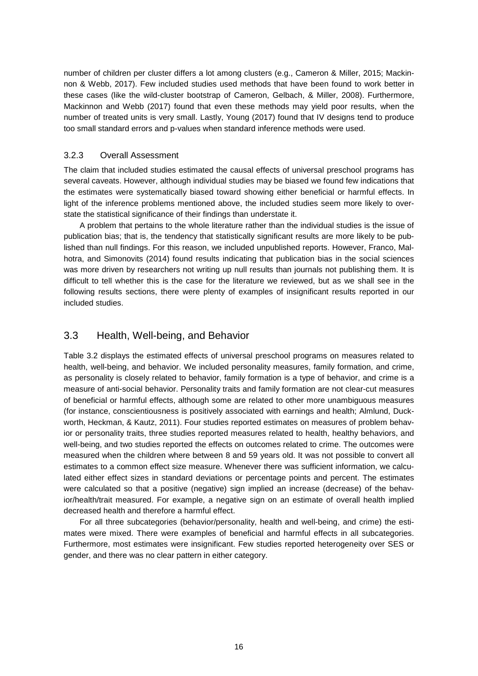number of children per cluster differs a lot among clusters (e.g., Cameron & Miller, 2015; Mackinnon & Webb, 2017). Few included studies used methods that have been found to work better in these cases (like the wild-cluster bootstrap of Cameron, Gelbach, & Miller, 2008). Furthermore, Mackinnon and Webb (2017) found that even these methods may yield poor results, when the number of treated units is very small. Lastly, Young (2017) found that IV designs tend to produce too small standard errors and p-values when standard inference methods were used.

#### 3.2.3 Overall Assessment

The claim that included studies estimated the causal effects of universal preschool programs has several caveats. However, although individual studies may be biased we found few indications that the estimates were systematically biased toward showing either beneficial or harmful effects. In light of the inference problems mentioned above, the included studies seem more likely to overstate the statistical significance of their findings than understate it.

A problem that pertains to the whole literature rather than the individual studies is the issue of publication bias; that is, the tendency that statistically significant results are more likely to be published than null findings. For this reason, we included unpublished reports. However, Franco, Malhotra, and Simonovits (2014) found results indicating that publication bias in the social sciences was more driven by researchers not writing up null results than journals not publishing them. It is difficult to tell whether this is the case for the literature we reviewed, but as we shall see in the following results sections, there were plenty of examples of insignificant results reported in our included studies.

#### <span id="page-15-0"></span>3.3 Health, Well-being, and Behavior

Table 3.2 displays the estimated effects of universal preschool programs on measures related to health, well-being, and behavior. We included personality measures, family formation, and crime, as personality is closely related to behavior, family formation is a type of behavior, and crime is a measure of anti-social behavior. Personality traits and family formation are not clear-cut measures of beneficial or harmful effects, although some are related to other more unambiguous measures (for instance, conscientiousness is positively associated with earnings and health; Almlund, Duckworth, Heckman, & Kautz, 2011). Four studies reported estimates on measures of problem behavior or personality traits, three studies reported measures related to health, healthy behaviors, and well-being, and two studies reported the effects on outcomes related to crime. The outcomes were measured when the children where between 8 and 59 years old. It was not possible to convert all estimates to a common effect size measure. Whenever there was sufficient information, we calculated either effect sizes in standard deviations or percentage points and percent. The estimates were calculated so that a positive (negative) sign implied an increase (decrease) of the behavior/health/trait measured. For example, a negative sign on an estimate of overall health implied decreased health and therefore a harmful effect.

For all three subcategories (behavior/personality, health and well-being, and crime) the estimates were mixed. There were examples of beneficial and harmful effects in all subcategories. Furthermore, most estimates were insignificant. Few studies reported heterogeneity over SES or gender, and there was no clear pattern in either category.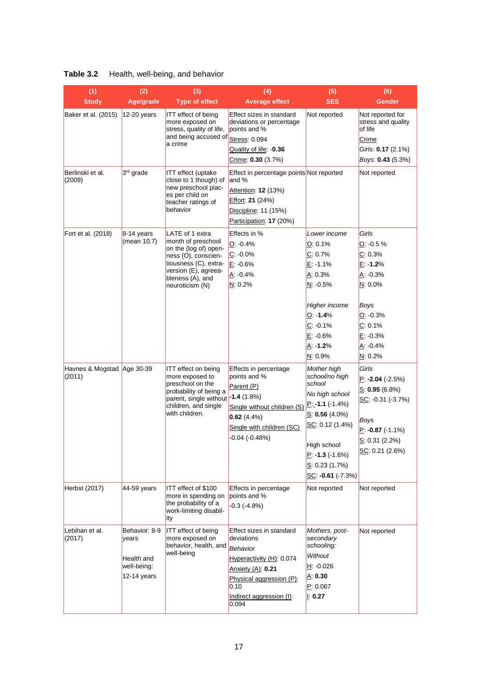| Table 3.2 |  |  | Health, well-being, and behavior |  |
|-----------|--|--|----------------------------------|--|
|-----------|--|--|----------------------------------|--|

| (1)<br>(2)<br>(3)<br>(4)             |                                                                    | (5)                                                                                                                                                                           | (6)                                                                                                                                                                          |                                                                                                                                                                                                           |                                                                                                                                               |
|--------------------------------------|--------------------------------------------------------------------|-------------------------------------------------------------------------------------------------------------------------------------------------------------------------------|------------------------------------------------------------------------------------------------------------------------------------------------------------------------------|-----------------------------------------------------------------------------------------------------------------------------------------------------------------------------------------------------------|-----------------------------------------------------------------------------------------------------------------------------------------------|
| <b>Study</b>                         | Age/grade                                                          | <b>Type of effect</b>                                                                                                                                                         | <b>Average effect</b>                                                                                                                                                        | <b>SES</b>                                                                                                                                                                                                | <b>Gender</b>                                                                                                                                 |
| Baker et al. (2015)                  | $12-20$ years                                                      | <b>ITT</b> effect of being<br>more exposed on<br>stress, quality of life,<br>and being accused of<br>a crime                                                                  | Effect sizes in standard<br>deviations or percentage<br>points and %<br>Stress: 0.094<br>Quality of life: 0.36<br>Crime: 0.30 (3.7%)                                         | Not reported                                                                                                                                                                                              | Not reported for<br>stress and quality<br>of life<br>Crime<br>Girls: 0.17 (2.1%)<br>Boys: 0.43 (5.3%)                                         |
| Berlinski et al.<br>(2009)           | 3rd grade                                                          | <b>ITT</b> effect (uptake<br>close to 1 though) of<br>new preschool plac-<br>es per child on<br>teacher ratings of<br>behavior                                                | Effect in percentage points Not reported<br>and %<br>Attention: 12 (13%)<br>Effort: 21 (24%)<br>Discipline: 11 (15%)<br>Participation: 17 (20%)                              |                                                                                                                                                                                                           | Not reported                                                                                                                                  |
| Fort et al. (2018)                   | $8-14$ years<br>(mean 10.7)                                        | LATE of 1 extra<br>month of preschool<br>on the (log of) open-<br>ness (O), conscien-<br>tiousness (C), extra-<br>version (E), agreea-<br>bleness (A), and<br>neuroticism (N) | Effects in %<br>$Q: -0.4%$<br>$C: -0.0\%$<br>$E: -0.6%$<br>A: -0.4%<br>N: 0.2%                                                                                               | Lower income<br>O: 0.1%<br>C: 0.7%<br>$E: -1.1%$<br>A: 0.3%<br>N: -0.5%<br><b>Higher income</b><br>O: 1.4%<br>$C: -0.1%$<br>$E: -0.6%$<br>A: -1.2%<br>N: 0.9%                                             | Girls<br>$O: -0.5%$<br>C: 0.3%<br>$E: -1.2%$<br>$A: -0.3%$<br>N: 0.0%<br>Boys<br>$O: -0.3%$<br>C: 0.1%<br>$E: -0.3%$<br>$A: -0.4%$<br>N: 0.2% |
| Havnes & Mogstad Age 30-39<br>(2011) |                                                                    | <b>ITT</b> effect on being<br>more exposed to<br>preschool on the<br>probability of being a<br>parent, single without -1.4 (1.8%)<br>children, and single<br>with children.   | Effects in percentage<br>points and %<br>Parent (P)<br>Single without children (S)<br>0.62(4.4%)<br>Single with children (SC)<br>$-0.04$ $(-0.48%)$                          | Mother high<br>school/no high<br>school<br>No high school<br>$P: -1.1 (-1.4%)$<br>$S: 0.56(4.0\%)$<br>SC: 0.12 (1.4%)<br>High school<br>$P: -1.3 (-1.6%)$<br>S: 0.23 $(1.7%)$<br>SC: $-0.61$ ( $-7.3\%$ ) | Girls<br>$P: -2.04 (-2.5%)$<br>S: 0.95(6.8%)<br>SC: -0.31 (-3.7%)<br>Boys<br>$P: -0.87 (+1.1%)$<br>S: 0.31 (2.2%)<br>SC: 0.21 (2.6%)          |
| Herbst (2017)                        | 44-59 years                                                        | ITT effect of \$100<br>more in spending on<br>the probability of a<br>work-limiting disabil-<br>ity                                                                           | Effects in percentage<br>points and %<br>$-0.3$ $(-4.8%)$                                                                                                                    | Not reported                                                                                                                                                                                              | Not reported                                                                                                                                  |
| Lebihan et al.<br>(2017)             | Behavior: 8-9<br>vears<br>Health and<br>well-being:<br>12-14 years | <b>ITT</b> effect of being<br>more exposed on<br>behavior, health, and<br>well-being                                                                                          | Effect sizes in standard<br>deviations<br>Behavior<br>Hyperactivity (H): 0.074<br>Anxiety (A): 0.21<br>Physical aggression (P):<br>0.10<br>Indirect aggression (I):<br>0.094 | Mothers, post-<br>secondary<br>schooling:<br>Without<br>H: -0.026<br>A: 0.30<br>P: 0.067<br> : 0.27                                                                                                       | Not reported                                                                                                                                  |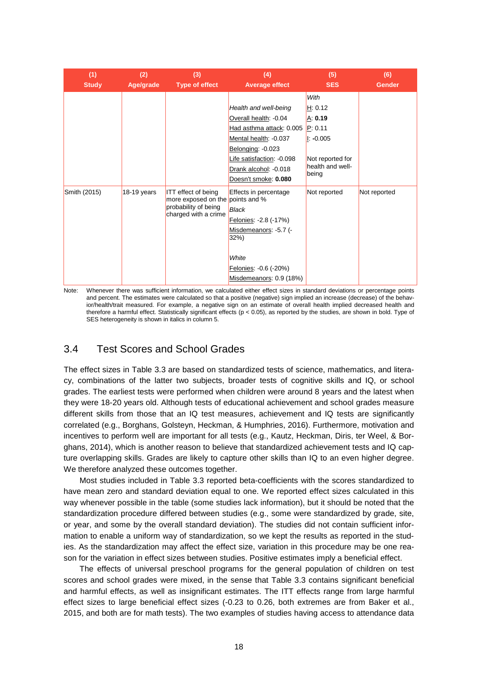| (1)<br><b>Study</b> | (2)<br>Age/grade | (3)<br>Type of effect                                                                                          | (4)<br>Average effect                                                                                                                                                                                  | (5)<br><b>SES</b>                                                                                       | (6)<br><b>Gender</b> |
|---------------------|------------------|----------------------------------------------------------------------------------------------------------------|--------------------------------------------------------------------------------------------------------------------------------------------------------------------------------------------------------|---------------------------------------------------------------------------------------------------------|----------------------|
|                     |                  |                                                                                                                | Health and well-being<br>Overall health: -0.04<br>Had asthma attack: 0.005<br>Mental health: -0.037<br>Belonging: -0.023<br>Life satisfaction: -0.098<br>Drank alcohol: -0.018<br>Doesn't smoke: 0.080 | With<br>H: 0.12<br>A: 0.19<br>P: 0.11<br>$\ $ : -0.005<br>Not reported for<br>health and well-<br>being |                      |
| Smith (2015)        | $18-19$ years    | <b>ITT</b> effect of being<br>more exposed on the points and %<br>probability of being<br>charged with a crime | Effects in percentage<br><b>Black</b><br>Felonies: -2.8 (-17%)<br>Misdemeanors: - 5.7 (-<br>32%<br>White<br>Felonies: -0.6 (-20%)<br>Misdemeanors: 0.9 (18%)                                           | Not reported                                                                                            | Not reported         |

Note: Whenever there was sufficient information, we calculated either effect sizes in standard deviations or percentage points and percent. The estimates were calculated so that a positive (negative) sign implied an increase (decrease) of the behavior/health/trait measured. For example, a negative sign on an estimate of overall health implied decreased health and therefore a harmful effect. Statistically significant effects (p < 0.05), as reported by the studies, are shown in bold. Type of SES heterogeneity is shown in italics in column 5.

#### <span id="page-17-0"></span>3.4 Test Scores and School Grades

The effect sizes in Table 3.3 are based on standardized tests of science, mathematics, and literacy, combinations of the latter two subjects, broader tests of cognitive skills and IQ, or school grades. The earliest tests were performed when children were around 8 years and the latest when they were 18-20 years old. Although tests of educational achievement and school grades measure different skills from those that an IQ test measures, achievement and IQ tests are significantly correlated (e.g., Borghans, Golsteyn, Heckman, & Humphries, 2016). Furthermore, motivation and incentives to perform well are important for all tests (e.g., Kautz, Heckman, Diris, ter Weel, & Borghans, 2014), which is another reason to believe that standardized achievement tests and IQ capture overlapping skills. Grades are likely to capture other skills than IQ to an even higher degree. We therefore analyzed these outcomes together.

Most studies included in Table 3.3 reported beta-coefficients with the scores standardized to have mean zero and standard deviation equal to one. We reported effect sizes calculated in this way whenever possible in the table (some studies lack information), but it should be noted that the standardization procedure differed between studies (e.g., some were standardized by grade, site, or year, and some by the overall standard deviation). The studies did not contain sufficient information to enable a uniform way of standardization, so we kept the results as reported in the studies. As the standardization may affect the effect size, variation in this procedure may be one reason for the variation in effect sizes between studies. Positive estimates imply a beneficial effect.

The effects of universal preschool programs for the general population of children on test scores and school grades were mixed, in the sense that Table 3.3 contains significant beneficial and harmful effects, as well as insignificant estimates. The ITT effects range from large harmful effect sizes to large beneficial effect sizes (-0.23 to 0.26, both extremes are from Baker et al., 2015, and both are for math tests). The two examples of studies having access to attendance data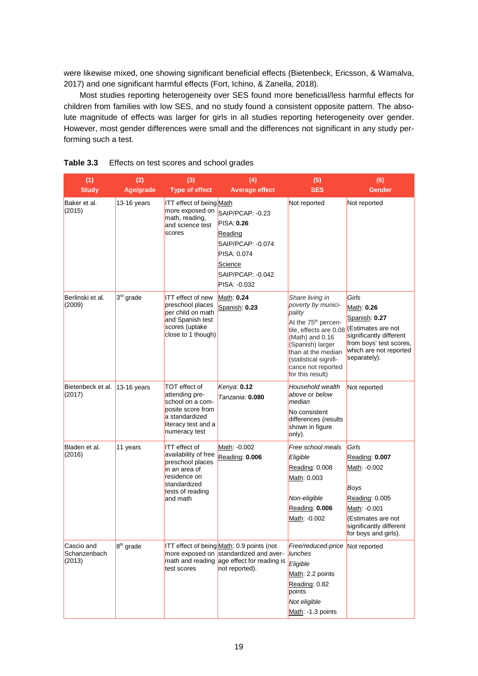were likewise mixed, one showing significant beneficial effects (Bietenbeck, Ericsson, & Wamalva, 2017) and one significant harmful effects (Fort, Ichino, & Zanella, 2018).

Most studies reporting heterogeneity over SES found more beneficial/less harmful effects for children from families with low SES, and no study found a consistent opposite pattern. The absolute magnitude of effects was larger for girls in all studies reporting heterogeneity over gender. However, most gender differences were small and the differences not significant in any study performing such a test.

| (1)                                  | (2)                   | (3)                                                                                                                                        | (4)                                                                                                                                                 | (5)                                                                                                                                                                                                                                            | (6)                                                                                                                                                        |
|--------------------------------------|-----------------------|--------------------------------------------------------------------------------------------------------------------------------------------|-----------------------------------------------------------------------------------------------------------------------------------------------------|------------------------------------------------------------------------------------------------------------------------------------------------------------------------------------------------------------------------------------------------|------------------------------------------------------------------------------------------------------------------------------------------------------------|
| <b>Study</b>                         | Age/grade             | <b>Type of effect</b>                                                                                                                      | <b>Average effect</b>                                                                                                                               | <b>SES</b>                                                                                                                                                                                                                                     | <b>Gender</b>                                                                                                                                              |
| Baker et al.<br>(2015)               | 13-16 years           | <b>ITT</b> effect of being Math<br>more exposed on<br>math, reading,<br>and science test<br>scores                                         | SAIP/PCAP: - 0.23<br><b>PISA: 0.26</b><br>Reading<br>SAIP/PCAP: -0.074<br>PISA: 0.074<br>Science<br>SAIP/PCAP: -0.042<br>PISA: -0.032               | Not reported                                                                                                                                                                                                                                   | Not reported                                                                                                                                               |
| Berlinski et al.<br>(2009)           | 3rd grade             | <b>ITT</b> effect of new<br>preschool places<br>per child on math<br>and Spanish test<br>scores (uptake<br>close to 1 though)              | Math: 0.24<br>Spanish: 0.23                                                                                                                         | Share living in<br>poverty by munici-<br>pality<br>At the 75 <sup>th</sup> percen-<br>tile, effects are 0.08<br>$(Math)$ and 0.16<br>(Spanish) larger<br>than at the median<br>(statistical signifi-<br>cance not reported<br>for this result) | Girls<br>Math: 0.26<br>Spanish: 0.27<br>(Estimates are not<br>significantly different<br>from boys' test scores,<br>which are not reported<br>separately). |
| Bietenbeck et al.<br>(2017)          | $13-16$ years         | TOT effect of<br>attending pre-<br>school on a com-<br>posite score from<br>a standardized<br>literacy test and a<br>numeracy test         | Kenya: 0.12<br>Tanzania: 0.080                                                                                                                      | Household wealth<br>above or below<br>median<br>No consistent<br>differences (results<br>shown in figure<br>only).                                                                                                                             | Not reported                                                                                                                                               |
| Bladen et al.<br>(2016)              | 11 years              | ITT effect of<br>availability of free<br>preschool places<br>in an area of<br>residence on<br>standardized<br>tests of reading<br>and math | Math: -0.002<br>Reading: 0.006                                                                                                                      | Free school meals<br>Eligible<br>Reading: 0.008<br>Math: 0.003<br>Non-eligible<br>Reading: 0.006<br>Math: -0.002                                                                                                                               | Girls<br>Reading: 0.007<br>Math: -0.002<br>Boys<br>Reading: 0.005<br>Math: -0.001<br>(Estimates are not<br>significantly different<br>for boys and girls). |
| Cascio and<br>Schanzenbach<br>(2013) | 8 <sup>th</sup> grade | test scores                                                                                                                                | ITT effect of being Math: 0.9 points (not<br>more exposed on standardized and aver-<br>math and reading age effect for reading is<br>not reported). | Free/reduced-price<br>lunches<br>Eligible<br>Math: 2.2 points<br>Reading: 0.82<br>points<br>Not eligible<br>Math: -1.3 points                                                                                                                  | Not reported                                                                                                                                               |

**Table 3.3** Effects on test scores and school grades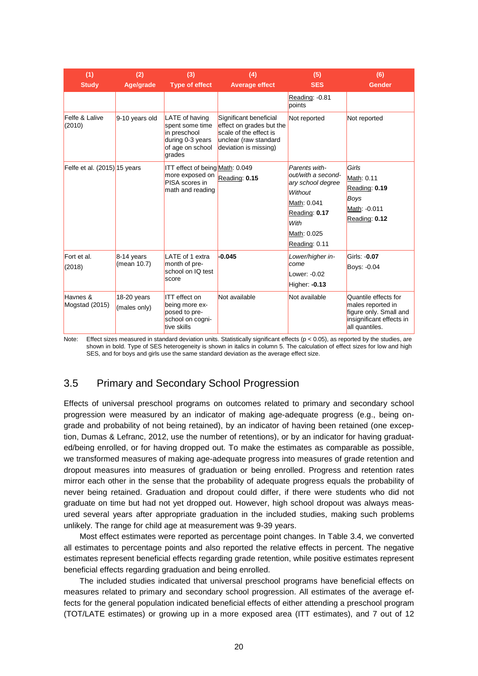| (1)<br><b>Study</b>          | (2)<br>Age/grade            | (3)<br><b>Type of effect</b>                                                                        | (4)<br><b>Average effect</b>                                                                                                   | (5)<br><b>SES</b>                                                                                                                           | (6)<br><b>Gender</b>                                                                                              |
|------------------------------|-----------------------------|-----------------------------------------------------------------------------------------------------|--------------------------------------------------------------------------------------------------------------------------------|---------------------------------------------------------------------------------------------------------------------------------------------|-------------------------------------------------------------------------------------------------------------------|
|                              |                             |                                                                                                     |                                                                                                                                | Reading: -0.81<br>points                                                                                                                    |                                                                                                                   |
| Felfe & Lalive<br>(2010)     | 9-10 years old              | LATE of having<br>spent some time<br>in preschool<br>during 0-3 years<br>of age on school<br>grades | Significant beneficial<br>effect on grades but the<br>scale of the effect is<br>unclear (raw standard<br>deviation is missing) | Not reported                                                                                                                                | Not reported                                                                                                      |
| Felfe et al. (2015) 15 years |                             | ITT effect of being Math: 0.049<br>more exposed on<br>PISA scores in<br>math and reading            | Reading: 0.15                                                                                                                  | Parents with-<br>out/with a second-<br>ary school degree<br>Without<br>Math: 0.041<br>Reading: 0.17<br>With<br>Math: 0.025<br>Reading: 0.11 | Girls<br>Math: 0.11<br>Reading: 0.19<br>Boys<br>Math: -0.011<br>Reading: 0.12                                     |
| Fort et al.<br>(2018)        | $8-14$ years<br>(mean 10.7) | LATE of 1 extra<br>month of pre-<br>school on IQ test<br>score                                      | $-0.045$                                                                                                                       | Lower/higher in-<br>come<br>Lower: $-0.02$<br>Higher: -0.13                                                                                 | Girls: -0.07<br>Boys: -0.04                                                                                       |
| Havnes &<br>Mogstad (2015)   | 18-20 years<br>(males only) | <b>ITT</b> effect on<br>being more ex-<br>posed to pre-<br>school on cogni-<br>tive skills          | Not available                                                                                                                  | Not available                                                                                                                               | Quantile effects for<br>males reported in<br>figure only. Small and<br>insignificant effects in<br>all quantiles. |

Note: Effect sizes measured in standard deviation units. Statistically significant effects (p < 0.05), as reported by the studies, are shown in bold. Type of SES heterogeneity is shown in italics in column 5. The calculation of effect sizes for low and high SES, and for boys and girls use the same standard deviation as the average effect size.

### <span id="page-19-0"></span>3.5 Primary and Secondary School Progression

Effects of universal preschool programs on outcomes related to primary and secondary school progression were measured by an indicator of making age-adequate progress (e.g., being ongrade and probability of not being retained), by an indicator of having been retained (one exception, Dumas & Lefranc, 2012, use the number of retentions), or by an indicator for having graduated/being enrolled, or for having dropped out. To make the estimates as comparable as possible, we transformed measures of making age-adequate progress into measures of grade retention and dropout measures into measures of graduation or being enrolled. Progress and retention rates mirror each other in the sense that the probability of adequate progress equals the probability of never being retained. Graduation and dropout could differ, if there were students who did not graduate on time but had not yet dropped out. However, high school dropout was always measured several years after appropriate graduation in the included studies, making such problems unlikely. The range for child age at measurement was 9-39 years.

Most effect estimates were reported as percentage point changes. In Table 3.4, we converted all estimates to percentage points and also reported the relative effects in percent. The negative estimates represent beneficial effects regarding grade retention, while positive estimates represent beneficial effects regarding graduation and being enrolled.

The included studies indicated that universal preschool programs have beneficial effects on measures related to primary and secondary school progression. All estimates of the average effects for the general population indicated beneficial effects of either attending a preschool program (TOT/LATE estimates) or growing up in a more exposed area (ITT estimates), and 7 out of 12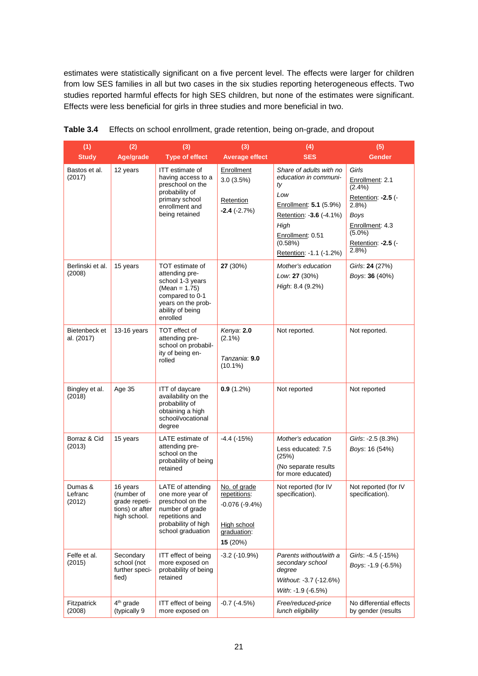estimates were statistically significant on a five percent level. The effects were larger for children from low SES families in all but two cases in the six studies reporting heterogeneous effects. Two studies reported harmful effects for high SES children, but none of the estimates were significant. Effects were less beneficial for girls in three studies and more beneficial in two.

| (1)                          | (2)                                                                        | (3)                                                                                                                                               | (3)                                                                                       | (4)                                                                                                                                                                                  | (5)                                                                                                                                           |
|------------------------------|----------------------------------------------------------------------------|---------------------------------------------------------------------------------------------------------------------------------------------------|-------------------------------------------------------------------------------------------|--------------------------------------------------------------------------------------------------------------------------------------------------------------------------------------|-----------------------------------------------------------------------------------------------------------------------------------------------|
| <b>Study</b>                 | Age/grade                                                                  | <b>Type of effect</b>                                                                                                                             | <b>Average effect</b>                                                                     | <b>SES</b>                                                                                                                                                                           | <b>Gender</b>                                                                                                                                 |
| Bastos et al.<br>(2017)      | 12 years                                                                   | ITT estimate of<br>having access to a<br>preschool on the<br>probability of<br>primary school<br>enrollment and<br>being retained                 | Enrollment<br>3.0(3.5%)<br>Retention<br>$-2.4$ ( $-2.7%$ )                                | Share of adults with no<br>education in communi-<br>ty<br>Low<br>Enrollment: 5.1 (5.9%)<br>Retention: -3.6 (-4.1%)<br>High<br>Enrollment: 0.51<br>(0.58%)<br>Retention: -1.1 (-1.2%) | Girls<br>Enrollment: 2.1<br>(2.4%)<br>Retention: -2.5 (-<br>2.8%<br><b>Boys</b><br>Enrollment: 4.3<br>$(5.0\%)$<br>Retention: -2.5 (-<br>2.8% |
| Berlinski et al.<br>(2008)   | 15 years                                                                   | TOT estimate of<br>attending pre-<br>school 1-3 years<br>$(Mean = 1.75)$<br>compared to 0-1<br>years on the prob-<br>ability of being<br>enrolled | 27 (30%)                                                                                  | Mother's education<br>Low. 27 (30%)<br>High: 8.4 (9.2%)                                                                                                                              | Girls: 24 (27%)<br>Boys: 36 (40%)                                                                                                             |
| Bietenbeck et<br>al. (2017)  | 13-16 years                                                                | TOT effect of<br>attending pre-<br>school on probabil-<br>ity of being en-<br>rolled                                                              | Kenya: 2.0<br>$(2.1\%)$<br>Tanzania: 9.0<br>$(10.1\%)$                                    | Not reported.                                                                                                                                                                        | Not reported.                                                                                                                                 |
| Bingley et al.<br>(2018)     | Age 35                                                                     | ITT of daycare<br>availability on the<br>probability of<br>obtaining a high<br>school/vocational<br>degree                                        | $0.9(1.2\%)$                                                                              | Not reported                                                                                                                                                                         | Not reported                                                                                                                                  |
| Borraz & Cid<br>(2013)       | 15 years                                                                   | LATE estimate of<br>attending pre-<br>school on the<br>probability of being<br>retained                                                           | $-4.4$ ( $-15\%$ )                                                                        | Mother's education<br>Less educated: 7.5<br>(25%)<br>(No separate results<br>for more educated)                                                                                      | Girls: -2.5 (8.3%)<br>Boys: 16 (54%)                                                                                                          |
| Dumas &<br>Lefranc<br>(2012) | 16 years<br>(number of<br>grade repeti-<br>tions) or after<br>high school. | LATE of attending<br>one more year of<br>preschool on the<br>number of grade<br>repetitions and<br>probability of high<br>school graduation       | No. of grade<br>repetitions:<br>$-0.076(-9.4%)$<br>High school<br>graduation:<br>15 (20%) | Not reported (for IV<br>specification).                                                                                                                                              | Not reported (for IV<br>specification).                                                                                                       |
| Felfe et al.<br>(2015)       | Secondary<br>school (not<br>further speci-<br>fied)                        | <b>ITT</b> effect of being<br>more exposed on<br>probability of being<br>retained                                                                 | $-3.2$ ( $-10.9%$ )                                                                       | Parents without/with a<br>secondary school<br>degree<br>Without. -3.7 (-12.6%)<br>With: -1.9 (-6.5%)                                                                                 | Girls: -4.5 (-15%)<br>Boys: -1.9 (-6.5%)                                                                                                      |
| Fitzpatrick<br>(2008)        | $4th$ grade<br>(typically 9                                                | <b>ITT</b> effect of being<br>more exposed on                                                                                                     | $-0.7$ $(-4.5%)$                                                                          | Free/reduced-price<br>lunch eligibility                                                                                                                                              | No differential effects<br>by gender (results                                                                                                 |

**Table 3.4** Effects on school enrollment, grade retention, being on-grade, and dropout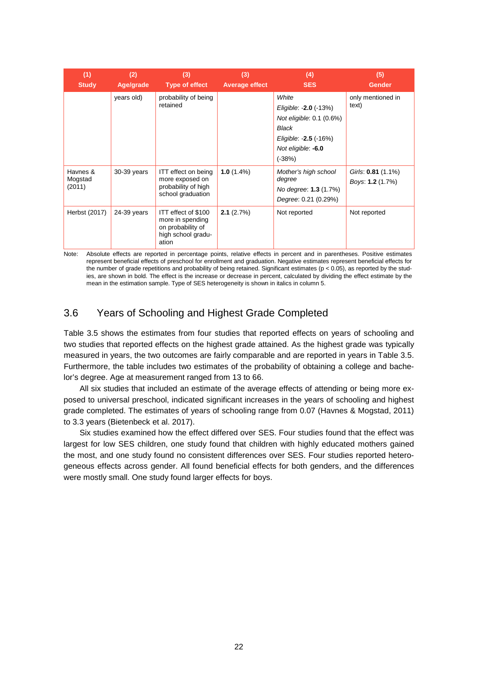| (1)<br><b>Study</b>           | (2)<br>Age/grade | (3)<br>Type of effect                                                                       | (3)<br><b>Average effect</b> | (4)<br><b>SES</b>                                                                                                              | (5)<br><b>Gender</b>                   |
|-------------------------------|------------------|---------------------------------------------------------------------------------------------|------------------------------|--------------------------------------------------------------------------------------------------------------------------------|----------------------------------------|
|                               | years old)       | probability of being<br>retained                                                            |                              | White<br>Eligible: -2.0 (-13%)<br>Not eligible: 0.1 (0.6%)<br>Black<br>Eligible: -2.5 (-16%)<br>Not eligible: -6.0<br>$(-38%)$ | only mentioned in<br>text)             |
| Havnes &<br>Mogstad<br>(2011) | 30-39 years      | ITT effect on being<br>more exposed on<br>probability of high<br>school graduation          | $1.0(1.4\%)$                 | Mother's high school<br>degree<br>No degree: <b>1.3</b> (1.7%)<br>Degree: 0.21 (0.29%)                                         | Girls: 0.81 (1.1%)<br>Boys: 1.2 (1.7%) |
| Herbst (2017)                 | 24-39 years      | ITT effect of \$100<br>more in spending<br>on probability of<br>high school gradu-<br>ation | 2.1(2.7%)                    | Not reported                                                                                                                   | Not reported                           |

Note: Absolute effects are reported in percentage points, relative effects in percent and in parentheses. Positive estimates represent beneficial effects of preschool for enrollment and graduation. Negative estimates represent beneficial effects for the number of grade repetitions and probability of being retained. Significant estimates ( $p < 0.05$ ), as reported by the studies, are shown in bold. The effect is the increase or decrease in percent, calculated by dividing the effect estimate by the mean in the estimation sample. Type of SES heterogeneity is shown in italics in column 5.

### <span id="page-21-0"></span>3.6 Years of Schooling and Highest Grade Completed

Table 3.5 shows the estimates from four studies that reported effects on years of schooling and two studies that reported effects on the highest grade attained. As the highest grade was typically measured in years, the two outcomes are fairly comparable and are reported in years in Table 3.5. Furthermore, the table includes two estimates of the probability of obtaining a college and bachelor's degree. Age at measurement ranged from 13 to 66.

All six studies that included an estimate of the average effects of attending or being more exposed to universal preschool, indicated significant increases in the years of schooling and highest grade completed. The estimates of years of schooling range from 0.07 (Havnes & Mogstad, 2011) to 3.3 years (Bietenbeck et al. 2017).

Six studies examined how the effect differed over SES. Four studies found that the effect was largest for low SES children, one study found that children with highly educated mothers gained the most, and one study found no consistent differences over SES. Four studies reported heterogeneous effects across gender. All found beneficial effects for both genders, and the differences were mostly small. One study found larger effects for boys.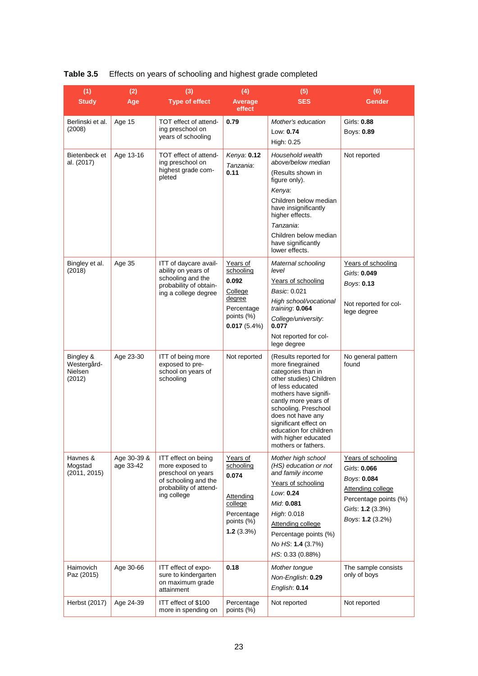| (1)                                                  | (2)                      | (3)                                                                                                                           | (4)                                                                                             | (5)                                                                                                                                                                                                                                                                                                            | (6)                                                                                                                                      |
|------------------------------------------------------|--------------------------|-------------------------------------------------------------------------------------------------------------------------------|-------------------------------------------------------------------------------------------------|----------------------------------------------------------------------------------------------------------------------------------------------------------------------------------------------------------------------------------------------------------------------------------------------------------------|------------------------------------------------------------------------------------------------------------------------------------------|
| <b>Study</b>                                         | Age                      | <b>Type of effect</b>                                                                                                         | Average<br>effect                                                                               | <b>SES</b>                                                                                                                                                                                                                                                                                                     | <b>Gender</b>                                                                                                                            |
| Berlinski et al.<br>(2008)                           | Age 15                   | TOT effect of attend-<br>ing preschool on<br>years of schooling                                                               | 0.79                                                                                            | Mother's education<br>Low: 0.74                                                                                                                                                                                                                                                                                | Girls: 0.88<br>Boys: 0.89                                                                                                                |
| Bietenbeck et<br>al. (2017)                          | Age 13-16                | TOT effect of attend-<br>ing preschool on                                                                                     | Kenya: 0.12                                                                                     | High: 0.25<br>Household wealth<br>above/below median                                                                                                                                                                                                                                                           | Not reported                                                                                                                             |
|                                                      |                          | highest grade com-<br>pleted                                                                                                  | Tanzania:<br>0.11                                                                               | (Results shown in<br>figure only).<br>Kenya:<br>Children below median<br>have insignificantly<br>higher effects.<br>Tanzania:<br>Children below median<br>have significantly<br>lower effects.                                                                                                                 |                                                                                                                                          |
| Bingley et al.<br>(2018)                             | Age 35                   | ITT of daycare avail-<br>ability on years of<br>schooling and the<br>probability of obtain-<br>ing a college degree           | Years of<br>schooling<br>0.092<br>College<br>degree<br>Percentage<br>points (%)<br>0.017(5.4%)  | Maternal schooling<br>level<br>Years of schooling<br>Basic: 0.021<br>High school/vocational<br>training: 0.064<br>College/university:<br>0.077<br>Not reported for col-<br>lege degree                                                                                                                         | Years of schooling<br>Girls: 0.049<br>Boys: 0.13<br>Not reported for col-<br>lege degree                                                 |
| Bingley &<br>Westergård-<br><b>Nielsen</b><br>(2012) | Age 23-30                | ITT of being more<br>exposed to pre-<br>school on years of<br>schooling                                                       | Not reported                                                                                    | (Results reported for<br>more finegrained<br>categories than in<br>other studies) Children<br>of less educated<br>mothers have signifi-<br>cantly more years of<br>schooling. Preschool<br>does not have any<br>significant effect on<br>education for children<br>with higher educated<br>mothers or fathers. | No general pattern<br>found                                                                                                              |
| Havnes &<br>Mogstad<br>(2011, 2015)                  | Age 30-39 &<br>age 33-42 | ITT effect on being<br>more exposed to<br>preschool on years<br>of schooling and the<br>probability of attend-<br>ing college | Years of<br>schooling<br>0.074<br>Attending<br>college<br>Percentage<br>points (%)<br>1.2(3.3%) | Mother high school<br>(HS) education or not<br>and family income<br>Years of schooling<br>Low. 0.24<br>Mid: 0.081<br>High: 0.018<br>Attending college<br>Percentage points (%)<br>No HS: 1.4 (3.7%)<br>HS: 0.33 (0.88%)                                                                                        | Years of schooling<br>Girls: 0.066<br>Boys: 0.084<br>Attending college<br>Percentage points (%)<br>Girls: 1.2 (3.3%)<br>Boys: 1.2 (3.2%) |
| Haimovich<br>Paz (2015)                              | Age 30-66                | ITT effect of expo-<br>sure to kindergarten<br>on maximum grade<br>attainment                                                 | 0.18                                                                                            | Mother tongue<br>Non-English: 0.29<br>English: 0.14                                                                                                                                                                                                                                                            | The sample consists<br>only of boys                                                                                                      |
| Herbst (2017)                                        | Age 24-39                | ITT effect of \$100<br>more in spending on                                                                                    | Percentage<br>points (%)                                                                        | Not reported                                                                                                                                                                                                                                                                                                   | Not reported                                                                                                                             |

#### **Table 3.5** Effects on years of schooling and highest grade completed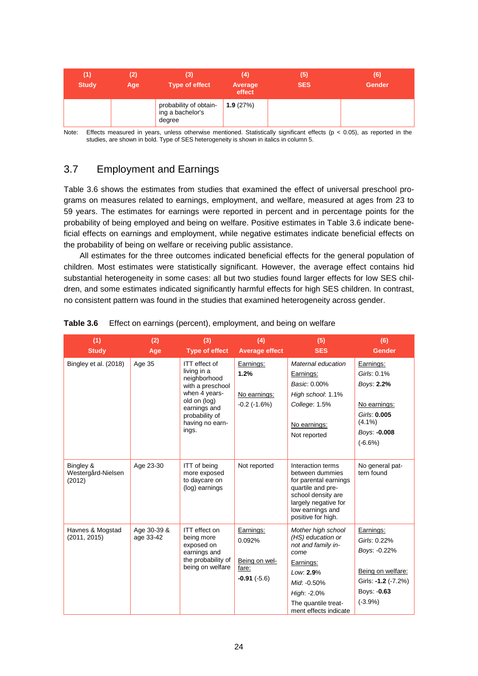| (1)<br><b>Study</b> | (2)<br>Age | (3)<br><b>Type of effect</b>                         | (4)<br>Average<br>effect | (5)<br><b>SES</b> | (6)<br><b>Gender</b> |
|---------------------|------------|------------------------------------------------------|--------------------------|-------------------|----------------------|
|                     |            | probability of obtain-<br>ing a bachelor's<br>degree | 1.9(27%)                 |                   |                      |

<span id="page-23-0"></span>Note: Effects measured in years, unless otherwise mentioned. Statistically significant effects (p < 0.05), as reported in the studies, are shown in bold. Type of SES heterogeneity is shown in italics in column 5.

### 3.7 Employment and Earnings

Table 3.6 shows the estimates from studies that examined the effect of universal preschool programs on measures related to earnings, employment, and welfare, measured at ages from 23 to 59 years. The estimates for earnings were reported in percent and in percentage points for the probability of being employed and being on welfare. Positive estimates in Table 3.6 indicate beneficial effects on earnings and employment, while negative estimates indicate beneficial effects on the probability of being on welfare or receiving public assistance.

All estimates for the three outcomes indicated beneficial effects for the general population of children. Most estimates were statistically significant. However, the average effect contains hid substantial heterogeneity in some cases: all but two studies found larger effects for low SES children, and some estimates indicated significantly harmful effects for high SES children. In contrast, no consistent pattern was found in the studies that examined heterogeneity across gender.

| (1)<br><b>Study</b>                       | (2)<br>Age               | (3)<br><b>Type of effect</b>                                                                                                                                    | (4)<br><b>Average effect</b>                                   | (5)<br><b>SES</b>                                                                                                                                                              | (6)<br><b>Gender</b>                                                                                              |
|-------------------------------------------|--------------------------|-----------------------------------------------------------------------------------------------------------------------------------------------------------------|----------------------------------------------------------------|--------------------------------------------------------------------------------------------------------------------------------------------------------------------------------|-------------------------------------------------------------------------------------------------------------------|
| Bingley et al. (2018)                     | Age 35                   | ITT effect of<br>living in a<br>neighborhood<br>with a preschool<br>when 4 years-<br>old on (log)<br>earnings and<br>probability of<br>having no earn-<br>ings. | Earnings:<br>1.2%<br>No earnings:<br>$-0.2$ ( $-1.6\%$ )       | Maternal education<br>Earnings:<br>Basic: 0.00%<br>High school: 1.1%<br>College: 1.5%<br>No earnings:<br>Not reported                                                          | Earnings:<br>Girls: 0.1%<br>Boys: 2.2%<br>No earnings:<br>Girls: 0.005<br>$(4.1\%)$<br>Boys: -0.008<br>$(-6.6%)$  |
| Bingley &<br>Westergård-Nielsen<br>(2012) | Age 23-30                | <b>ITT</b> of being<br>more exposed<br>to daycare on<br>(log) earnings                                                                                          | Not reported                                                   | Interaction terms<br>between dummies<br>for parental earnings<br>quartile and pre-<br>school density are<br>largely negative for<br>low earnings and<br>positive for high.     | No general pat-<br>tern found                                                                                     |
| Havnes & Mogstad<br>(2011, 2015)          | Age 30-39 &<br>age 33-42 | ITT effect on<br>being more<br>exposed on<br>earnings and<br>the probability of<br>being on welfare                                                             | Earnings:<br>0.092%<br>Being on wel-<br>fare:<br>$-0.91(-5.6)$ | Mother high school<br>(HS) education or<br>not and family in-<br>come<br>Earnings:<br>Low: 2.9%<br>Mid. - 0.50%<br>High: -2.0%<br>The quantile treat-<br>ment effects indicate | Earnings:<br>Girls: 0.22%<br>Boys: -0.22%<br>Being on welfare:<br>Girls: -1.2 (-7.2%)<br>Boys: -0.63<br>$(-3.9%)$ |

| Table 3.6<br>Effect on earnings (percent), employment, and being on welfare |  |  |
|-----------------------------------------------------------------------------|--|--|
|-----------------------------------------------------------------------------|--|--|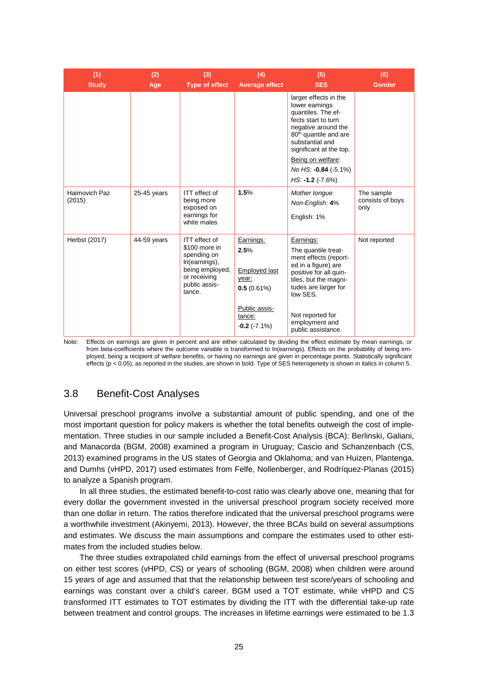| (1)<br><b>Study</b>     | (2)<br>Age  | (3)<br><b>Type of effect</b>                                                                                                 | (4)<br><b>Average effect</b>                                               | (5)<br><b>SES</b>                                                                                                                                                                                                                                                 | (6)<br><b>Gender</b>                   |
|-------------------------|-------------|------------------------------------------------------------------------------------------------------------------------------|----------------------------------------------------------------------------|-------------------------------------------------------------------------------------------------------------------------------------------------------------------------------------------------------------------------------------------------------------------|----------------------------------------|
|                         |             |                                                                                                                              |                                                                            | larger effects in the<br>lower earnings<br>quantiles. The ef-<br>fects start to turn<br>negative around the<br>80 <sup>th</sup> quantile and are<br>substantial and<br>significant at the top.<br>Being on welfare:<br>No HS: -0.84 (-5.1%)<br>$HS: -1.2 (+7.6%)$ |                                        |
| Haimovich Paz<br>(2015) | 25-45 years | ITT effect of<br>being more<br>exposed on<br>earnings for<br>white males                                                     | 1.5%                                                                       | Mother tongue<br>Non-English: 4%<br>English: 1%                                                                                                                                                                                                                   | The sample<br>consists of boys<br>only |
| Herbst (2017)           | 44-59 years | ITT effect of<br>\$100 more in<br>spending on<br>In(earnings),<br>being employed,<br>or receiving<br>public assis-<br>tance. | Earnings:<br>2.5%<br>Employed last<br>year:<br>0.5(0.61%)<br>Public assis- | Earnings:<br>The quantile treat-<br>ment effects (report-<br>ed in a figure) are<br>positive for all quin-<br>tiles, but the magni-<br>tudes are larger for<br>low SES.                                                                                           | Not reported                           |
|                         |             |                                                                                                                              | tance:<br>$-0.2$ ( $-7.1\%$ )                                              | Not reported for<br>employment and<br>public assistance.                                                                                                                                                                                                          |                                        |

Note: Effects on earnings are given in percent and are either calculated by dividing the effect estimate by mean earnings, or from beta-coefficients where the outcome variable is transformed to ln(earnings). Effects on the probability of being employed, being a recipient of welfare benefits, or having no earnings are given in percentage points. Statistically significant effects (p < 0.05), as reported in the studies, are shown in bold. Type of SES heterogeneity is shown in italics in column 5.

#### <span id="page-24-0"></span>3.8 Benefit-Cost Analyses

Universal preschool programs involve a substantial amount of public spending, and one of the most important question for policy makers is whether the total benefits outweigh the cost of implementation. Three studies in our sample included a Benefit-Cost Analysis (BCA): Berlinski, Galiani, and Manacorda (BGM, 2008) examined a program in Uruguay; Cascio and Schanzenbach (CS, 2013) examined programs in the US states of Georgia and Oklahoma; and van Huizen, Plantenga, and Dumhs (vHPD, 2017) used estimates from Felfe, Nollenberger, and Rodríquez-Planas (2015) to analyze a Spanish program.

In all three studies, the estimated benefit-to-cost ratio was clearly above one, meaning that for every dollar the government invested in the universal preschool program society received more than one dollar in return. The ratios therefore indicated that the universal preschool programs were a worthwhile investment (Akinyemi, 2013). However, the three BCAs build on several assumptions and estimates. We discuss the main assumptions and compare the estimates used to other estimates from the included studies below.

The three studies extrapolated child earnings from the effect of universal preschool programs on either test scores (vHPD, CS) or years of schooling (BGM, 2008) when children were around 15 years of age and assumed that that the relationship between test score/years of schooling and earnings was constant over a child's career. BGM used a TOT estimate, while vHPD and CS transformed ITT estimates to TOT estimates by dividing the ITT with the differential take-up rate between treatment and control groups. The increases in lifetime earnings were estimated to be 1.3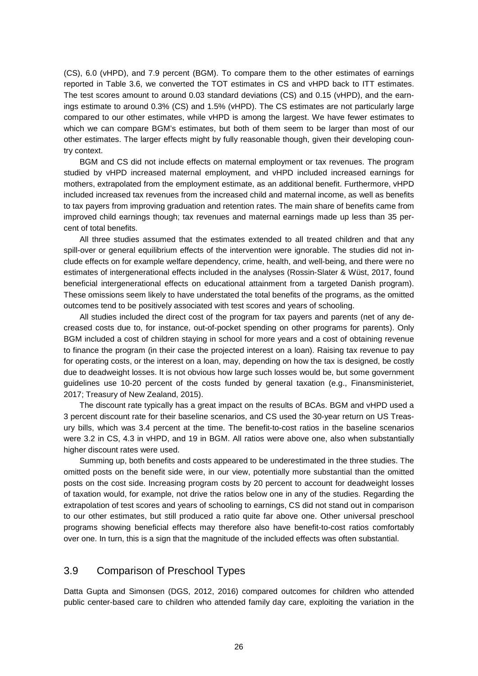(CS), 6.0 (vHPD), and 7.9 percent (BGM). To compare them to the other estimates of earnings reported in Table 3.6, we converted the TOT estimates in CS and vHPD back to ITT estimates. The test scores amount to around 0.03 standard deviations (CS) and 0.15 (vHPD), and the earnings estimate to around 0.3% (CS) and 1.5% (vHPD). The CS estimates are not particularly large compared to our other estimates, while vHPD is among the largest. We have fewer estimates to which we can compare BGM's estimates, but both of them seem to be larger than most of our other estimates. The larger effects might by fully reasonable though, given their developing country context.

BGM and CS did not include effects on maternal employment or tax revenues. The program studied by vHPD increased maternal employment, and vHPD included increased earnings for mothers, extrapolated from the employment estimate, as an additional benefit. Furthermore, vHPD included increased tax revenues from the increased child and maternal income, as well as benefits to tax payers from improving graduation and retention rates. The main share of benefits came from improved child earnings though; tax revenues and maternal earnings made up less than 35 percent of total benefits.

All three studies assumed that the estimates extended to all treated children and that any spill-over or general equilibrium effects of the intervention were ignorable. The studies did not include effects on for example welfare dependency, crime, health, and well-being, and there were no estimates of intergenerational effects included in the analyses (Rossin-Slater & Wüst, 2017, found beneficial intergenerational effects on educational attainment from a targeted Danish program). These omissions seem likely to have understated the total benefits of the programs, as the omitted outcomes tend to be positively associated with test scores and years of schooling.

All studies included the direct cost of the program for tax payers and parents (net of any decreased costs due to, for instance, out-of-pocket spending on other programs for parents). Only BGM included a cost of children staying in school for more years and a cost of obtaining revenue to finance the program (in their case the projected interest on a loan). Raising tax revenue to pay for operating costs, or the interest on a loan, may, depending on how the tax is designed, be costly due to deadweight losses. It is not obvious how large such losses would be, but some government guidelines use 10-20 percent of the costs funded by general taxation (e.g., Finansministeriet, 2017; Treasury of New Zealand, 2015).

The discount rate typically has a great impact on the results of BCAs. BGM and vHPD used a 3 percent discount rate for their baseline scenarios, and CS used the 30-year return on US Treasury bills, which was 3.4 percent at the time. The benefit-to-cost ratios in the baseline scenarios were 3.2 in CS, 4.3 in vHPD, and 19 in BGM. All ratios were above one, also when substantially higher discount rates were used.

Summing up, both benefits and costs appeared to be underestimated in the three studies. The omitted posts on the benefit side were, in our view, potentially more substantial than the omitted posts on the cost side. Increasing program costs by 20 percent to account for deadweight losses of taxation would, for example, not drive the ratios below one in any of the studies. Regarding the extrapolation of test scores and years of schooling to earnings, CS did not stand out in comparison to our other estimates, but still produced a ratio quite far above one. Other universal preschool programs showing beneficial effects may therefore also have benefit-to-cost ratios comfortably over one. In turn, this is a sign that the magnitude of the included effects was often substantial.

#### <span id="page-25-0"></span>3.9 Comparison of Preschool Types

Datta Gupta and Simonsen (DGS, 2012, 2016) compared outcomes for children who attended public center-based care to children who attended family day care, exploiting the variation in the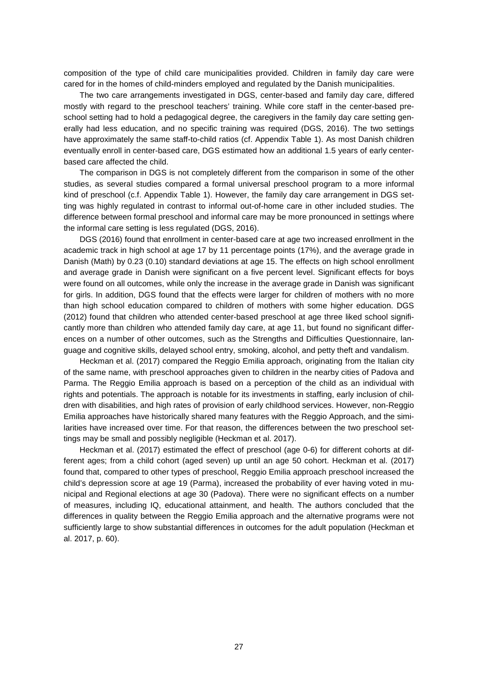composition of the type of child care municipalities provided. Children in family day care were cared for in the homes of child-minders employed and regulated by the Danish municipalities.

The two care arrangements investigated in DGS, center-based and family day care, differed mostly with regard to the preschool teachers' training. While core staff in the center-based preschool setting had to hold a pedagogical degree, the caregivers in the family day care setting generally had less education, and no specific training was required (DGS, 2016). The two settings have approximately the same staff-to-child ratios (cf. Appendix Table 1). As most Danish children eventually enroll in center-based care, DGS estimated how an additional 1.5 years of early centerbased care affected the child.

The comparison in DGS is not completely different from the comparison in some of the other studies, as several studies compared a formal universal preschool program to a more informal kind of preschool (c.f. Appendix Table 1). However, the family day care arrangement in DGS setting was highly regulated in contrast to informal out-of-home care in other included studies. The difference between formal preschool and informal care may be more pronounced in settings where the informal care setting is less regulated (DGS, 2016).

DGS (2016) found that enrollment in center-based care at age two increased enrollment in the academic track in high school at age 17 by 11 percentage points (17%), and the average grade in Danish (Math) by 0.23 (0.10) standard deviations at age 15. The effects on high school enrollment and average grade in Danish were significant on a five percent level. Significant effects for boys were found on all outcomes, while only the increase in the average grade in Danish was significant for girls. In addition, DGS found that the effects were larger for children of mothers with no more than high school education compared to children of mothers with some higher education. DGS (2012) found that children who attended center-based preschool at age three liked school significantly more than children who attended family day care, at age 11, but found no significant differences on a number of other outcomes, such as the Strengths and Difficulties Questionnaire, language and cognitive skills, delayed school entry, smoking, alcohol, and petty theft and vandalism.

Heckman et al. (2017) compared the Reggio Emilia approach, originating from the Italian city of the same name, with preschool approaches given to children in the nearby cities of Padova and Parma. The Reggio Emilia approach is based on a perception of the child as an individual with rights and potentials. The approach is notable for its investments in staffing, early inclusion of children with disabilities, and high rates of provision of early childhood services. However, non-Reggio Emilia approaches have historically shared many features with the Reggio Approach, and the similarities have increased over time. For that reason, the differences between the two preschool settings may be small and possibly negligible (Heckman et al. 2017).

Heckman et al. (2017) estimated the effect of preschool (age 0-6) for different cohorts at different ages; from a child cohort (aged seven) up until an age 50 cohort. Heckman et al. (2017) found that, compared to other types of preschool, Reggio Emilia approach preschool increased the child's depression score at age 19 (Parma), increased the probability of ever having voted in municipal and Regional elections at age 30 (Padova). There were no significant effects on a number of measures, including IQ, educational attainment, and health. The authors concluded that the differences in quality between the Reggio Emilia approach and the alternative programs were not sufficiently large to show substantial differences in outcomes for the adult population (Heckman et al. 2017, p. 60).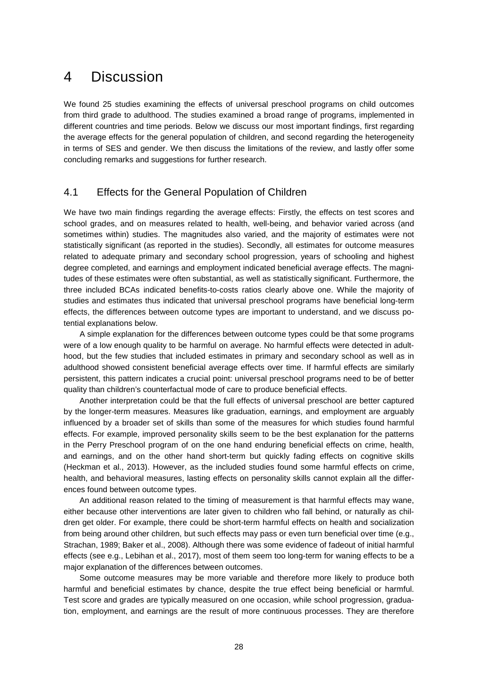### <span id="page-27-0"></span>4 Discussion

We found 25 studies examining the effects of universal preschool programs on child outcomes from third grade to adulthood. The studies examined a broad range of programs, implemented in different countries and time periods. Below we discuss our most important findings, first regarding the average effects for the general population of children, and second regarding the heterogeneity in terms of SES and gender. We then discuss the limitations of the review, and lastly offer some concluding remarks and suggestions for further research.

#### <span id="page-27-1"></span>4.1 Effects for the General Population of Children

We have two main findings regarding the average effects: Firstly, the effects on test scores and school grades, and on measures related to health, well-being, and behavior varied across (and sometimes within) studies. The magnitudes also varied, and the majority of estimates were not statistically significant (as reported in the studies). Secondly, all estimates for outcome measures related to adequate primary and secondary school progression, years of schooling and highest degree completed, and earnings and employment indicated beneficial average effects. The magnitudes of these estimates were often substantial, as well as statistically significant. Furthermore, the three included BCAs indicated benefits-to-costs ratios clearly above one. While the majority of studies and estimates thus indicated that universal preschool programs have beneficial long-term effects, the differences between outcome types are important to understand, and we discuss potential explanations below.

A simple explanation for the differences between outcome types could be that some programs were of a low enough quality to be harmful on average. No harmful effects were detected in adulthood, but the few studies that included estimates in primary and secondary school as well as in adulthood showed consistent beneficial average effects over time. If harmful effects are similarly persistent, this pattern indicates a crucial point: universal preschool programs need to be of better quality than children's counterfactual mode of care to produce beneficial effects.

Another interpretation could be that the full effects of universal preschool are better captured by the longer-term measures. Measures like graduation, earnings, and employment are arguably influenced by a broader set of skills than some of the measures for which studies found harmful effects. For example, improved personality skills seem to be the best explanation for the patterns in the Perry Preschool program of on the one hand enduring beneficial effects on crime, health, and earnings, and on the other hand short-term but quickly fading effects on cognitive skills (Heckman et al., 2013). However, as the included studies found some harmful effects on crime, health, and behavioral measures, lasting effects on personality skills cannot explain all the differences found between outcome types.

An additional reason related to the timing of measurement is that harmful effects may wane, either because other interventions are later given to children who fall behind, or naturally as children get older. For example, there could be short-term harmful effects on health and socialization from being around other children, but such effects may pass or even turn beneficial over time (e.g., Strachan, 1989; Baker et al., 2008). Although there was some evidence of fadeout of initial harmful effects (see e.g., Lebihan et al., 2017), most of them seem too long-term for waning effects to be a major explanation of the differences between outcomes.

Some outcome measures may be more variable and therefore more likely to produce both harmful and beneficial estimates by chance, despite the true effect being beneficial or harmful. Test score and grades are typically measured on one occasion, while school progression, graduation, employment, and earnings are the result of more continuous processes. They are therefore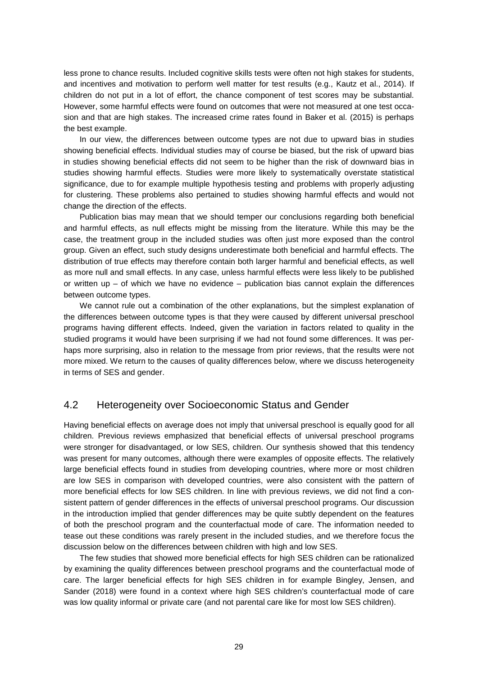less prone to chance results. Included cognitive skills tests were often not high stakes for students, and incentives and motivation to perform well matter for test results (e.g., Kautz et al., 2014). If children do not put in a lot of effort, the chance component of test scores may be substantial. However, some harmful effects were found on outcomes that were not measured at one test occasion and that are high stakes. The increased crime rates found in Baker et al. (2015) is perhaps the best example.

In our view, the differences between outcome types are not due to upward bias in studies showing beneficial effects. Individual studies may of course be biased, but the risk of upward bias in studies showing beneficial effects did not seem to be higher than the risk of downward bias in studies showing harmful effects. Studies were more likely to systematically overstate statistical significance, due to for example multiple hypothesis testing and problems with properly adjusting for clustering. These problems also pertained to studies showing harmful effects and would not change the direction of the effects.

Publication bias may mean that we should temper our conclusions regarding both beneficial and harmful effects, as null effects might be missing from the literature. While this may be the case, the treatment group in the included studies was often just more exposed than the control group. Given an effect, such study designs underestimate both beneficial and harmful effects. The distribution of true effects may therefore contain both larger harmful and beneficial effects, as well as more null and small effects. In any case, unless harmful effects were less likely to be published or written up  $-$  of which we have no evidence  $-$  publication bias cannot explain the differences between outcome types.

We cannot rule out a combination of the other explanations, but the simplest explanation of the differences between outcome types is that they were caused by different universal preschool programs having different effects. Indeed, given the variation in factors related to quality in the studied programs it would have been surprising if we had not found some differences. It was perhaps more surprising, also in relation to the message from prior reviews, that the results were not more mixed. We return to the causes of quality differences below, where we discuss heterogeneity in terms of SES and gender.

#### <span id="page-28-0"></span>4.2 Heterogeneity over Socioeconomic Status and Gender

Having beneficial effects on average does not imply that universal preschool is equally good for all children. Previous reviews emphasized that beneficial effects of universal preschool programs were stronger for disadvantaged, or low SES, children. Our synthesis showed that this tendency was present for many outcomes, although there were examples of opposite effects. The relatively large beneficial effects found in studies from developing countries, where more or most children are low SES in comparison with developed countries, were also consistent with the pattern of more beneficial effects for low SES children. In line with previous reviews, we did not find a consistent pattern of gender differences in the effects of universal preschool programs. Our discussion in the introduction implied that gender differences may be quite subtly dependent on the features of both the preschool program and the counterfactual mode of care. The information needed to tease out these conditions was rarely present in the included studies, and we therefore focus the discussion below on the differences between children with high and low SES.

The few studies that showed more beneficial effects for high SES children can be rationalized by examining the quality differences between preschool programs and the counterfactual mode of care. The larger beneficial effects for high SES children in for example Bingley, Jensen, and Sander (2018) were found in a context where high SES children's counterfactual mode of care was low quality informal or private care (and not parental care like for most low SES children).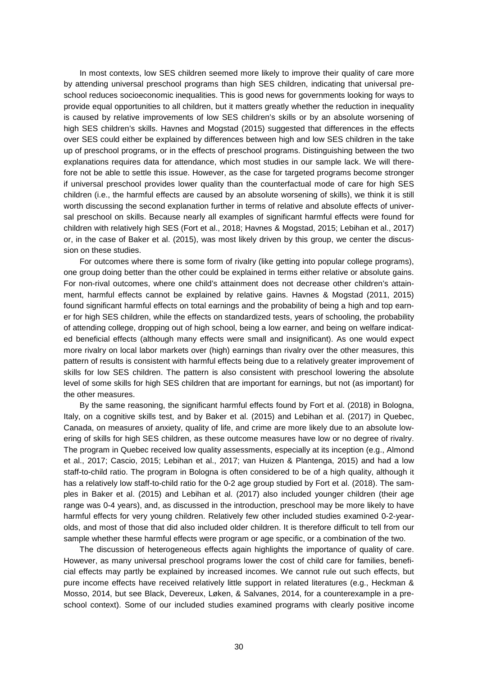In most contexts, low SES children seemed more likely to improve their quality of care more by attending universal preschool programs than high SES children, indicating that universal preschool reduces socioeconomic inequalities. This is good news for governments looking for ways to provide equal opportunities to all children, but it matters greatly whether the reduction in inequality is caused by relative improvements of low SES children's skills or by an absolute worsening of high SES children's skills. Havnes and Mogstad (2015) suggested that differences in the effects over SES could either be explained by differences between high and low SES children in the take up of preschool programs, or in the effects of preschool programs. Distinguishing between the two explanations requires data for attendance, which most studies in our sample lack. We will therefore not be able to settle this issue. However, as the case for targeted programs become stronger if universal preschool provides lower quality than the counterfactual mode of care for high SES children (i.e., the harmful effects are caused by an absolute worsening of skills), we think it is still worth discussing the second explanation further in terms of relative and absolute effects of universal preschool on skills. Because nearly all examples of significant harmful effects were found for children with relatively high SES (Fort et al., 2018; Havnes & Mogstad, 2015; Lebihan et al., 2017) or, in the case of Baker et al. (2015), was most likely driven by this group, we center the discussion on these studies.

For outcomes where there is some form of rivalry (like getting into popular college programs), one group doing better than the other could be explained in terms either relative or absolute gains. For non-rival outcomes, where one child's attainment does not decrease other children's attainment, harmful effects cannot be explained by relative gains. Havnes & Mogstad (2011, 2015) found significant harmful effects on total earnings and the probability of being a high and top earner for high SES children, while the effects on standardized tests, years of schooling, the probability of attending college, dropping out of high school, being a low earner, and being on welfare indicated beneficial effects (although many effects were small and insignificant). As one would expect more rivalry on local labor markets over (high) earnings than rivalry over the other measures, this pattern of results is consistent with harmful effects being due to a relatively greater improvement of skills for low SES children. The pattern is also consistent with preschool lowering the absolute level of some skills for high SES children that are important for earnings, but not (as important) for the other measures.

By the same reasoning, the significant harmful effects found by Fort et al. (2018) in Bologna, Italy, on a cognitive skills test, and by Baker et al. (2015) and Lebihan et al. (2017) in Quebec, Canada, on measures of anxiety, quality of life, and crime are more likely due to an absolute lowering of skills for high SES children, as these outcome measures have low or no degree of rivalry. The program in Quebec received low quality assessments, especially at its inception (e.g., Almond et al., 2017; Cascio, 2015; Lebihan et al., 2017; van Huizen & Plantenga, 2015) and had a low staff-to-child ratio. The program in Bologna is often considered to be of a high quality, although it has a relatively low staff-to-child ratio for the 0-2 age group studied by Fort et al. (2018). The samples in Baker et al. (2015) and Lebihan et al. (2017) also included younger children (their age range was 0-4 years), and, as discussed in the introduction, preschool may be more likely to have harmful effects for very young children. Relatively few other included studies examined 0-2-yearolds, and most of those that did also included older children. It is therefore difficult to tell from our sample whether these harmful effects were program or age specific, or a combination of the two.

The discussion of heterogeneous effects again highlights the importance of quality of care. However, as many universal preschool programs lower the cost of child care for families, beneficial effects may partly be explained by increased incomes. We cannot rule out such effects, but pure income effects have received relatively little support in related literatures (e.g., Heckman & Mosso, 2014, but see Black, Devereux, Løken, & Salvanes, 2014, for a counterexample in a preschool context). Some of our included studies examined programs with clearly positive income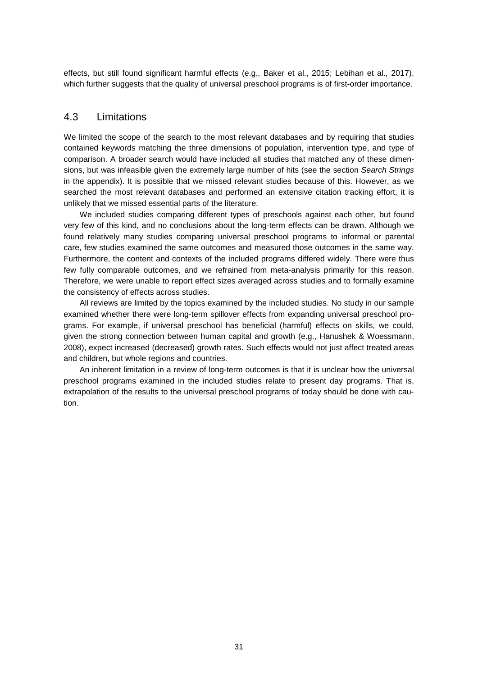<span id="page-30-0"></span>effects, but still found significant harmful effects (e.g., Baker et al., 2015; Lebihan et al., 2017), which further suggests that the quality of universal preschool programs is of first-order importance.

#### 4.3 Limitations

We limited the scope of the search to the most relevant databases and by requiring that studies contained keywords matching the three dimensions of population, intervention type, and type of comparison. A broader search would have included all studies that matched any of these dimensions, but was infeasible given the extremely large number of hits (see the section *Search Strings* in the appendix). It is possible that we missed relevant studies because of this. However, as we searched the most relevant databases and performed an extensive citation tracking effort, it is unlikely that we missed essential parts of the literature.

We included studies comparing different types of preschools against each other, but found very few of this kind, and no conclusions about the long-term effects can be drawn. Although we found relatively many studies comparing universal preschool programs to informal or parental care, few studies examined the same outcomes and measured those outcomes in the same way. Furthermore, the content and contexts of the included programs differed widely. There were thus few fully comparable outcomes, and we refrained from meta-analysis primarily for this reason. Therefore, we were unable to report effect sizes averaged across studies and to formally examine the consistency of effects across studies.

All reviews are limited by the topics examined by the included studies. No study in our sample examined whether there were long-term spillover effects from expanding universal preschool programs. For example, if universal preschool has beneficial (harmful) effects on skills, we could, given the strong connection between human capital and growth (e.g., Hanushek & Woessmann, 2008), expect increased (decreased) growth rates. Such effects would not just affect treated areas and children, but whole regions and countries.

An inherent limitation in a review of long-term outcomes is that it is unclear how the universal preschool programs examined in the included studies relate to present day programs. That is, extrapolation of the results to the universal preschool programs of today should be done with caution.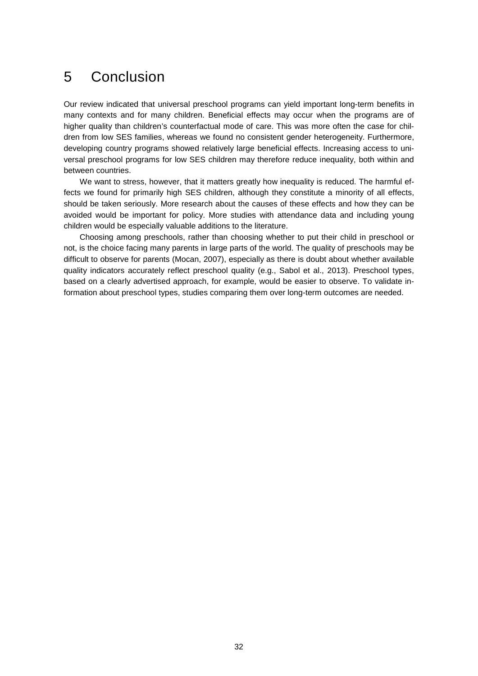### <span id="page-31-0"></span>5 Conclusion

Our review indicated that universal preschool programs can yield important long-term benefits in many contexts and for many children. Beneficial effects may occur when the programs are of higher quality than children's counterfactual mode of care. This was more often the case for children from low SES families, whereas we found no consistent gender heterogeneity. Furthermore, developing country programs showed relatively large beneficial effects. Increasing access to universal preschool programs for low SES children may therefore reduce inequality, both within and between countries.

We want to stress, however, that it matters greatly how inequality is reduced. The harmful effects we found for primarily high SES children, although they constitute a minority of all effects, should be taken seriously. More research about the causes of these effects and how they can be avoided would be important for policy. More studies with attendance data and including young children would be especially valuable additions to the literature.

Choosing among preschools, rather than choosing whether to put their child in preschool or not, is the choice facing many parents in large parts of the world. The quality of preschools may be difficult to observe for parents (Mocan, 2007), especially as there is doubt about whether available quality indicators accurately reflect preschool quality (e.g., Sabol et al., 2013). Preschool types, based on a clearly advertised approach, for example, would be easier to observe. To validate information about preschool types, studies comparing them over long-term outcomes are needed.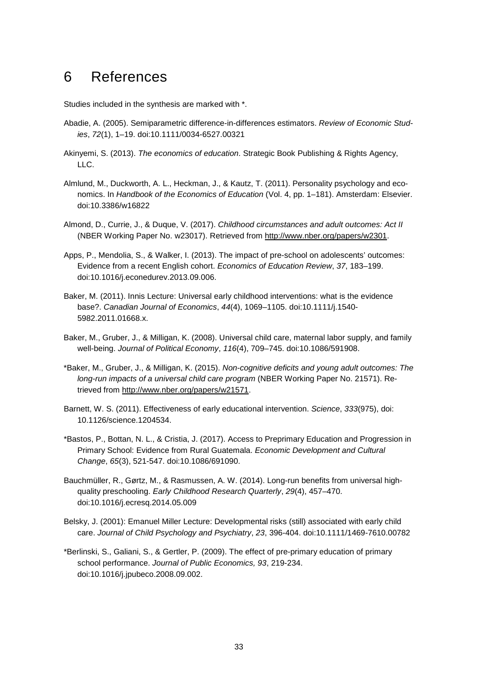### <span id="page-32-0"></span>6 References

Studies included in the synthesis are marked with \*.

- Abadie, A. (2005). Semiparametric difference-in-differences estimators. *Review of Economic Studies*, *72*(1), 1–19. doi:10.1111/0034-6527.00321
- Akinyemi, S. (2013). *The economics of education*. Strategic Book Publishing & Rights Agency, LLC.
- Almlund, M., Duckworth, A. L., Heckman, J., & Kautz, T. (2011). Personality psychology and economics. In *Handbook of the Economics of Education* (Vol. 4, pp. 1–181). Amsterdam: Elsevier. doi:10.3386/w16822
- Almond, D., Currie, J., & Duque, V. (2017). *Childhood circumstances and adult outcomes: Act II* (NBER Working Paper No. w23017). Retrieved from [http://www.nber.org/papers/w2301.](http://www.nber.org/papers/w2301)
- Apps, P., Mendolia, S., & Walker, I. (2013). The impact of pre-school on adolescents' outcomes: Evidence from a recent English cohort. *Economics of Education Review*, *37*, 183–199. doi:10.1016/j.econedurev.2013.09.006.
- Baker, M. (2011). Innis Lecture: Universal early childhood interventions: what is the evidence base?. *Canadian Journal of Economics*, *44*(4), 1069–1105. doi:10.1111/j.1540- 5982.2011.01668.x.
- Baker, M., Gruber, J., & Milligan, K. (2008). Universal child care, maternal labor supply, and family well-being. *Journal of Political Economy*, *116*(4), 709–745. doi:10.1086/591908.
- \*Baker, M., Gruber, J., & Milligan, K. (2015). *Non-cognitive deficits and young adult outcomes: The long-run impacts of a universal child care program* (NBER Working Paper No. 21571). Retrieved from [http://www.nber.org/papers/w21571.](http://www.nber.org/papers/w21571)
- Barnett, W. S. (2011). Effectiveness of early educational intervention. *Science*, *333*(975), doi: 10.1126/science.1204534.
- \*Bastos, P., Bottan, N. L., & Cristia, J. (2017). Access to Preprimary Education and Progression in Primary School: Evidence from Rural Guatemala. *Economic Development and Cultural Change*, *65*(3), 521-547. doi:10.1086/691090.
- Bauchmüller, R., Gørtz, M., & Rasmussen, A. W. (2014). Long-run benefits from universal highquality preschooling. *Early Childhood Research Quarterly*, *29*(4), 457–470. doi:10.1016/j.ecresq.2014.05.009
- Belsky, J. (2001): Emanuel Miller Lecture: Developmental risks (still) associated with early child care. *Journal of Child Psychology and Psychiatry*, *23*, 396-404. doi:10.1111/1469-7610.00782
- \*Berlinski, S., Galiani, S., & Gertler, P. (2009). The effect of pre-primary education of primary school performance. *Journal of Public Economics, 93*, 219-234. doi:10.1016/j.jpubeco.2008.09.002.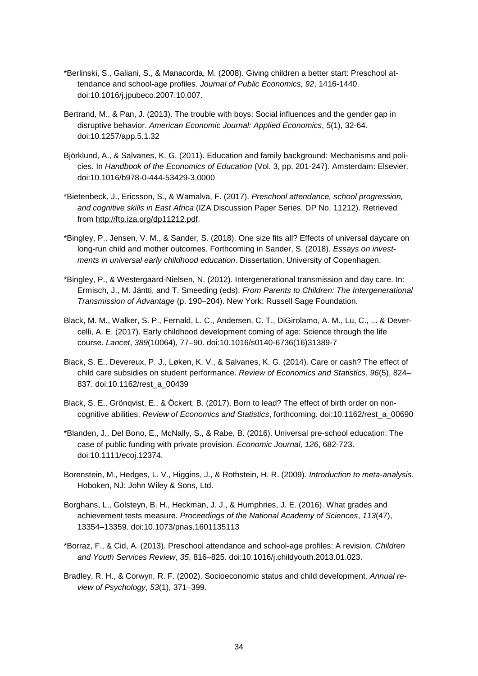- \*Berlinski, S., Galiani, S., & Manacorda, M. (2008). Giving children a better start: Preschool attendance and school-age profiles. *Journal of Public Economics, 92*, 1416-1440. doi:10.1016/j.jpubeco.2007.10.007.
- Bertrand, M., & Pan, J. (2013). The trouble with boys: Social influences and the gender gap in disruptive behavior. *American Economic Journal: Applied Economics*, *5*(1), 32-64. doi:10.1257/app.5.1.32
- Björklund, A., & Salvanes, K. G. (2011). Education and family background: Mechanisms and policies. In *Handbook of the Economics of Education* (Vol. 3, pp. 201-247). Amsterdam: Elsevier. doi:10.1016/b978-0-444-53429-3.0000
- \*Bietenbeck, J., Ericsson, S., & Wamalva, F. (2017). *Preschool attendance, school progression, and cognitive skills in East Africa* (IZA Discussion Paper Series, DP No. 11212). Retrieved from [http://ftp.iza.org/dp11212.pdf.](http://ftp.iza.org/dp11212.pdf)
- \*Bingley, P., Jensen, V. M., & Sander, S. (2018). One size fits all? Effects of universal daycare on long-run child and mother outcomes. Forthcoming in Sander, S. (2018). *Essays on investments in universal early childhood education*. Dissertation, University of Copenhagen.
- \*Bingley, P., & Westergaard-Nielsen, N. (2012). Intergenerational transmission and day care. In: Ermisch, J., M. Jäntti, and T. Smeeding (eds). *From Parents to Children: The Intergenerational Transmission of Advantage* (p. 190–204). New York: Russell Sage Foundation.
- Black, M. M., Walker, S. P., Fernald, L. C., Andersen, C. T., DiGirolamo, A. M., Lu, C., ... & Devercelli, A. E. (2017). Early childhood development coming of age: Science through the life course. *Lancet*, *389*(10064), 77–90. doi:10.1016/s0140-6736(16)31389-7
- Black, S. E., Devereux, P. J., Løken, K. V., & Salvanes, K. G. (2014). Care or cash? The effect of child care subsidies on student performance. *Review of Economics and Statistics*, *96*(5), 824– 837. doi:10.1162/rest\_a\_00439
- Black, S. E., Grönqvist, E., & Öckert, B. (2017). Born to lead? The effect of birth order on noncognitive abilities. *Review of Economics and Statistics*, forthcoming. doi:10.1162/rest\_a\_00690
- \*Blanden, J., Del Bono, E., McNally, S., & Rabe, B. (2016). Universal pre-school education: The case of public funding with private provision. *Economic Journal, 126*, 682-723. doi:10.1111/ecoj.12374.
- Borenstein, M., Hedges, L. V., Higgins, J., & Rothstein, H. R. (2009). *Introduction to meta-analysis*. Hoboken, NJ: John Wiley & Sons, Ltd.
- Borghans, L., Golsteyn, B. H., Heckman, J. J., & Humphries, J. E. (2016). What grades and achievement tests measure. *Proceedings of the National Academy of Sciences*, *113*(47), 13354–13359. doi:10.1073/pnas.1601135113
- \*Borraz, F., & Cid, A. (2013). Preschool attendance and school-age profiles: A revision. *Children and Youth Services Review*, *35*, 816–825. doi:10.1016/j.childyouth.2013.01.023.
- Bradley, R. H., & Corwyn, R. F. (2002). Socioeconomic status and child development. *Annual review of Psychology*, *53*(1), 371–399.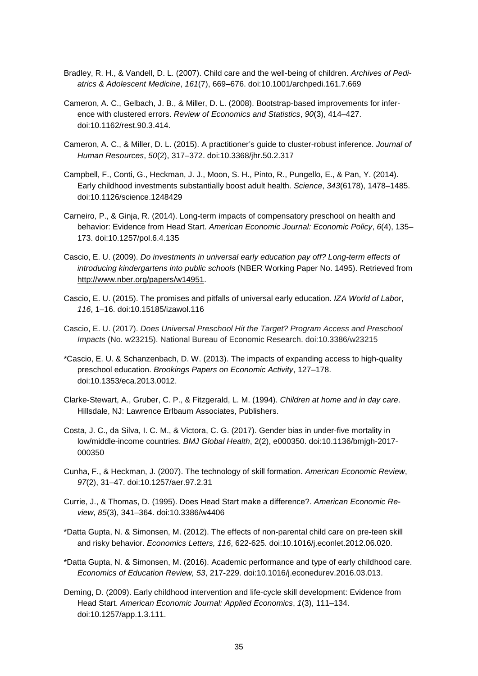- Bradley, R. H., & Vandell, D. L. (2007). Child care and the well-being of children. *Archives of Pediatrics & Adolescent Medicine*, *161*(7), 669–676. doi:10.1001/archpedi.161.7.669
- Cameron, A. C., Gelbach, J. B., & Miller, D. L. (2008). Bootstrap-based improvements for inference with clustered errors. *Review of Economics and Statistics*, *90*(3), 414–427. doi:10.1162/rest.90.3.414.
- Cameron, A. C., & Miller, D. L. (2015). A practitioner's guide to cluster-robust inference. *Journal of Human Resources*, *50*(2), 317–372. doi:10.3368/jhr.50.2.317
- Campbell, F., Conti, G., Heckman, J. J., Moon, S. H., Pinto, R., Pungello, E., & Pan, Y. (2014). Early childhood investments substantially boost adult health. *Science*, *343*(6178), 1478–1485. doi:10.1126/science.1248429
- Carneiro, P., & Ginja, R. (2014). Long-term impacts of compensatory preschool on health and behavior: Evidence from Head Start. *American Economic Journal: Economic Policy*, *6*(4), 135– 173. doi:10.1257/pol.6.4.135
- Cascio, E. U. (2009). *Do investments in universal early education pay off? Long-term effects of introducing kindergartens into public schools* (NBER Working Paper No. 1495). Retrieved from [http://www.nber.org/papers/w14951.](http://www.nber.org/papers/w14951)
- Cascio, E. U. (2015). The promises and pitfalls of universal early education. *IZA World of Labor*, *116*, 1–16. doi:10.15185/izawol.116
- Cascio, E. U. (2017). *Does Universal Preschool Hit the Target? Program Access and Preschool Impacts* (No. w23215). National Bureau of Economic Research. doi:10.3386/w23215
- \*Cascio, E. U. & Schanzenbach, D. W. (2013). The impacts of expanding access to high-quality preschool education. *Brookings Papers on Economic Activity*, 127–178. doi:10.1353/eca.2013.0012.
- Clarke-Stewart, A., Gruber, C. P., & Fitzgerald, L. M. (1994). *Children at home and in day care*. Hillsdale, NJ: Lawrence Erlbaum Associates, Publishers.
- Costa, J. C., da Silva, I. C. M., & Victora, C. G. (2017). Gender bias in under-five mortality in low/middle-income countries. *BMJ Global Health*, 2(2), e000350. doi:10.1136/bmjgh-2017- 000350
- Cunha, F., & Heckman, J. (2007). The technology of skill formation. *American Economic Review*, *97*(2), 31–47. doi:10.1257/aer.97.2.31
- Currie, J., & Thomas, D. (1995). Does Head Start make a difference?. *American Economic Review*, *85*(3), 341–364. doi:10.3386/w4406
- \*Datta Gupta, N. & Simonsen, M. (2012). The effects of non-parental child care on pre-teen skill and risky behavior. *Economics Letters, 116*, 622-625. doi:10.1016/j.econlet.2012.06.020.
- \*Datta Gupta, N. & Simonsen, M. (2016). Academic performance and type of early childhood care. *Economics of Education Review, 53*, 217-229. doi:10.1016/j.econedurev.2016.03.013.
- Deming, D. (2009). Early childhood intervention and life-cycle skill development: Evidence from Head Start. *American Economic Journal: Applied Economics*, *1*(3), 111–134. doi:10.1257/app.1.3.111.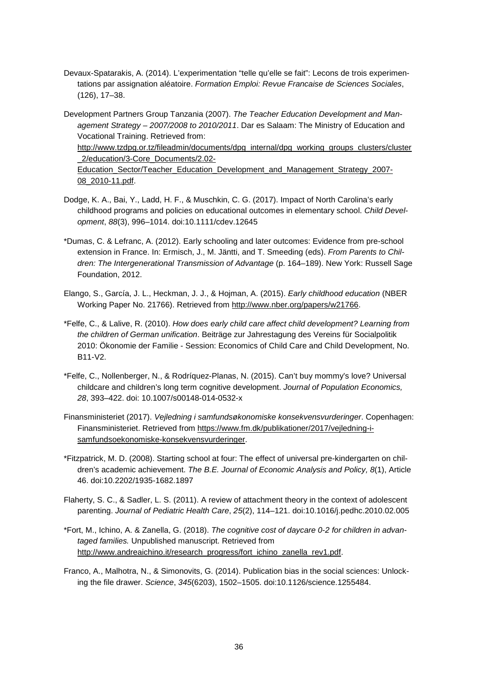- Devaux-Spatarakis, A. (2014). L'experimentation "telle qu'elle se fait": Lecons de trois experimentations par assignation aléatoire. *Formation Emploi: Revue Francaise de Sciences Sociales*, (126), 17–38.
- Development Partners Group Tanzania (2007). *The Teacher Education Development and Management Strategy – 2007/2008 to 2010/2011*. Dar es Salaam: The Ministry of Education and Vocational Training. Retrieved from: [http://www.tzdpg.or.tz/fileadmin/documents/dpg\\_internal/dpg\\_working\\_groups\\_clusters/cluster](http://www.tzdpg.or.tz/fileadmin/documents/dpg_internal/dpg_working_groups_clusters/cluster_2/education/3-Core_Documents/2.02-Education_Sector/Teacher_Education_Development_and_Management_Strategy_2007-08_2010-11.pdf) [\\_2/education/3-Core\\_Documents/2.02-](http://www.tzdpg.or.tz/fileadmin/documents/dpg_internal/dpg_working_groups_clusters/cluster_2/education/3-Core_Documents/2.02-Education_Sector/Teacher_Education_Development_and_Management_Strategy_2007-08_2010-11.pdf) [Education\\_Sector/Teacher\\_Education\\_Development\\_and\\_Management\\_Strategy\\_2007-](http://www.tzdpg.or.tz/fileadmin/documents/dpg_internal/dpg_working_groups_clusters/cluster_2/education/3-Core_Documents/2.02-Education_Sector/Teacher_Education_Development_and_Management_Strategy_2007-08_2010-11.pdf) [08\\_2010-11.pdf.](http://www.tzdpg.or.tz/fileadmin/documents/dpg_internal/dpg_working_groups_clusters/cluster_2/education/3-Core_Documents/2.02-Education_Sector/Teacher_Education_Development_and_Management_Strategy_2007-08_2010-11.pdf)
- Dodge, K. A., Bai, Y., Ladd, H. F., & Muschkin, C. G. (2017). Impact of North Carolina's early childhood programs and policies on educational outcomes in elementary school. *Child Development*, *88*(3), 996–1014. doi:10.1111/cdev.12645
- \*Dumas, C. & Lefranc, A. (2012). Early schooling and later outcomes: Evidence from pre-school extension in France. In: Ermisch, J., M. Jäntti, and T. Smeeding (eds). *From Parents to Chil*dren: The Intergenerational Transmission of Advantage (p. 164–189). New York: Russell Sage Foundation, 2012.
- Elango, S., García, J. L., Heckman, J. J., & Hojman, A. (2015). *Early childhood education* (NBER Working Paper No. 21766). Retrieved from [http://www.nber.org/papers/w21766.](http://www.nber.org/papers/w21766)
- \*Felfe, C., & Lalive, R. (2010). *How does early child care affect child development? Learning from the children of German unification*. Beiträge zur Jahrestagung des Vereins für Socialpolitik 2010: Ökonomie der Familie - Session: Economics of Child Care and Child Development, No. B11-V2.
- \*Felfe, C., Nollenberger, N., & Rodríquez-Planas, N. (2015). Can't buy mommy's love? Universal childcare and children's long term cognitive development. *Journal of Population Economics, 28*, 393–422. doi: 10.1007/s00148-014-0532-x
- Finansministeriet (2017). *Vejledning i samfundsøkonomiske konsekvensvurderinger*. Copenhagen: Finansministeriet. Retrieved from [https://www.fm.dk/publikationer/2017/vejledning-i](https://www.fm.dk/publikationer/2017/vejledning-i-samfundsoekonomiske-konsekvensvurderinger)[samfundsoekonomiske-konsekvensvurderinger.](https://www.fm.dk/publikationer/2017/vejledning-i-samfundsoekonomiske-konsekvensvurderinger)
- \*Fitzpatrick, M. D. (2008). Starting school at four: The effect of universal pre-kindergarten on children's academic achievement. *The B.E. Journal of Economic Analysis and Policy, 8*(1), Article 46. doi:10.2202/1935-1682.1897
- Flaherty, S. C., & Sadler, L. S. (2011). A review of attachment theory in the context of adolescent parenting. *Journal of Pediatric Health Care*, *25*(2), 114–121. doi:10.1016/j.pedhc.2010.02.005
- \*Fort, M., Ichino, A. & Zanella, G. (2018). *The cognitive cost of daycare 0-2 for children in advantaged families.* Unpublished manuscript. Retrieved from [http://www.andreaichino.it/research\\_progress/fort\\_ichino\\_zanella\\_rev1.pdf.](http://www.andreaichino.it/research_progress/fort_ichino_zanella_rev1.pdf)
- Franco, A., Malhotra, N., & Simonovits, G. (2014). Publication bias in the social sciences: Unlocking the file drawer. *Science*, *345*(6203), 1502–1505. doi:10.1126/science.1255484.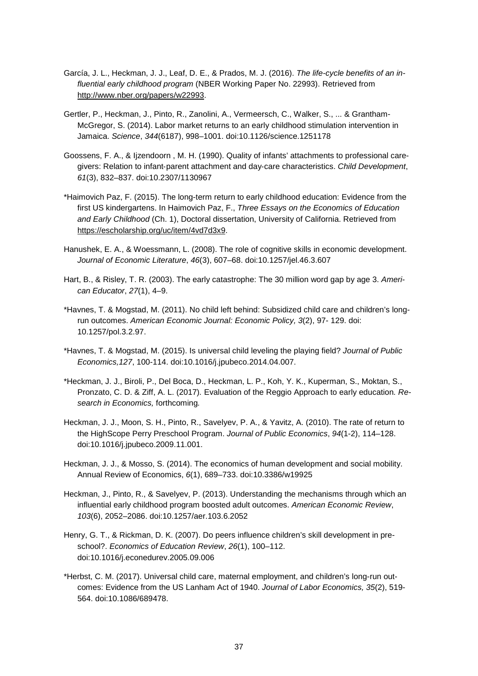- García, J. L., Heckman, J. J., Leaf, D. E., & Prados, M. J. (2016). *The life-cycle benefits of an influential early childhood program* (NBER Working Paper No. 22993). Retrieved from [http://www.nber.org/papers/w22993.](http://www.nber.org/papers/w22993)
- Gertler, P., Heckman, J., Pinto, R., Zanolini, A., Vermeersch, C., Walker, S., ... & Grantham-McGregor, S. (2014). Labor market returns to an early childhood stimulation intervention in Jamaica. *Science*, *344*(6187), 998–1001. doi:10.1126/science.1251178
- Goossens, F. A., & Ijzendoorn , M. H. (1990). Quality of infants' attachments to professional caregivers: Relation to infant‐parent attachment and day‐care characteristics. *Child Development*, *61*(3), 832–837. doi:10.2307/1130967
- \*Haimovich Paz, F. (2015). The long-term return to early childhood education: Evidence from the first US kindergartens. In Haimovich Paz, F., *Three Essays on the Economics of Education and Early Childhood* (Ch. 1), Doctoral dissertation, University of California. Retrieved from [https://escholarship.org/uc/item/4vd7d3x9.](https://escholarship.org/uc/item/4vd7d3x9)
- Hanushek, E. A., & Woessmann, L. (2008). The role of cognitive skills in economic development. *Journal of Economic Literature*, *46*(3), 607–68. doi:10.1257/jel.46.3.607
- Hart, B., & Risley, T. R. (2003). The early catastrophe: The 30 million word gap by age 3. *American Educator*, *27*(1), 4–9.
- \*Havnes, T. & Mogstad, M. (2011). No child left behind: Subsidized child care and children's longrun outcomes. *American Economic Journal: Economic Policy, 3*(2), 97- 129. doi: 10.1257/pol.3.2.97.
- \*Havnes, T. & Mogstad, M. (2015). Is universal child leveling the playing field? *Journal of Public Economics,127*, 100-114. doi:10.1016/j.jpubeco.2014.04.007.
- \*Heckman, J. J., Biroli, P., Del Boca, D., Heckman, L. P., Koh, Y. K., Kuperman, S., Moktan, S., Pronzato, C. D. & Ziff, A. L. (2017)*.* Evaluation of the Reggio Approach to early education*. Research in Economics,* forthcoming*.*
- Heckman, J. J., Moon, S. H., Pinto, R., Savelyev, P. A., & Yavitz, A. (2010). The rate of return to the HighScope Perry Preschool Program. *Journal of Public Economics*, *94*(1-2), 114–128. doi:10.1016/j.jpubeco.2009.11.001.
- Heckman, J. J., & Mosso, S. (2014). The economics of human development and social mobility. Annual Review of Economics, *6*(1), 689–733. doi:10.3386/w19925
- Heckman, J., Pinto, R., & Savelyev, P. (2013). Understanding the mechanisms through which an influential early childhood program boosted adult outcomes. *American Economic Review*, *103*(6), 2052–2086. doi:10.1257/aer.103.6.2052
- Henry, G. T., & Rickman, D. K. (2007). Do peers influence children's skill development in preschool?. *Economics of Education Review*, *26*(1), 100–112. doi:10.1016/j.econedurev.2005.09.006
- \*Herbst, C. M. (2017). Universal child care, maternal employment, and children's long-run outcomes: Evidence from the US Lanham Act of 1940. *Journal of Labor Economics, 35*(2), 519- 564. doi:10.1086/689478.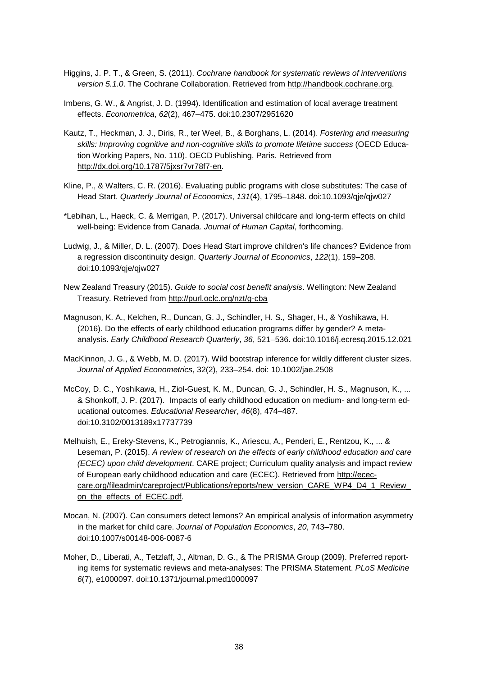- Higgins, J. P. T., & Green, S. (2011). *Cochrane handbook for systematic reviews of interventions version 5.1.0*. The Cochrane Collaboration. Retrieved from [http://handbook.cochrane.org.](http://handbook.cochrane.org/)
- Imbens, G. W., & Angrist, J. D. (1994). Identification and estimation of local average treatment effects. *Econometrica*, *62*(2), 467–475. doi:10.2307/2951620
- Kautz, T., Heckman, J. J., Diris, R., ter Weel, B., & Borghans, L. (2014). *Fostering and measuring skills: Improving cognitive and non-cognitive skills to promote lifetime success* (OECD Education Working Papers, No. 110). OECD Publishing, Paris. Retrieved from [http://dx.doi.org/10.1787/5jxsr7vr78f7-en.](http://dx.doi.org/10.1787/5jxsr7vr78f7-en)
- Kline, P., & Walters, C. R. (2016). Evaluating public programs with close substitutes: The case of Head Start. *Quarterly Journal of Economics*, *131*(4), 1795–1848. doi:10.1093/qje/qjw027
- \*Lebihan, L., Haeck, C. & Merrigan, P. (2017). Universal childcare and long-term effects on child well-being: Evidence from Canada*. Journal of Human Capital*, forthcoming.
- Ludwig, J., & Miller, D. L. (2007). Does Head Start improve children's life chances? Evidence from a regression discontinuity design. *Quarterly Journal of Economics*, *122*(1), 159–208. doi:10.1093/qje/qjw027
- New Zealand Treasury (2015). *Guide to social cost benefit analysis*. Wellington: New Zealand Treasury. Retrieved from<http://purl.oclc.org/nzt/g-cba>
- Magnuson, K. A., Kelchen, R., Duncan, G. J., Schindler, H. S., Shager, H., & Yoshikawa, H. (2016). Do the effects of early childhood education programs differ by gender? A metaanalysis. *Early Childhood Research Quarterly*, *36*, 521–536. doi:10.1016/j.ecresq.2015.12.021
- MacKinnon, J. G., & Webb, M. D. (2017). Wild bootstrap inference for wildly different cluster sizes. *Journal of Applied Econometrics*, 32(2), 233–254. doi: 10.1002/jae.2508
- McCoy, D. C., Yoshikawa, H., Ziol-Guest, K. M., Duncan, G. J., Schindler, H. S., Magnuson, K., ... & Shonkoff, J. P. (2017). Impacts of early childhood education on medium- and long-term educational outcomes. *Educational Researcher*, *46*(8), 474–487. doi:10.3102/0013189x17737739
- Melhuish, E., Ereky-Stevens, K., Petrogiannis, K., Ariescu, A., Penderi, E., Rentzou, K., ... & Leseman, P. (2015). *A review of research on the effects of early childhood education and care (ECEC) upon child development*. CARE project; Curriculum quality analysis and impact review of European early childhood education and care (ECEC). Retrieved from [http://ecec](http://ecec-care.org/fileadmin/careproject/Publications/reports/new_version_CARE_WP4_D4_1_Review_on_the_effects_of_ECEC.pdf)[care.org/fileadmin/careproject/Publications/reports/new\\_version\\_CARE\\_WP4\\_D4\\_1\\_Review\\_](http://ecec-care.org/fileadmin/careproject/Publications/reports/new_version_CARE_WP4_D4_1_Review_on_the_effects_of_ECEC.pdf) on the effects of ECEC.pdf.
- Mocan, N. (2007). Can consumers detect lemons? An empirical analysis of information asymmetry in the market for child care. *Journal of Population Economics*, *20*, 743–780. doi:10.1007/s00148-006-0087-6
- Moher, D., Liberati, A., Tetzlaff, J., Altman, D. G., & The PRISMA Group (2009). Preferred reporting items for systematic reviews and meta-analyses: The PRISMA Statement. *PLoS Medicine 6*(7), e1000097. doi:10.1371/journal.pmed1000097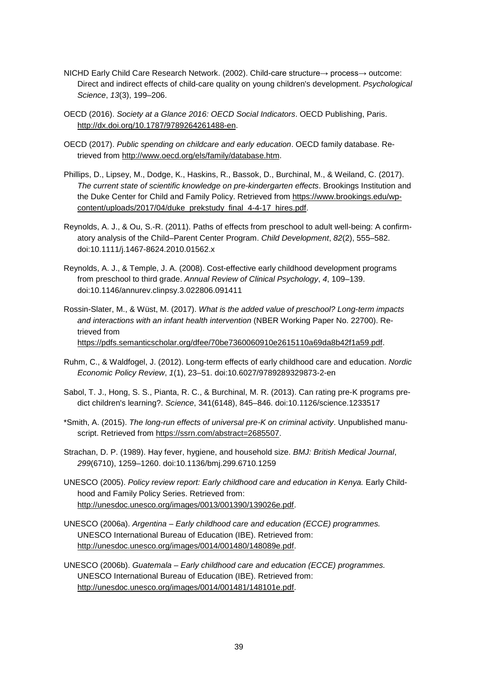- NICHD Early Child Care Research Network. (2002). Child-care structure→ process→ outcome: Direct and indirect effects of child-care quality on young children's development. *Psychological Science*, *13*(3), 199–206.
- OECD (2016). *Society at a Glance 2016: OECD Social Indicators*. OECD Publishing, Paris. [http://dx.doi.org/10.1787/9789264261488-en.](http://dx.doi.org/10.1787/9789264261488-en)
- OECD (2017). *Public spending on childcare and early education*. OECD family database. Retrieved from [http://www.oecd.org/els/family/database.htm.](http://www.oecd.org/els/family/database.htm)
- Phillips, D., Lipsey, M., Dodge, K., Haskins, R., Bassok, D., Burchinal, M., & Weiland, C. (2017). *The current state of scientific knowledge on pre-kindergarten effects*. Brookings Institution and the Duke Center for Child and Family Policy. Retrieved from [https://www.brookings.edu/wp](https://www.brookings.edu/wp-content/uploads/2017/04/duke_prekstudy_final_4-4-17_hires.pdf)[content/uploads/2017/04/duke\\_prekstudy\\_final\\_4-4-17\\_hires.pdf.](https://www.brookings.edu/wp-content/uploads/2017/04/duke_prekstudy_final_4-4-17_hires.pdf)
- Reynolds, A. J., & Ou, S.-R. (2011). Paths of effects from preschool to adult well-being: A confirmatory analysis of the Child–Parent Center Program. *Child Development*, *82*(2), 555–582. doi:10.1111/j.1467-8624.2010.01562.x
- Reynolds, A. J., & Temple, J. A. (2008). Cost-effective early childhood development programs from preschool to third grade. *Annual Review of Clinical Psychology*, *4*, 109–139. doi:10.1146/annurev.clinpsy.3.022806.091411
- Rossin-Slater, M., & Wüst, M. (2017). *What is the added value of preschool? Long-term impacts and interactions with an infant health intervention* (NBER Working Paper No. 22700). Retrieved from [https://pdfs.semanticscholar.org/dfee/70be7360060910e2615110a69da8b42f1a59.pdf.](https://pdfs.semanticscholar.org/dfee/70be7360060910e2615110a69da8b42f1a59.pdf)
- Ruhm, C., & Waldfogel, J. (2012). Long-term effects of early childhood care and education. *Nordic Economic Policy Review*, *1*(1), 23–51. doi:10.6027/9789289329873-2-en
- Sabol, T. J., Hong, S. S., Pianta, R. C., & Burchinal, M. R. (2013). Can rating pre-K programs predict children's learning?. *Science*, 341(6148), 845–846. doi:10.1126/science.1233517
- \*Smith, A. (2015). *The long-run effects of universal pre-K on criminal activity*. Unpublished manuscript. Retrieved from [https://ssrn.com/abstract=2685507.](https://ssrn.com/abstract=2685507)
- Strachan, D. P. (1989). Hay fever, hygiene, and household size. *BMJ: British Medical Journal*, *299*(6710), 1259–1260. doi:10.1136/bmj.299.6710.1259
- UNESCO (2005). *Policy review report: Early childhood care and education in Kenya.* Early Childhood and Family Policy Series. Retrieved from: [http://unesdoc.unesco.org/images/0013/001390/139026e.pdf.](http://unesdoc.unesco.org/images/0013/001390/139026e.pdf)
- UNESCO (2006a). *Argentina – Early childhood care and education (ECCE) programmes.*  UNESCO International Bureau of Education (IBE). Retrieved from: [http://unesdoc.unesco.org/images/0014/001480/148089e.pdf.](http://unesdoc.unesco.org/images/0014/001480/148089e.pdf)
- UNESCO (2006b). *Guatemala – Early childhood care and education (ECCE) programmes.*  UNESCO International Bureau of Education (IBE). Retrieved from: [http://unesdoc.unesco.org/images/0014/001481/148101e.pdf.](http://unesdoc.unesco.org/images/0014/001481/148101e.pdf)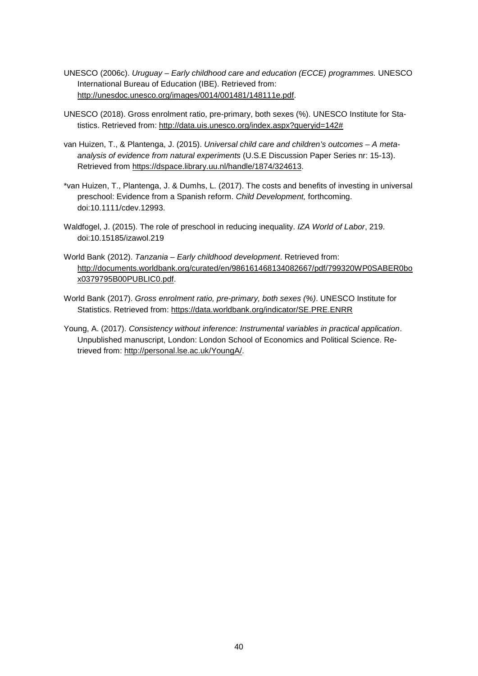- UNESCO (2006c). *Uruguay – Early childhood care and education (ECCE) programmes.* UNESCO International Bureau of Education (IBE). Retrieved from: [http://unesdoc.unesco.org/images/0014/001481/148111e.pdf.](http://unesdoc.unesco.org/images/0014/001481/148111e.pdf)
- UNESCO (2018). Gross enrolment ratio, pre-primary, both sexes (%). UNESCO Institute for Statistics. Retrieved from: [http://data.uis.unesco.org/index.aspx?queryid=142#](http://data.uis.unesco.org/index.aspx?queryid=142)
- van Huizen, T., & Plantenga, J. (2015). *Universal child care and children's outcomes – A metaanalysis of evidence from natural experiments* (U.S.E Discussion Paper Series nr: 15-13). Retrieved from [https://dspace.library.uu.nl/handle/1874/324613.](https://dspace.library.uu.nl/handle/1874/324613)
- \*van Huizen, T., Plantenga, J. & Dumhs, L. (2017). The costs and benefits of investing in universal preschool: Evidence from a Spanish reform. *Child Development,* forthcoming. doi:10.1111/cdev.12993.
- Waldfogel, J. (2015). The role of preschool in reducing inequality. *IZA World of Labor*, 219. doi:10.15185/izawol.219
- World Bank (2012). *Tanzania – Early childhood development*. Retrieved from: [http://documents.worldbank.org/curated/en/986161468134082667/pdf/799320WP0SABER0bo](http://documents.worldbank.org/curated/en/986161468134082667/pdf/799320WP0SABER0box0379795B00PUBLIC0.pdf) [x0379795B00PUBLIC0.pdf.](http://documents.worldbank.org/curated/en/986161468134082667/pdf/799320WP0SABER0box0379795B00PUBLIC0.pdf)
- World Bank (2017). *Gross enrolment ratio, pre-primary, both sexes (%)*. UNESCO Institute for Statistics. Retrieved from:<https://data.worldbank.org/indicator/SE.PRE.ENRR>
- Young, A. (2017). *Consistency without inference: Instrumental variables in practical application*. Unpublished manuscript, London: London School of Economics and Political Science. Retrieved from[: http://personal.lse.ac.uk/YoungA/.](http://personal.lse.ac.uk/YoungA/)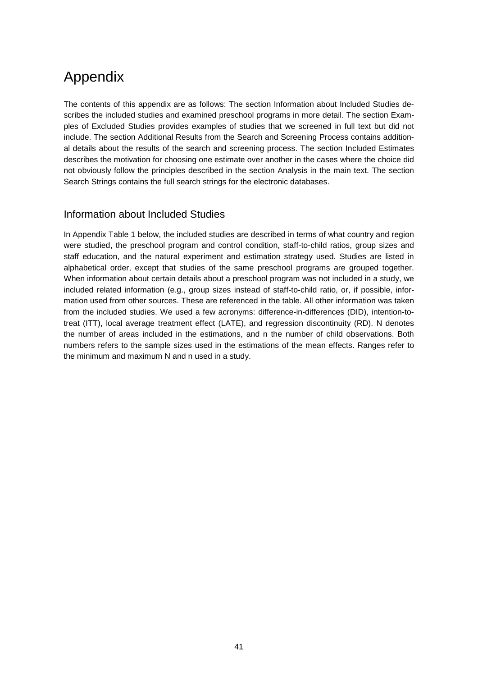### <span id="page-40-0"></span>Appendix

The contents of this appendix are as follows: The section Information about Included Studies describes the included studies and examined preschool programs in more detail. The section Examples of Excluded Studies provides examples of studies that we screened in full text but did not include. The section Additional Results from the Search and Screening Process contains additional details about the results of the search and screening process. The section Included Estimates describes the motivation for choosing one estimate over another in the cases where the choice did not obviously follow the principles described in the section Analysis in the main text. The section Search Strings contains the full search strings for the electronic databases.

#### <span id="page-40-1"></span>Information about Included Studies

In Appendix Table 1 below, the included studies are described in terms of what country and region were studied, the preschool program and control condition, staff-to-child ratios, group sizes and staff education, and the natural experiment and estimation strategy used. Studies are listed in alphabetical order, except that studies of the same preschool programs are grouped together. When information about certain details about a preschool program was not included in a study, we included related information (e.g., group sizes instead of staff-to-child ratio, or, if possible, information used from other sources. These are referenced in the table. All other information was taken from the included studies. We used a few acronyms: difference-in-differences (DID), intention-totreat (ITT), local average treatment effect (LATE), and regression discontinuity (RD). N denotes the number of areas included in the estimations, and n the number of child observations. Both numbers refers to the sample sizes used in the estimations of the mean effects. Ranges refer to the minimum and maximum N and n used in a study.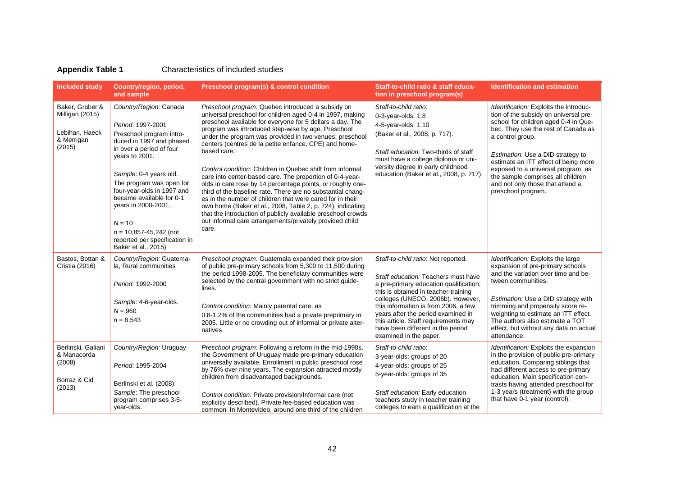#### **Appendix Table 1** Characteristics of included studies

| <b>Included study</b>                                                        | Country/region, period,<br>and sample                                                                                                                                                                                                                                                                                                                                                      | Preschool program(s) & control condition                                                                                                                                                                                                                                                                                                                                                                                                                                                                                                                                                                                                                                                                                                                                                                                                                                                  | Staff-to-child ratio & staff educa-<br>tion in preschool program(s)                                                                                                                                                                                                                                                                                                                    | <b>Identification and estimation</b>                                                                                                                                                                                                                                                                                                                                                                 |
|------------------------------------------------------------------------------|--------------------------------------------------------------------------------------------------------------------------------------------------------------------------------------------------------------------------------------------------------------------------------------------------------------------------------------------------------------------------------------------|-------------------------------------------------------------------------------------------------------------------------------------------------------------------------------------------------------------------------------------------------------------------------------------------------------------------------------------------------------------------------------------------------------------------------------------------------------------------------------------------------------------------------------------------------------------------------------------------------------------------------------------------------------------------------------------------------------------------------------------------------------------------------------------------------------------------------------------------------------------------------------------------|----------------------------------------------------------------------------------------------------------------------------------------------------------------------------------------------------------------------------------------------------------------------------------------------------------------------------------------------------------------------------------------|------------------------------------------------------------------------------------------------------------------------------------------------------------------------------------------------------------------------------------------------------------------------------------------------------------------------------------------------------------------------------------------------------|
| Baker, Gruber &<br>Milligan (2015)<br>Lebihan, Haeck<br>& Merrigan<br>(2015) | Country/Region: Canada<br>Period: 1997-2001<br>Preschool program intro-<br>duced in 1997 and phased<br>in over a period of four<br>years to 2001.<br>Sample: 0-4 years old.<br>The program was open for<br>four-year-olds in 1997 and<br>became available for 0-1<br>years in 2000-2001.<br>$N = 10$<br>$n = 10,857 - 45,242$ (not<br>reported per specification in<br>Baker et al., 2015) | Preschool program: Quebec introduced a subsidy on<br>universal preschool for children aged 0-4 in 1997, making<br>preschool available for everyone for 5 dollars a day. The<br>program was introduced step-wise by age. Preschool<br>under the program was provided in two venues: preschool<br>centers (centres de la petite enfance, CPE) and home-<br>based care.<br>Control condition: Children in Quebec shift from informal<br>care into center-based care. The proportion of 0-4-year-<br>olds in care rose by 14 percentage points, or roughly one-<br>third of the baseline rate. There are no substantial chang-<br>es in the number of children that were cared for in their<br>own home (Baker et al., 2008, Table 2, p. 724), indicating<br>that the introduction of publicly available preschool crowds<br>out informal care arrangements/privately provided child<br>care. | Staff-to-child ratio:<br>0-3-year-olds: 1:8<br>4-5-year-olds: 1:10<br>(Baker et al., 2008, p. 717).<br>Staff education: Two-thirds of staff<br>must have a college diploma or uni-<br>versity degree in early childhood<br>education (Baker et al., 2008, p. 717).                                                                                                                     | Identification: Exploits the introduc-<br>tion of the subsidy on universal pre-<br>school for children aged 0-4 in Que-<br>bec. They use the rest of Canada as<br>a control group.<br>Estimation: Use a DID strategy to<br>estimate an ITT effect of being more<br>exposed to a universal program, as<br>the sample comprises all children<br>and not only those that attend a<br>preschool program. |
| Bastos, Bottan &<br>Cristia (2016)                                           | Country/Region: Guatema-<br>la, Rural communities<br>Period: 1992-2000<br>Sample: 4-6-year-olds.<br>$N = 960$<br>$n = 8,543$                                                                                                                                                                                                                                                               | Preschool program: Guatemala expanded their provision<br>of public pre-primary schools from 5,300 to 11,500 during<br>the period 1998-2005. The beneficiary communities were<br>selected by the central government with no strict guide-<br>lines.<br>Control condition: Mainly parental care, as<br>0.8-1.2% of the communities had a private preprimary in<br>2005. Little or no crowding out of informal or private alter-<br>natives.                                                                                                                                                                                                                                                                                                                                                                                                                                                 | Staff-to-child ratio: Not reported.<br>Staff education: Teachers must have<br>a pre-primary education qualification;<br>this is obtained in teacher-training<br>colleges (UNECO, 2006b). However,<br>this information is from 2006, a few<br>years after the period examined in<br>this article. Staff requirements may<br>have been different in the period<br>examined in the paper. | Identification: Exploits the large<br>expansion of pre-primary schools<br>and the variation over time and be-<br>tween communities.<br>Estimation: Use a DID strategy with<br>trimming and propensity score re-<br>weighting to estimate an ITT effect.<br>The authors also estimate a TOT<br>effect, but without any data on actual<br>attendance.                                                  |
| Berlinski, Galiani<br>& Manacorda<br>(2008)<br>Borraz & Cid<br>(2013)        | Country/Region: Uruguay<br>Period: 1995-2004<br>Berlinski et al. (2008):<br>Sample: The preschool<br>program comprises 3-5-<br>year-olds.                                                                                                                                                                                                                                                  | Preschool program: Following a reform in the mid-1990s,<br>the Government of Uruguay made pre-primary education<br>universally available. Enrollment in public preschool rose<br>by 76% over nine years. The expansion attracted mostly<br>children from disadvantaged backgrounds.<br>Control condition: Private provision/Informal care (not<br>explicitly described). Private fee-based education was<br>common. In Montevideo, around one third of the children                                                                                                                                                                                                                                                                                                                                                                                                                       | Staff-to-child ratio:<br>3-year-olds: groups of 20<br>4-year-olds: groups of 25<br>5-year-olds: groups of 35<br>Staff education: Early education<br>teachers study in teacher training<br>colleges to earn a qualification at the                                                                                                                                                      | Identification: Exploits the expansion<br>in the provision of public pre-primary<br>education. Comparing siblings that<br>had different access to pre-primary<br>education. Main specification con-<br>trasts having attended preschool for<br>1-3 years (treatment) with the group<br>that have 0-1 year (control).                                                                                 |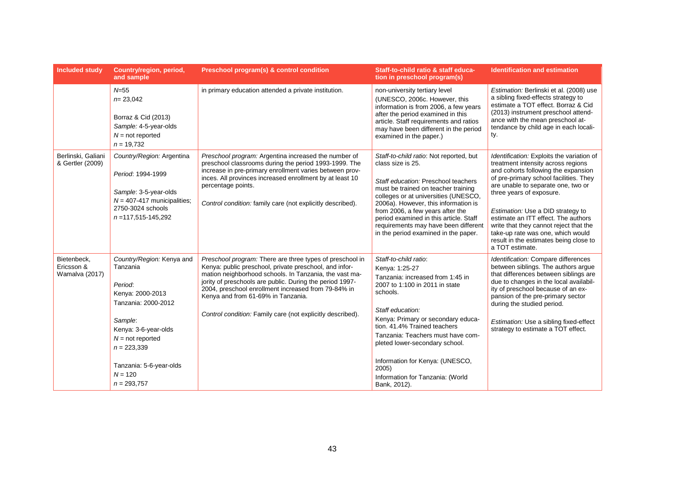| <b>Included study</b>                       | Country/region, period,<br>and sample                                                                                                                                                                                          | Preschool program(s) & control condition                                                                                                                                                                                                                                                                                                                                                            | Staff-to-child ratio & staff educa-<br>tion in preschool program(s)                                                                                                                                                                                                                                                                                                                        | <b>Identification and estimation</b>                                                                                                                                                                                                                                                                                                                                                                                                                       |
|---------------------------------------------|--------------------------------------------------------------------------------------------------------------------------------------------------------------------------------------------------------------------------------|-----------------------------------------------------------------------------------------------------------------------------------------------------------------------------------------------------------------------------------------------------------------------------------------------------------------------------------------------------------------------------------------------------|--------------------------------------------------------------------------------------------------------------------------------------------------------------------------------------------------------------------------------------------------------------------------------------------------------------------------------------------------------------------------------------------|------------------------------------------------------------------------------------------------------------------------------------------------------------------------------------------------------------------------------------------------------------------------------------------------------------------------------------------------------------------------------------------------------------------------------------------------------------|
|                                             | $N = 55$<br>$n = 23,042$<br>Borraz & Cid (2013)<br>Sample: 4-5-year-olds<br>$N = not$ reported<br>$n = 19,732$                                                                                                                 | in primary education attended a private institution.                                                                                                                                                                                                                                                                                                                                                | non-university tertiary level<br>(UNESCO, 2006c. However, this<br>information is from 2006, a few years<br>after the period examined in this<br>article. Staff requirements and ratios<br>may have been different in the period<br>examined in the paper.)                                                                                                                                 | Estimation: Berlinski et al. (2008) use<br>a sibling fixed-effects strategy to<br>estimate a TOT effect. Borraz & Cid<br>(2013) instrument preschool attend-<br>ance with the mean preschool at-<br>tendance by child age in each locali-<br>ty.                                                                                                                                                                                                           |
| Berlinski, Galiani<br>& Gertler (2009)      | Country/Region: Argentina<br>Period: 1994-1999<br>Sample: 3-5-year-olds<br>$N = 407-417$ municipalities;<br>2750-3024 schools<br>$n = 117,515 - 145,292$                                                                       | Preschool program: Argentina increased the number of<br>preschool classrooms during the period 1993-1999. The<br>increase in pre-primary enrollment varies between prov-<br>inces. All provinces increased enrollment by at least 10<br>percentage points.<br>Control condition: family care (not explicitly described).                                                                            | Staff-to-child ratio: Not reported, but<br>class size is 25.<br>Staff education: Preschool teachers<br>must be trained on teacher training<br>colleges or at universities (UNESCO,<br>2006a). However, this information is<br>from 2006, a few years after the<br>period examined in this article. Staff<br>requirements may have been different<br>in the period examined in the paper.   | Identification: Exploits the variation of<br>treatment intensity across regions<br>and cohorts following the expansion<br>of pre-primary school facilities. They<br>are unable to separate one, two or<br>three years of exposure.<br>Estimation: Use a DID strategy to<br>estimate an ITT effect. The authors<br>write that they cannot reject that the<br>take-up rate was one, which would<br>result in the estimates being close to<br>a TOT estimate. |
| Bietenbeck.<br>Ericsson &<br>Wamalva (2017) | Country/Region: Kenya and<br>Tanzania<br>Period:<br>Kenya: 2000-2013<br>Tanzania: 2000-2012<br>Sample:<br>Kenya: 3-6-year-olds<br>$N = not$ reported<br>$n = 223,339$<br>Tanzania: 5-6-year-olds<br>$N = 120$<br>$n = 293,757$ | Preschool program: There are three types of preschool in<br>Kenya: public preschool, private preschool, and infor-<br>mation neighborhood schools. In Tanzania, the vast ma-<br>jority of preschools are public. During the period 1997-<br>2004, preschool enrollment increased from 79-84% in<br>Kenya and from 61-69% in Tanzania.<br>Control condition: Family care (not explicitly described). | Staff-to-child ratio:<br>Kenya: 1:25-27<br>Tanzania: increased from 1:45 in<br>2007 to 1:100 in 2011 in state<br>schools.<br>Staff education:<br>Kenya: Primary or secondary educa-<br>tion, 41.4% Trained teachers<br>Tanzania: Teachers must have com-<br>pleted lower-secondary school.<br>Information for Kenya: (UNESCO,<br>2005)<br>Information for Tanzania: (World<br>Bank, 2012). | Identification: Compare differences<br>between siblings. The authors argue<br>that differences between siblings are<br>due to changes in the local availabil-<br>ity of preschool because of an ex-<br>pansion of the pre-primary sector<br>during the studied period.<br>Estimation: Use a sibling fixed-effect<br>strategy to estimate a TOT effect.                                                                                                     |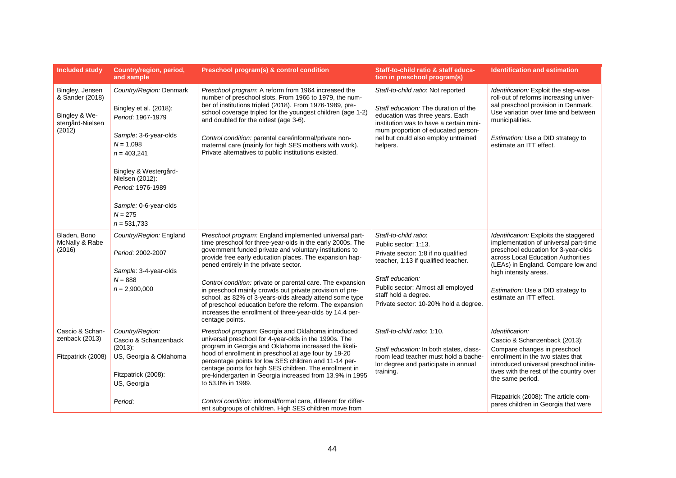| <b>Included study</b>                                                             | Country/region, period,<br>and sample                                                                                                                                                                                                                   | Preschool program(s) & control condition                                                                                                                                                                                                                                                                                                                                                                                                                                                                                                                                                                           | Staff-to-child ratio & staff educa-<br>tion in preschool program(s)                                                                                                                                                                                    | <b>Identification and estimation</b>                                                                                                                                                                                                                                                                          |
|-----------------------------------------------------------------------------------|---------------------------------------------------------------------------------------------------------------------------------------------------------------------------------------------------------------------------------------------------------|--------------------------------------------------------------------------------------------------------------------------------------------------------------------------------------------------------------------------------------------------------------------------------------------------------------------------------------------------------------------------------------------------------------------------------------------------------------------------------------------------------------------------------------------------------------------------------------------------------------------|--------------------------------------------------------------------------------------------------------------------------------------------------------------------------------------------------------------------------------------------------------|---------------------------------------------------------------------------------------------------------------------------------------------------------------------------------------------------------------------------------------------------------------------------------------------------------------|
| Bingley, Jensen<br>& Sander (2018)<br>Bingley & We-<br>stergård-Nielsen<br>(2012) | Country/Region: Denmark<br>Bingley et al. (2018):<br>Period: 1967-1979<br>Sample: 3-6-year-olds<br>$N = 1.098$<br>$n = 403,241$<br>Bingley & Westergård-<br>Nielsen (2012):<br>Period: 1976-1989<br>Sample: 0-6-year-olds<br>$N = 275$<br>$n = 531.733$ | Preschool program: A reform from 1964 increased the<br>number of preschool slots. From 1966 to 1979, the num-<br>ber of institutions tripled (2018). From 1976-1989, pre-<br>school coverage tripled for the youngest children (age 1-2)<br>and doubled for the oldest (age 3-6).<br>Control condition: parental care/informal/private non-<br>maternal care (mainly for high SES mothers with work).<br>Private alternatives to public institutions existed.                                                                                                                                                      | Staff-to-child ratio: Not reported<br>Staff education: The duration of the<br>education was three years. Each<br>institution was to have a certain mini-<br>mum proportion of educated person-<br>nel but could also employ untrained<br>helpers.      | Identification: Exploit the step-wise<br>roll-out of reforms increasing univer-<br>sal preschool provision in Denmark.<br>Use variation over time and between<br>municipalities.<br>Estimation: Use a DID strategy to<br>estimate an ITT effect.                                                              |
| Bladen, Bono<br>McNally & Rabe<br>(2016)                                          | Country/Region: England<br>Period: 2002-2007<br>Sample: 3-4-year-olds<br>$N = 888$<br>$n = 2,900,000$                                                                                                                                                   | Preschool program: England implemented universal part-<br>time preschool for three-year-olds in the early 2000s. The<br>government funded private and voluntary institutions to<br>provide free early education places. The expansion hap-<br>pened entirely in the private sector.<br>Control condition: private or parental care. The expansion<br>in preschool mainly crowds out private provision of pre-<br>school, as 82% of 3-years-olds already attend some type<br>of preschool education before the reform. The expansion<br>increases the enrollment of three-year-olds by 14.4 per-<br>centage points. | Staff-to-child ratio:<br>Public sector: 1:13.<br>Private sector: 1:8 if no qualified<br>teacher, 1:13 if qualified teacher.<br>Staff education:<br>Public sector: Almost all employed<br>staff hold a degree.<br>Private sector: 10-20% hold a degree. | Identification: Exploits the staggered<br>implementation of universal part-time<br>preschool education for 3-year-olds<br>across Local Education Authorities<br>(LEAs) in England. Compare low and<br>high intensity areas.<br>Estimation: Use a DID strategy to<br>estimate an ITT effect.                   |
| Cascio & Schan-<br>zenback (2013)<br>Fitzpatrick (2008)                           | Country/Region:<br>Cascio & Schanzenback<br>$(2013)$ :<br>US, Georgia & Oklahoma<br>Fitzpatrick (2008):<br>US, Georgia<br>Period:                                                                                                                       | Preschool program: Georgia and Oklahoma introduced<br>universal preschool for 4-year-olds in the 1990s. The<br>program in Georgia and Oklahoma increased the likeli-<br>hood of enrollment in preschool at age four by 19-20<br>percentage points for low SES children and 11-14 per-<br>centage points for high SES children. The enrollment in<br>pre-kindergarten in Georgia increased from 13.9% in 1995<br>to 53.0% in 1999.<br>Control condition: informal/formal care, different for differ-<br>ent subgroups of children. High SES children move from                                                      | Staff-to-child ratio: 1:10.<br>Staff education: In both states, class-<br>room lead teacher must hold a bache-<br>lor degree and participate in annual<br>training.                                                                                    | Identification:<br>Cascio & Schanzenback (2013):<br>Compare changes in preschool<br>enrollment in the two states that<br>introduced universal preschool initia-<br>tives with the rest of the country over<br>the same period.<br>Fitzpatrick (2008): The article com-<br>pares children in Georgia that were |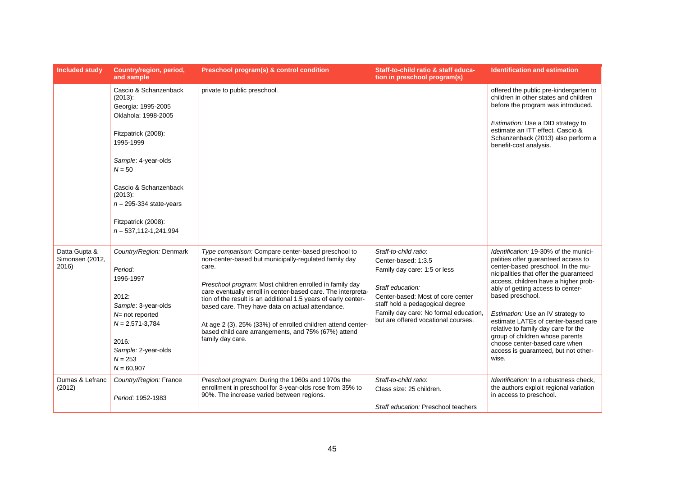| <b>Included study</b>                     | Country/region, period,<br>and sample                                                                                                                                                                                                                                           | Preschool program(s) & control condition                                                                                                                                                                                                                                                                                                                                                                                                                                                                        | Staff-to-child ratio & staff educa-<br>tion in preschool program(s)                                                                                                                                                                                      | <b>Identification and estimation</b>                                                                                                                                                                                                                                                                                                                                                                                                                                                                  |
|-------------------------------------------|---------------------------------------------------------------------------------------------------------------------------------------------------------------------------------------------------------------------------------------------------------------------------------|-----------------------------------------------------------------------------------------------------------------------------------------------------------------------------------------------------------------------------------------------------------------------------------------------------------------------------------------------------------------------------------------------------------------------------------------------------------------------------------------------------------------|----------------------------------------------------------------------------------------------------------------------------------------------------------------------------------------------------------------------------------------------------------|-------------------------------------------------------------------------------------------------------------------------------------------------------------------------------------------------------------------------------------------------------------------------------------------------------------------------------------------------------------------------------------------------------------------------------------------------------------------------------------------------------|
|                                           | Cascio & Schanzenback<br>(2013):<br>Georgia: 1995-2005<br>Oklahola: 1998-2005<br>Fitzpatrick (2008):<br>1995-1999<br>Sample: 4-year-olds<br>$N = 50$<br>Cascio & Schanzenback<br>$(2013)$ :<br>$n = 295-334$ state-years<br>Fitzpatrick (2008):<br>$n = 537, 112 - 1, 241, 994$ | private to public preschool.                                                                                                                                                                                                                                                                                                                                                                                                                                                                                    |                                                                                                                                                                                                                                                          | offered the public pre-kindergarten to<br>children in other states and children<br>before the program was introduced.<br>Estimation: Use a DID strategy to<br>estimate an ITT effect. Cascio &<br>Schanzenback (2013) also perform a<br>benefit-cost analysis.                                                                                                                                                                                                                                        |
| Datta Gupta &<br>Simonsen (2012,<br>2016) | Country/Region: Denmark<br>Period:<br>1996-1997<br>2012:<br>Sample: 3-year-olds<br>$N=$ not reported<br>$N = 2,571-3,784$<br>2016.<br>Sample: 2-year-olds<br>$N = 253$<br>$N = 60,907$                                                                                          | Type comparison: Compare center-based preschool to<br>non-center-based but municipally-regulated family day<br>care.<br>Preschool program: Most children enrolled in family day<br>care eventually enroll in center-based care. The interpreta-<br>tion of the result is an additional 1.5 years of early center-<br>based care. They have data on actual attendance.<br>At age 2 (3), 25% (33%) of enrolled children attend center-<br>based child care arrangements, and 75% (67%) attend<br>family day care. | Staff-to-child ratio:<br>Center-based: 1:3.5<br>Family day care: 1:5 or less<br>Staff education:<br>Center-based: Most of core center<br>staff hold a pedagogical degree<br>Family day care: No formal education,<br>but are offered vocational courses. | Identification: 19-30% of the munici-<br>palities offer guaranteed access to<br>center-based preschool. In the mu-<br>nicipalities that offer the guaranteed<br>access, children have a higher prob-<br>ably of getting access to center-<br>based preschool.<br>Estimation: Use an IV strategy to<br>estimate LATEs of center-based care<br>relative to family day care for the<br>group of children whose parents<br>choose center-based care when<br>access is guaranteed, but not other-<br>wise. |
| Dumas & Lefranc<br>(2012)                 | Country/Region: France<br>Period: 1952-1983                                                                                                                                                                                                                                     | Preschool program: During the 1960s and 1970s the<br>enrollment in preschool for 3-year-olds rose from 35% to<br>90%. The increase varied between regions.                                                                                                                                                                                                                                                                                                                                                      | Staff-to-child ratio:<br>Class size: 25 children.<br>Staff education: Preschool teachers                                                                                                                                                                 | Identification: In a robustness check.<br>the authors exploit regional variation<br>in access to preschool.                                                                                                                                                                                                                                                                                                                                                                                           |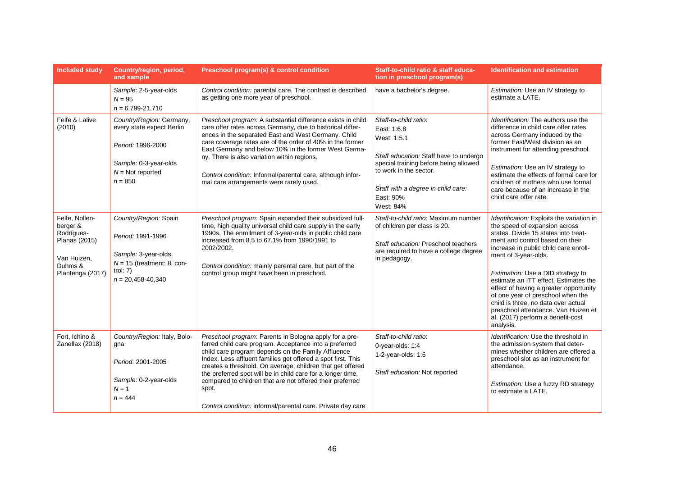| <b>Included study</b>                                                                                   | Country/region, period,<br>and sample                                                                                                     | Preschool program(s) & control condition                                                                                                                                                                                                                                                                                                                                                                                                                                                                 | Staff-to-child ratio & staff educa-<br>tion in preschool program(s)                                                                                                                                                              | <b>Identification and estimation</b>                                                                                                                                                                                                                                                                                                                                                                                                                                                                                |
|---------------------------------------------------------------------------------------------------------|-------------------------------------------------------------------------------------------------------------------------------------------|----------------------------------------------------------------------------------------------------------------------------------------------------------------------------------------------------------------------------------------------------------------------------------------------------------------------------------------------------------------------------------------------------------------------------------------------------------------------------------------------------------|----------------------------------------------------------------------------------------------------------------------------------------------------------------------------------------------------------------------------------|---------------------------------------------------------------------------------------------------------------------------------------------------------------------------------------------------------------------------------------------------------------------------------------------------------------------------------------------------------------------------------------------------------------------------------------------------------------------------------------------------------------------|
|                                                                                                         | Sample: 2-5-year-olds<br>$N = 95$<br>$n = 6,799-21,710$                                                                                   | Control condition: parental care. The contrast is described<br>as getting one more year of preschool.                                                                                                                                                                                                                                                                                                                                                                                                    | have a bachelor's degree.                                                                                                                                                                                                        | Estimation: Use an IV strategy to<br>estimate a LATE.                                                                                                                                                                                                                                                                                                                                                                                                                                                               |
| Felfe & Lalive<br>(2010)                                                                                | Country/Region: Germany,<br>every state expect Berlin<br>Period: 1996-2000<br>Sample: 0-3-year-olds<br>$N = Not$ reported<br>$n = 850$    | Preschool program: A substantial difference exists in child<br>care offer rates across Germany, due to historical differ-<br>ences in the separated East and West Germany. Child<br>care coverage rates are of the order of 40% in the former<br>East Germany and below 10% in the former West Germa-<br>ny. There is also variation within regions.<br>Control condition: Informal/parental care, although infor-<br>mal care arrangements were rarely used.                                            | Staff-to-child ratio:<br>East: 1:6.8<br>West: 1:5.1<br>Staff education: Staff have to undergo<br>special training before being allowed<br>to work in the sector.<br>Staff with a degree in child care:<br>East: 90%<br>West: 84% | Identification: The authors use the<br>difference in child care offer rates<br>across Germany induced by the<br>former East/West division as an<br>instrument for attending preschool.<br>Estimation: Use an IV strategy to<br>estimate the effects of formal care for<br>children of mothers who use formal<br>care because of an increase in the<br>child care offer rate.                                                                                                                                        |
| Felfe, Nollen-<br>berger &<br>Rodrígues-<br>Planas (2015)<br>Van Huizen,<br>Duhms &<br>Plantenga (2017) | Country/Region: Spain<br>Period: 1991-1996<br>Sample: 3-year-olds.<br>$N = 15$ (treatment: 8, con-<br>trol: $7)$<br>$n = 20,458 - 40,340$ | Preschool program: Spain expanded their subsidized full-<br>time, high quality universal child care supply in the early<br>1990s. The enrollment of 3-year-olds in public child care<br>increased from 8.5 to 67.1% from 1990/1991 to<br>2002/2002.<br>Control condition: mainly parental care, but part of the<br>control group might have been in preschool.                                                                                                                                           | Staff-to-child ratio: Maximum number<br>of children per class is 20.<br>Staff education: Preschool teachers<br>are required to have a college degree<br>in pedagogy.                                                             | Identification: Exploits the variation in<br>the speed of expansion across<br>states. Divide 15 states into treat-<br>ment and control based on their<br>increase in public child care enroll-<br>ment of 3-year-olds.<br>Estimation: Use a DID strategy to<br>estimate an ITT effect. Estimates the<br>effect of having a greater opportunity<br>of one year of preschool when the<br>child is three, no data over actual<br>preschool attendance. Van Huizen et<br>al. (2017) perform a benefit-cost<br>analysis. |
| Fort, Ichino &<br>Zanellax (2018)                                                                       | Country/Region: Italy, Bolo-<br>gna<br>Period: 2001-2005<br>Sample: 0-2-year-olds<br>$N = 1$<br>$n = 444$                                 | Preschool program: Parents in Bologna apply for a pre-<br>ferred child care program. Acceptance into a preferred<br>child care program depends on the Family Affluence<br>Index. Less affluent families get offered a spot first. This<br>creates a threshold. On average, children that get offered<br>the preferred spot will be in child care for a longer time,<br>compared to children that are not offered their preferred<br>spot.<br>Control condition: informal/parental care. Private day care | Staff-to-child ratio:<br>0-year-olds: 1:4<br>1-2-year-olds: 1:6<br>Staff education: Not reported                                                                                                                                 | Identification: Use the threshold in<br>the admission system that deter-<br>mines whether children are offered a<br>preschool slot as an instrument for<br>attendance.<br>Estimation: Use a fuzzy RD strategy<br>to estimate a LATE.                                                                                                                                                                                                                                                                                |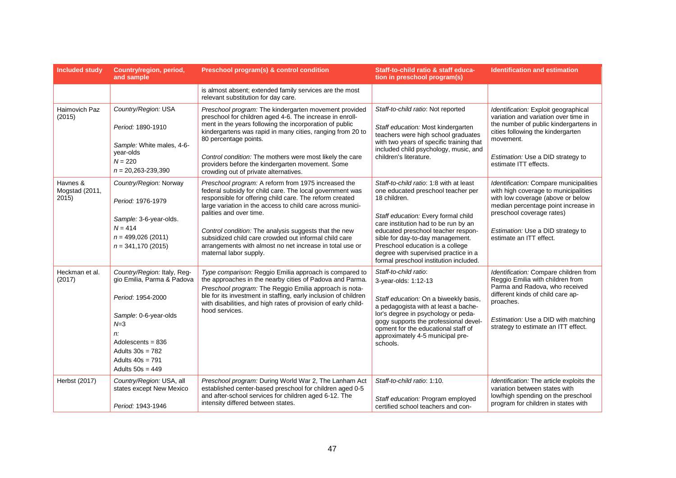| <b>Included study</b>              | Country/region, period,<br>and sample                                                                                                                                                                             | Preschool program(s) & control condition                                                                                                                                                                                                                                                                                                                                                                                                                                    | Staff-to-child ratio & staff educa-<br>tion in preschool program(s)                                                                                                                                                                                                                                                                                                          | <b>Identification and estimation</b>                                                                                                                                                                                                                    |
|------------------------------------|-------------------------------------------------------------------------------------------------------------------------------------------------------------------------------------------------------------------|-----------------------------------------------------------------------------------------------------------------------------------------------------------------------------------------------------------------------------------------------------------------------------------------------------------------------------------------------------------------------------------------------------------------------------------------------------------------------------|------------------------------------------------------------------------------------------------------------------------------------------------------------------------------------------------------------------------------------------------------------------------------------------------------------------------------------------------------------------------------|---------------------------------------------------------------------------------------------------------------------------------------------------------------------------------------------------------------------------------------------------------|
|                                    |                                                                                                                                                                                                                   | is almost absent; extended family services are the most<br>relevant substitution for day care.                                                                                                                                                                                                                                                                                                                                                                              |                                                                                                                                                                                                                                                                                                                                                                              |                                                                                                                                                                                                                                                         |
| Haimovich Paz<br>(2015)            | Country/Region: USA<br>Period: 1890-1910<br>Sample: White males, 4-6-<br>year-olds<br>$N = 220$<br>$n = 20,263 - 239,390$                                                                                         | Preschool program: The kindergarten movement provided<br>preschool for children aged 4-6. The increase in enroll-<br>ment in the years following the incorporation of public<br>kindergartens was rapid in many cities, ranging from 20 to<br>80 percentage points.<br>Control condition: The mothers were most likely the care<br>providers before the kindergarten movement. Some<br>crowding out of private alternatives.                                                | Staff-to-child ratio: Not reported<br>Staff education: Most kindergarten<br>teachers were high school graduates<br>with two years of specific training that<br>included child psychology, music, and<br>children's literature.                                                                                                                                               | Identification: Exploit geographical<br>variation and variation over time in<br>the number of public kindergartens in<br>cities following the kindergarten<br>movement.<br>Estimation: Use a DID strategy to<br>estimate ITT effects.                   |
| Havnes &<br>Mogstad (2011,<br>2015 | Country/Region: Norway<br>Period: 1976-1979<br>Sample: 3-6-year-olds.<br>$N = 414$<br>$n = 499,026(2011)$<br>$n = 341,170(2015)$                                                                                  | Preschool program: A reform from 1975 increased the<br>federal subsidy for child care. The local government was<br>responsible for offering child care. The reform created<br>large variation in the access to child care across munici-<br>palities and over time.<br>Control condition: The analysis suggests that the new<br>subsidized child care crowded out informal child care<br>arrangements with almost no net increase in total use or<br>maternal labor supply. | Staff-to-child ratio: 1:8 with at least<br>one educated preschool teacher per<br>18 children.<br>Staff education: Every formal child<br>care institution had to be run by an<br>educated preschool teacher respon-<br>sible for day-to-day management.<br>Preschool education is a college<br>degree with supervised practice in a<br>formal preschool institution included. | Identification: Compare municipalities<br>with high coverage to municipalities<br>with low coverage (above or below<br>median percentage point increase in<br>preschool coverage rates)<br>Estimation: Use a DID strategy to<br>estimate an ITT effect. |
| Heckman et al.<br>(2017)           | Country/Region: Italy, Reg-<br>gio Emilia, Parma & Padova<br>Period: 1954-2000<br>Sample: 0-6-year-olds<br>$N = 3$<br>n:<br>Adolescents = $836$<br>Adults $30s = 782$<br>Adults $40s = 791$<br>Adults $50s = 449$ | Type comparison: Reggio Emilia approach is compared to<br>the approaches in the nearby cities of Padova and Parma.<br>Preschool program: The Reggio Emilia approach is nota-<br>ble for its investment in staffing, early inclusion of children<br>with disabilities, and high rates of provision of early child-<br>hood services.                                                                                                                                         | Staff-to-child ratio:<br>3-year-olds: 1:12-13<br>Staff education: On a biweekly basis,<br>a pedagogista with at least a bache-<br>lor's degree in psychology or peda-<br>gogy supports the professional devel-<br>opment for the educational staff of<br>approximately 4-5 municipal pre-<br>schools.                                                                        | Identification: Compare children from<br>Reggio Emilia with children from<br>Parma and Radova, who received<br>different kinds of child care ap-<br>proaches.<br>Estimation: Use a DID with matching<br>strategy to estimate an ITT effect.             |
| Herbst (2017)                      | Country/Region: USA, all<br>states except New Mexico<br>Period: 1943-1946                                                                                                                                         | Preschool program: During World War 2, The Lanham Act<br>established center-based preschool for children aged 0-5<br>and after-school services for children aged 6-12. The<br>intensity differed between states.                                                                                                                                                                                                                                                            | Staff-to-child ratio: 1:10.<br>Staff education: Program employed<br>certified school teachers and con-                                                                                                                                                                                                                                                                       | Identification: The article exploits the<br>variation between states with<br>low/high spending on the preschool<br>program for children in states with                                                                                                  |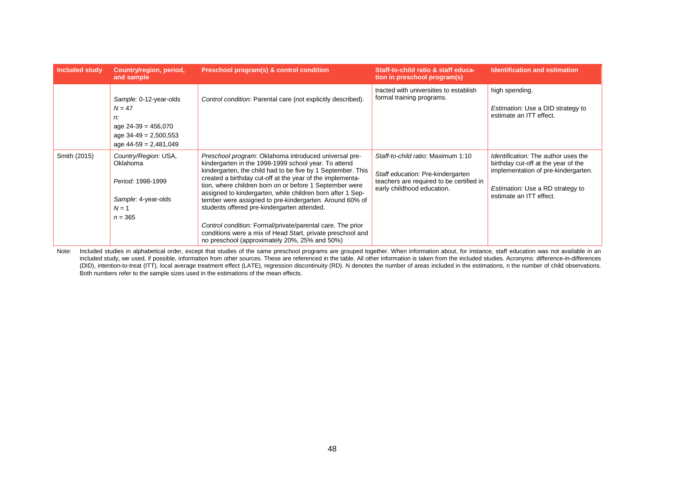| <b>Included study</b> | Country/region, period,<br>and sample                                                                                   | Preschool program(s) & control condition                                                                                                                                                                                                                                                                                                                                                                                                                                                                                                                                                                                                                  | Staff-to-child ratio & staff educa-<br>tion in preschool program(s)                                                                               | <b>Identification and estimation</b>                                                                                                                                                           |
|-----------------------|-------------------------------------------------------------------------------------------------------------------------|-----------------------------------------------------------------------------------------------------------------------------------------------------------------------------------------------------------------------------------------------------------------------------------------------------------------------------------------------------------------------------------------------------------------------------------------------------------------------------------------------------------------------------------------------------------------------------------------------------------------------------------------------------------|---------------------------------------------------------------------------------------------------------------------------------------------------|------------------------------------------------------------------------------------------------------------------------------------------------------------------------------------------------|
|                       | Sample: 0-12-year-olds<br>$N = 47$<br>n:<br>age $24-39 = 456,070$<br>age $34-49 = 2,500,553$<br>age $44-59 = 2,481,049$ | Control condition: Parental care (not explicitly described).                                                                                                                                                                                                                                                                                                                                                                                                                                                                                                                                                                                              | tracted with universities to establish<br>formal training programs.                                                                               | high spending.<br>Estimation: Use a DID strategy to<br>estimate an ITT effect.                                                                                                                 |
| Smith (2015)          | Country/Region: USA,<br>Oklahoma<br>Period: 1998-1999<br>Sample: 4-year-olds<br>$N=1$<br>$n = 365$                      | Preschool program: Oklahoma introduced universal pre-<br>kindergarten in the 1998-1999 school year. To attend<br>kindergarten, the child had to be five by 1 September. This<br>created a birthday cut-off at the year of the implementa-<br>tion, where children born on or before 1 September were<br>assigned to kindergarten, while children born after 1 Sep-<br>tember were assigned to pre-kindergarten. Around 60% of<br>students offered pre-kindergarten attended.<br>Control condition: Formal/private/parental care. The prior<br>conditions were a mix of Head Start, private preschool and<br>no preschool (approximately 20%, 25% and 50%) | Staff-to-child ratio: Maximum 1:10<br>Staff education: Pre-kindergarten<br>teachers are required to be certified in<br>early childhood education. | <i>Identification:</i> The author uses the<br>birthday cut-off at the year of the<br>implementation of pre-kindergarten.<br><i>Estimation:</i> Use a RD strategy to<br>estimate an ITT effect. |

Note: Included studies in alphabetical order, except that studies of the same preschool programs are grouped together. When information about, for instance, staff education was not available in an included study, we used, if possible, information from other sources. These are referenced in the table. All other information is taken from the included studies. Acronyms: difference-in-differences (DID), intention-to-treat (ITT), local average treatment effect (LATE), regression discontinuity (RD). N denotes the number of areas included in the estimations, n the number of child observations. Both numbers refer to the sample sizes used in the estimations of the mean effects.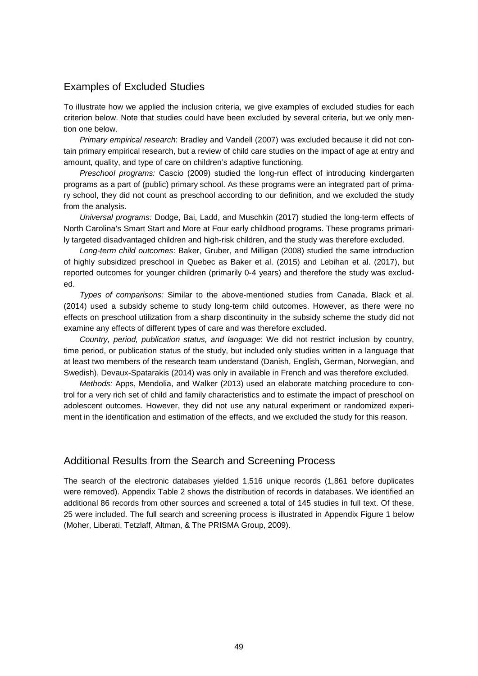#### <span id="page-48-0"></span>Examples of Excluded Studies

To illustrate how we applied the inclusion criteria, we give examples of excluded studies for each criterion below. Note that studies could have been excluded by several criteria, but we only mention one below.

*Primary empirical research*: Bradley and Vandell (2007) was excluded because it did not contain primary empirical research, but a review of child care studies on the impact of age at entry and amount, quality, and type of care on children's adaptive functioning.

*Preschool programs:* Cascio (2009) studied the long-run effect of introducing kindergarten programs as a part of (public) primary school. As these programs were an integrated part of primary school, they did not count as preschool according to our definition, and we excluded the study from the analysis.

*Universal programs:* Dodge, Bai, Ladd, and Muschkin (2017) studied the long-term effects of North Carolina's Smart Start and More at Four early childhood programs. These programs primarily targeted disadvantaged children and high-risk children, and the study was therefore excluded.

*Long-term child outcomes*: Baker, Gruber, and Milligan (2008) studied the same introduction of highly subsidized preschool in Quebec as Baker et al. (2015) and Lebihan et al. (2017), but reported outcomes for younger children (primarily 0-4 years) and therefore the study was excluded.

*Types of comparisons:* Similar to the above-mentioned studies from Canada, Black et al. (2014) used a subsidy scheme to study long-term child outcomes. However, as there were no effects on preschool utilization from a sharp discontinuity in the subsidy scheme the study did not examine any effects of different types of care and was therefore excluded.

*Country, period, publication status, and language*: We did not restrict inclusion by country, time period, or publication status of the study, but included only studies written in a language that at least two members of the research team understand (Danish, English, German, Norwegian, and Swedish). Devaux-Spatarakis (2014) was only in available in French and was therefore excluded.

*Methods:* Apps, Mendolia, and Walker (2013) used an elaborate matching procedure to control for a very rich set of child and family characteristics and to estimate the impact of preschool on adolescent outcomes. However, they did not use any natural experiment or randomized experiment in the identification and estimation of the effects, and we excluded the study for this reason.

#### <span id="page-48-1"></span>Additional Results from the Search and Screening Process

The search of the electronic databases yielded 1,516 unique records (1,861 before duplicates were removed). Appendix Table 2 shows the distribution of records in databases. We identified an additional 86 records from other sources and screened a total of 145 studies in full text. Of these, 25 were included. The full search and screening process is illustrated in Appendix Figure 1 below (Moher, Liberati, Tetzlaff, Altman, & The PRISMA Group, 2009).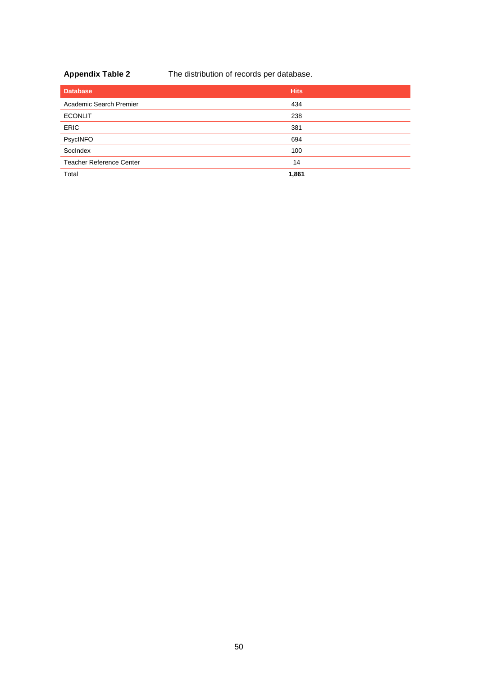**Appendix Table 2** The distribution of records per database.

| <b>Database</b>                 | <b>Hits</b> |
|---------------------------------|-------------|
| Academic Search Premier         | 434         |
| <b>ECONLIT</b>                  | 238         |
| <b>ERIC</b>                     | 381         |
| PsycINFO                        | 694         |
| SocIndex                        | 100         |
| <b>Teacher Reference Center</b> | 14          |
| Total                           | 1,861       |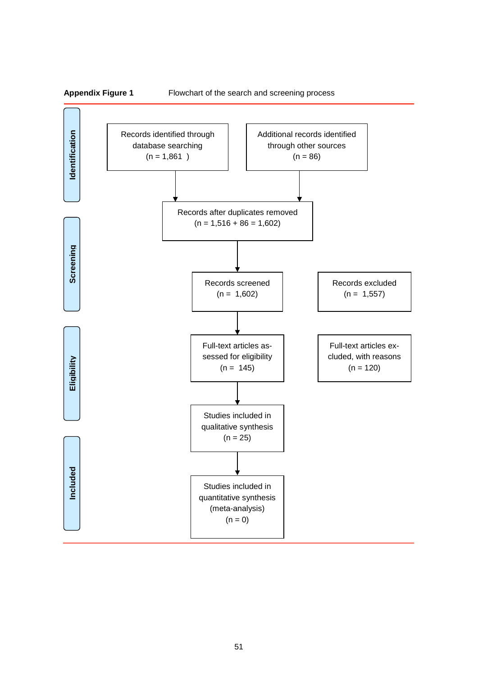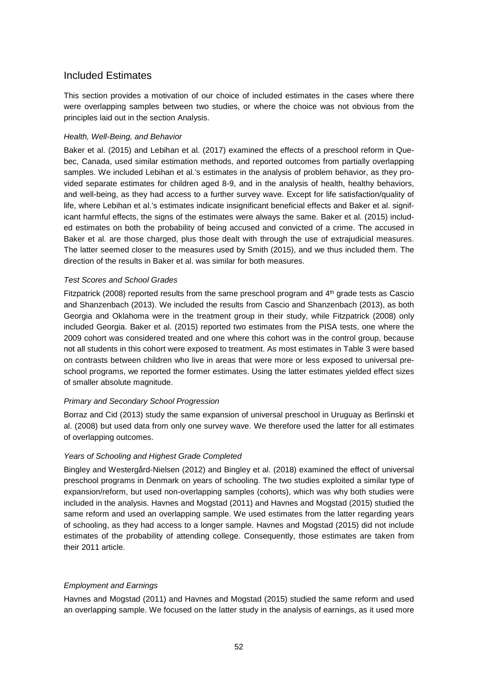#### <span id="page-51-0"></span>Included Estimates

This section provides a motivation of our choice of included estimates in the cases where there were overlapping samples between two studies, or where the choice was not obvious from the principles laid out in the section Analysis.

#### *Health, Well-Being, and Behavior*

Baker et al. (2015) and Lebihan et al. (2017) examined the effects of a preschool reform in Quebec, Canada, used similar estimation methods, and reported outcomes from partially overlapping samples. We included Lebihan et al.'s estimates in the analysis of problem behavior, as they provided separate estimates for children aged 8-9, and in the analysis of health, healthy behaviors, and well-being, as they had access to a further survey wave. Except for life satisfaction/quality of life, where Lebihan et al.'s estimates indicate insignificant beneficial effects and Baker et al. significant harmful effects, the signs of the estimates were always the same. Baker et al. (2015) included estimates on both the probability of being accused and convicted of a crime. The accused in Baker et al. are those charged, plus those dealt with through the use of extrajudicial measures. The latter seemed closer to the measures used by Smith (2015), and we thus included them. The direction of the results in Baker et al. was similar for both measures.

#### *Test Scores and School Grades*

Fitzpatrick (2008) reported results from the same preschool program and 4<sup>th</sup> grade tests as Cascio and Shanzenbach (2013). We included the results from Cascio and Shanzenbach (2013), as both Georgia and Oklahoma were in the treatment group in their study, while Fitzpatrick (2008) only included Georgia. Baker et al. (2015) reported two estimates from the PISA tests, one where the 2009 cohort was considered treated and one where this cohort was in the control group, because not all students in this cohort were exposed to treatment. As most estimates in Table 3 were based on contrasts between children who live in areas that were more or less exposed to universal preschool programs, we reported the former estimates. Using the latter estimates yielded effect sizes of smaller absolute magnitude.

#### *Primary and Secondary School Progression*

Borraz and Cid (2013) study the same expansion of universal preschool in Uruguay as Berlinski et al. (2008) but used data from only one survey wave. We therefore used the latter for all estimates of overlapping outcomes.

#### *Years of Schooling and Highest Grade Completed*

Bingley and Westergård-Nielsen (2012) and Bingley et al. (2018) examined the effect of universal preschool programs in Denmark on years of schooling. The two studies exploited a similar type of expansion/reform, but used non-overlapping samples (cohorts), which was why both studies were included in the analysis. Havnes and Mogstad (2011) and Havnes and Mogstad (2015) studied the same reform and used an overlapping sample. We used estimates from the latter regarding years of schooling, as they had access to a longer sample. Havnes and Mogstad (2015) did not include estimates of the probability of attending college. Consequently, those estimates are taken from their 2011 article.

#### *Employment and Earnings*

Havnes and Mogstad (2011) and Havnes and Mogstad (2015) studied the same reform and used an overlapping sample. We focused on the latter study in the analysis of earnings, as it used more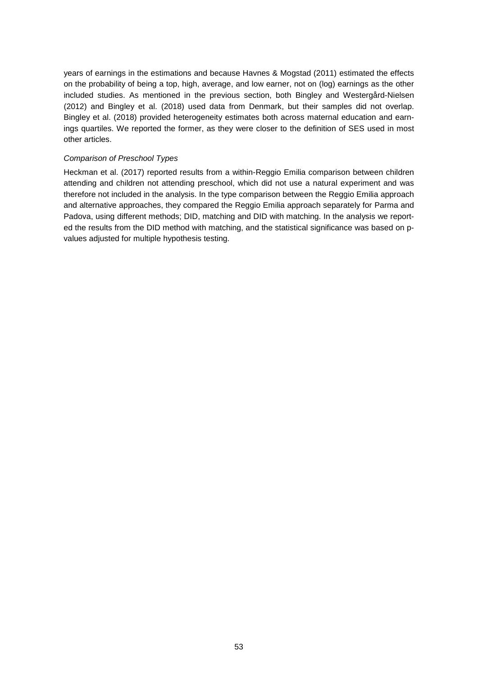years of earnings in the estimations and because Havnes & Mogstad (2011) estimated the effects on the probability of being a top, high, average, and low earner, not on (log) earnings as the other included studies. As mentioned in the previous section, both Bingley and Westergård-Nielsen (2012) and Bingley et al. (2018) used data from Denmark, but their samples did not overlap. Bingley et al. (2018) provided heterogeneity estimates both across maternal education and earnings quartiles. We reported the former, as they were closer to the definition of SES used in most other articles.

#### *Comparison of Preschool Types*

Heckman et al. (2017) reported results from a within-Reggio Emilia comparison between children attending and children not attending preschool, which did not use a natural experiment and was therefore not included in the analysis. In the type comparison between the Reggio Emilia approach and alternative approaches, they compared the Reggio Emilia approach separately for Parma and Padova, using different methods; DID, matching and DID with matching. In the analysis we reported the results from the DID method with matching, and the statistical significance was based on pvalues adjusted for multiple hypothesis testing.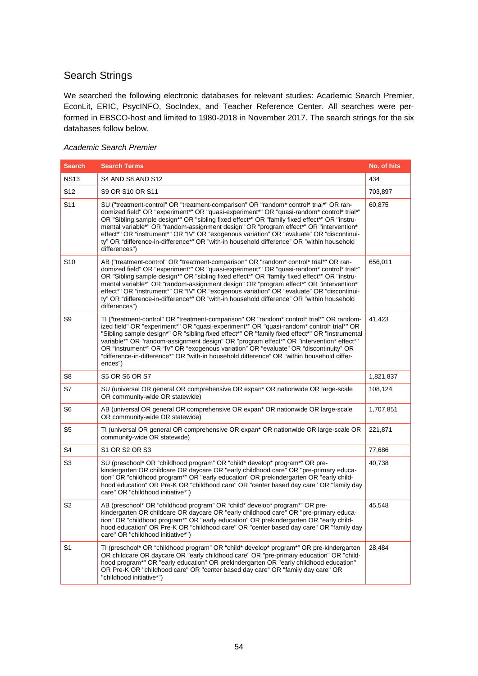#### <span id="page-53-0"></span>Search Strings

We searched the following electronic databases for relevant studies: Academic Search Premier, EconLit, ERIC, PsycINFO, SocIndex, and Teacher Reference Center. All searches were performed in EBSCO-host and limited to 1980-2018 in November 2017. The search strings for the six databases follow below.

#### *Academic Search Premier*

| <b>Search</b>   | <b>Search Terms</b>                                                                                                                                                                                                                                                                                                                                                                                                                                                                                                                                                                      | No. of hits |
|-----------------|------------------------------------------------------------------------------------------------------------------------------------------------------------------------------------------------------------------------------------------------------------------------------------------------------------------------------------------------------------------------------------------------------------------------------------------------------------------------------------------------------------------------------------------------------------------------------------------|-------------|
| <b>NS13</b>     | S4 AND S8 AND S12                                                                                                                                                                                                                                                                                                                                                                                                                                                                                                                                                                        | 434         |
| S <sub>12</sub> | S9 OR S10 OR S11                                                                                                                                                                                                                                                                                                                                                                                                                                                                                                                                                                         | 703,897     |
| S <sub>11</sub> | SU ("treatment-control" OR "treatment-comparison" OR "random* control* trial*" OR ran-<br>domized field" OR "experiment*" OR "quasi-experiment*" OR "quasi-random* control* trial*"<br>OR "Sibling sample design*" OR "sibling fixed effect*" OR "family fixed effect*" OR "instru-<br>mental variable*" OR "random-assignment design" OR "program effect*" OR "intervention*<br>effect*" OR "instrument*" OR "IV" OR "exogenous variation" OR "evaluate" OR "discontinui-<br>ty" OR "difference-in-difference*" OR "with-in household difference" OR "within household<br>differences") | 60,875      |
| S <sub>10</sub> | AB ("treatment-control" OR "treatment-comparison" OR "random* control* trial*" OR ran-<br>domized field" OR "experiment*" OR "quasi-experiment*" OR "quasi-random* control* trial*"<br>OR "Sibling sample design*" OR "sibling fixed effect*" OR "family fixed effect*" OR "instru-<br>mental variable*" OR "random-assignment design" OR "program effect*" OR "intervention*<br>effect*" OR "instrument*" OR "IV" OR "exogenous variation" OR "evaluate" OR "discontinui-<br>ty" OR "difference-in-difference*" OR "with-in household difference" OR "within household<br>differences") | 656,011     |
| S9              | TI ("treatment-control" OR "treatment-comparison" OR "random* control* trial*" OR random-<br>ized field" OR "experiment*" OR "quasi-experiment*" OR "quasi-random* control* trial*" OR<br>"Sibling sample design*" OR "sibling fixed effect*" OR "family fixed effect*" OR "instrumental<br>variable*" OR "random-assignment design" OR "program effect*" OR "intervention* effect*"<br>OR "instrument*" OR "IV" OR "exogenous variation" OR "evaluate" OR "discontinuity" OR<br>"difference-in-difference*" OR "with-in household difference" OR "within household differ-<br>ences")   | 41,423      |
| S8              | S5 OR S6 OR S7                                                                                                                                                                                                                                                                                                                                                                                                                                                                                                                                                                           | 1,821,837   |
| S7              | SU (universal OR general OR comprehensive OR expan* OR nationwide OR large-scale<br>OR community-wide OR statewide)                                                                                                                                                                                                                                                                                                                                                                                                                                                                      | 108,124     |
| S6              | AB (universal OR general OR comprehensive OR expan* OR nationwide OR large-scale<br>OR community-wide OR statewide)                                                                                                                                                                                                                                                                                                                                                                                                                                                                      | 1,707,851   |
| S <sub>5</sub>  | TI (universal OR general OR comprehensive OR expan* OR nationwide OR large-scale OR<br>community-wide OR statewide)                                                                                                                                                                                                                                                                                                                                                                                                                                                                      | 221,871     |
| S4              | S1 OR S2 OR S3                                                                                                                                                                                                                                                                                                                                                                                                                                                                                                                                                                           | 77,686      |
| S3              | SU (preschool* OR "childhood program" OR "child* develop* program*" OR pre-<br>kindergarten OR childcare OR daycare OR "early childhood care" OR "pre-primary educa-<br>tion" OR "childhood program*" OR "early education" OR prekindergarten OR "early child-<br>hood education" OR Pre-K OR "childhood care" OR "center based day care" OR "family day<br>care" OR "childhood initiative*")                                                                                                                                                                                            | 40,738      |
| S2              | AB (preschool* OR "childhood program" OR "child* develop* program*" OR pre-<br>kindergarten OR childcare OR daycare OR "early childhood care" OR "pre-primary educa-<br>tion" OR "childhood program*" OR "early education" OR prekindergarten OR "early child-<br>hood education" OR Pre-K OR "childhood care" OR "center based day care" OR "family day<br>care" OR "childhood initiative*")                                                                                                                                                                                            | 45,548      |
| S <sub>1</sub>  | TI (preschool* OR "childhood program" OR "child* develop* program*" OR pre-kindergarten<br>OR childcare OR daycare OR "early childhood care" OR "pre-primary education" OR "child-<br>hood program*" OR "early education" OR prekindergarten OR "early childhood education"<br>OR Pre-K OR "childhood care" OR "center based day care" OR "family day care" OR<br>"childhood initiative*")                                                                                                                                                                                               | 28,484      |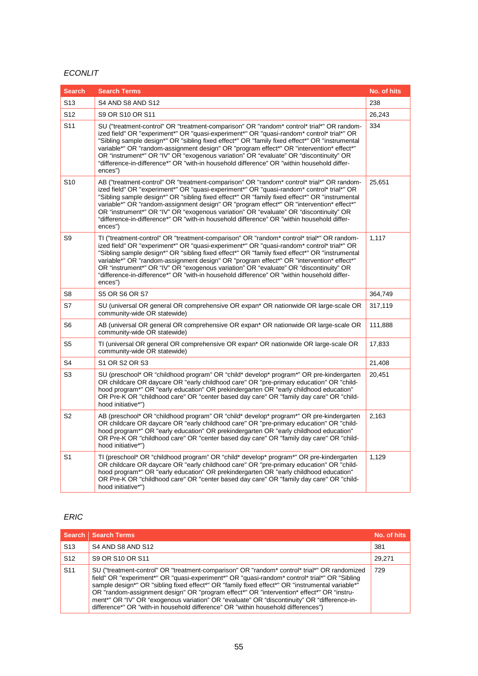#### *ECONLIT*

| <b>Search</b>   | <b>Search Terms</b>                                                                                                                                                                                                                                                                                                                                                                                                                                                                                                                                                                    | No. of hits |
|-----------------|----------------------------------------------------------------------------------------------------------------------------------------------------------------------------------------------------------------------------------------------------------------------------------------------------------------------------------------------------------------------------------------------------------------------------------------------------------------------------------------------------------------------------------------------------------------------------------------|-------------|
| S <sub>13</sub> | S4 AND S8 AND S12                                                                                                                                                                                                                                                                                                                                                                                                                                                                                                                                                                      | 238         |
| S <sub>12</sub> | S9 OR S10 OR S11                                                                                                                                                                                                                                                                                                                                                                                                                                                                                                                                                                       | 26,243      |
| S <sub>11</sub> | SU ("treatment-control" OR "treatment-comparison" OR "random* control* trial*" OR random-<br>ized field" OR "experiment*" OR "quasi-experiment*" OR "quasi-random* control* trial*" OR<br>"Sibling sample design*" OR "sibling fixed effect*" OR "family fixed effect*" OR "instrumental<br>variable*" OR "random-assignment design" OR "program effect*" OR "intervention* effect*"<br>OR "instrument*" OR "IV" OR "exogenous variation" OR "evaluate" OR "discontinuity" OR<br>"difference-in-difference*" OR "with-in household difference" OR "within household differ-<br>ences") | 334         |
| S <sub>10</sub> | AB ("treatment-control" OR "treatment-comparison" OR "random* control* trial*" OR random-<br>ized field" OR "experiment*" OR "quasi-experiment*" OR "quasi-random* control* trial*" OR<br>"Sibling sample design*" OR "sibling fixed effect*" OR "family fixed effect*" OR "instrumental<br>variable*" OR "random-assignment design" OR "program effect*" OR "intervention* effect*"<br>OR "instrument*" OR "IV" OR "exogenous variation" OR "evaluate" OR "discontinuity" OR<br>"difference-in-difference*" OR "with-in household difference" OR "within household differ-<br>ences") | 25,651      |
| S9              | TI ("treatment-control" OR "treatment-comparison" OR "random* control* trial*" OR random-<br>ized field" OR "experiment*" OR "quasi-experiment*" OR "quasi-random* control* trial*" OR<br>"Sibling sample design*" OR "sibling fixed effect*" OR "family fixed effect*" OR "instrumental<br>variable*" OR "random-assignment design" OR "program effect*" OR "intervention* effect*"<br>OR "instrument*" OR "IV" OR "exogenous variation" OR "evaluate" OR "discontinuity" OR<br>"difference-in-difference*" OR "with-in household difference" OR "within household differ-<br>ences") | 1,117       |
| S8              | <b>S5 OR S6 OR S7</b>                                                                                                                                                                                                                                                                                                                                                                                                                                                                                                                                                                  | 364,749     |
| S7              | SU (universal OR general OR comprehensive OR expan* OR nationwide OR large-scale OR<br>community-wide OR statewide)                                                                                                                                                                                                                                                                                                                                                                                                                                                                    | 317,119     |
| S6              | AB (universal OR general OR comprehensive OR expan* OR nationwide OR large-scale OR<br>community-wide OR statewide)                                                                                                                                                                                                                                                                                                                                                                                                                                                                    | 111,888     |
| S5              | TI (universal OR general OR comprehensive OR expan* OR nationwide OR large-scale OR<br>community-wide OR statewide)                                                                                                                                                                                                                                                                                                                                                                                                                                                                    | 17,833      |
| S4              | S1 OR S2 OR S3                                                                                                                                                                                                                                                                                                                                                                                                                                                                                                                                                                         | 21,408      |
| S3              | SU (preschool* OR "childhood program" OR "child* develop* program*" OR pre-kindergarten<br>OR childcare OR daycare OR "early childhood care" OR "pre-primary education" OR "child-<br>hood program*" OR "early education" OR prekindergarten OR "early childhood education"<br>OR Pre-K OR "childhood care" OR "center based day care" OR "family day care" OR "child-<br>hood initiative*")                                                                                                                                                                                           | 20,451      |
| S2              | AB (preschool* OR "childhood program" OR "child* develop* program*" OR pre-kindergarten<br>OR childcare OR daycare OR "early childhood care" OR "pre-primary education" OR "child-<br>hood program*" OR "early education" OR prekindergarten OR "early childhood education"<br>OR Pre-K OR "childhood care" OR "center based day care" OR "family day care" OR "child-<br>hood initiative*")                                                                                                                                                                                           | 2,163       |
| S1              | TI (preschool* OR "childhood program" OR "child* develop* program*" OR pre-kindergarten<br>OR childcare OR daycare OR "early childhood care" OR "pre-primary education" OR "child-<br>hood program*" OR "early education" OR prekindergarten OR "early childhood education"<br>OR Pre-K OR "childhood care" OR "center based day care" OR "family day care" OR "child-<br>hood initiative*")                                                                                                                                                                                           | 1,129       |

#### *ERIC*

|                 | Search Search Terms                                                                                                                                                                                                                                                                                                                                                                                                                                                                                                                                                                | No. of hits |
|-----------------|------------------------------------------------------------------------------------------------------------------------------------------------------------------------------------------------------------------------------------------------------------------------------------------------------------------------------------------------------------------------------------------------------------------------------------------------------------------------------------------------------------------------------------------------------------------------------------|-------------|
| S <sub>13</sub> | S4 AND S8 AND S12                                                                                                                                                                                                                                                                                                                                                                                                                                                                                                                                                                  | 381         |
| S <sub>12</sub> | S9 OR S10 OR S11                                                                                                                                                                                                                                                                                                                                                                                                                                                                                                                                                                   | 29.271      |
| S <sub>11</sub> | SU ("treatment-control" OR "treatment-comparison" OR "random* control* trial*" OR randomized<br>field" OR "experiment*" OR "quasi-experiment*" OR "quasi-random* control* trial*" OR "Sibling<br>sample design*" OR "sibling fixed effect*" OR "family fixed effect*" OR "instrumental variable*"<br>OR "random-assignment design" OR "program effect*" OR "intervention* effect*" OR "instru-<br>ment*" OR "IV" OR "exogenous variation" OR "evaluate" OR "discontinuity" OR "difference-in-<br>difference*" OR "with-in household difference" OR "within household differences") | 729         |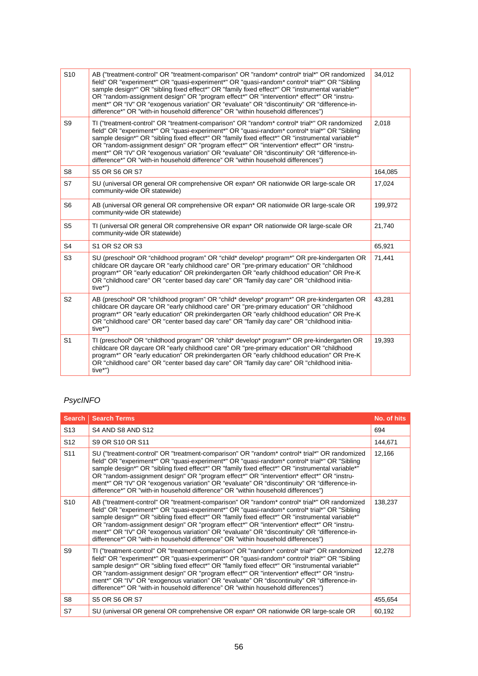| S <sub>10</sub> | AB ("treatment-control" OR "treatment-comparison" OR "random* control* trial*" OR randomized<br>field" OR "experiment*" OR "quasi-experiment*" OR "quasi-random* control* trial*" OR "Sibling<br>sample design*" OR "sibling fixed effect*" OR "family fixed effect*" OR "instrumental variable*"<br>OR "random-assignment design" OR "program effect*" OR "intervention* effect*" OR "instru-<br>ment*" OR "IV" OR "exogenous variation" OR "evaluate" OR "discontinuity" OR "difference-in-<br>difference*" OR "with-in household difference" OR "within household differences") | 34,012  |
|-----------------|------------------------------------------------------------------------------------------------------------------------------------------------------------------------------------------------------------------------------------------------------------------------------------------------------------------------------------------------------------------------------------------------------------------------------------------------------------------------------------------------------------------------------------------------------------------------------------|---------|
| S9              | TI ("treatment-control" OR "treatment-comparison" OR "random* control* trial*" OR randomized<br>field" OR "experiment*" OR "quasi-experiment*" OR "quasi-random* control* trial*" OR "Sibling<br>sample design*" OR "sibling fixed effect*" OR "family fixed effect*" OR "instrumental variable*"<br>OR "random-assignment design" OR "program effect*" OR "intervention* effect*" OR "instru-<br>ment*" OR "IV" OR "exogenous variation" OR "evaluate" OR "discontinuity" OR "difference-in-<br>difference*" OR "with-in household difference" OR "within household differences") | 2,018   |
| S8              | <b>S5 OR S6 OR S7</b>                                                                                                                                                                                                                                                                                                                                                                                                                                                                                                                                                              | 164,085 |
| S7              | SU (universal OR general OR comprehensive OR expan* OR nationwide OR large-scale OR<br>community-wide OR statewide)                                                                                                                                                                                                                                                                                                                                                                                                                                                                | 17,024  |
| S <sub>6</sub>  | AB (universal OR general OR comprehensive OR expan* OR nationwide OR large-scale OR<br>community-wide OR statewide)                                                                                                                                                                                                                                                                                                                                                                                                                                                                | 199,972 |
| S <sub>5</sub>  | TI (universal OR general OR comprehensive OR expan* OR nationwide OR large-scale OR<br>community-wide OR statewide)                                                                                                                                                                                                                                                                                                                                                                                                                                                                | 21,740  |
| S <sub>4</sub>  | S1 OR S2 OR S3                                                                                                                                                                                                                                                                                                                                                                                                                                                                                                                                                                     | 65,921  |
| S <sub>3</sub>  | SU (preschool* OR "childhood program" OR "child* develop* program*" OR pre-kindergarten OR<br>childcare OR daycare OR "early childhood care" OR "pre-primary education" OR "childhood<br>program*" OR "early education" OR prekindergarten OR "early childhood education" OR Pre-K<br>OR "childhood care" OR "center based day care" OR "family day care" OR "childhood initia-<br>$tive^{**}$                                                                                                                                                                                     | 71,441  |
| S <sub>2</sub>  | AB (preschool* OR "childhood program" OR "child* develop* program*" OR pre-kindergarten OR<br>childcare OR daycare OR "early childhood care" OR "pre-primary education" OR "childhood<br>program*" OR "early education" OR prekindergarten OR "early childhood education" OR Pre-K<br>OR "childhood care" OR "center based day care" OR "family day care" OR "childhood initia-<br>$tive^{**}$                                                                                                                                                                                     | 43,281  |
| S <sub>1</sub>  | TI (preschool* OR "childhood program" OR "child* develop* program*" OR pre-kindergarten OR<br>childcare OR daycare OR "early childhood care" OR "pre-primary education" OR "childhood<br>program*" OR "early education" OR prekindergarten OR "early childhood education" OR Pre-K<br>OR "childhood care" OR "center based day care" OR "family day care" OR "childhood initia-<br>tive*")                                                                                                                                                                                         | 19,393  |

#### *PsycINFO*

|                 | <b>Search Search Terms</b>                                                                                                                                                                                                                                                                                                                                                                                                                                                                                                                                                         | No. of hits |
|-----------------|------------------------------------------------------------------------------------------------------------------------------------------------------------------------------------------------------------------------------------------------------------------------------------------------------------------------------------------------------------------------------------------------------------------------------------------------------------------------------------------------------------------------------------------------------------------------------------|-------------|
| S <sub>13</sub> | S4 AND S8 AND S12                                                                                                                                                                                                                                                                                                                                                                                                                                                                                                                                                                  | 694         |
| S <sub>12</sub> | S9 OR S10 OR S11                                                                                                                                                                                                                                                                                                                                                                                                                                                                                                                                                                   | 144,671     |
| S <sub>11</sub> | SU ("treatment-control" OR "treatment-comparison" OR "random* control* trial*" OR randomized<br>field" OR "experiment*" OR "quasi-experiment*" OR "quasi-random* control* trial*" OR "Sibling<br>sample design*" OR "sibling fixed effect*" OR "family fixed effect*" OR "instrumental variable*"<br>OR "random-assignment design" OR "program effect*" OR "intervention* effect*" OR "instru-<br>ment*" OR "IV" OR "exogenous variation" OR "evaluate" OR "discontinuity" OR "difference-in-<br>difference*" OR "with-in household difference" OR "within household differences") | 12,166      |
| S <sub>10</sub> | AB ("treatment-control" OR "treatment-comparison" OR "random* control* trial*" OR randomized<br>field" OR "experiment*" OR "quasi-experiment*" OR "quasi-random* control* trial*" OR "Sibling<br>sample design*" OR "sibling fixed effect*" OR "family fixed effect*" OR "instrumental variable*"<br>OR "random-assignment design" OR "program effect*" OR "intervention* effect*" OR "instru-<br>ment*" OR "IV" OR "exogenous variation" OR "evaluate" OR "discontinuity" OR "difference-in-<br>difference*" OR "with-in household difference" OR "within household differences") | 138,237     |
| S9              | TI ("treatment-control" OR "treatment-comparison" OR "random* control* trial*" OR randomized<br>field" OR "experiment*" OR "quasi-experiment*" OR "quasi-random* control* trial*" OR "Sibling<br>sample design*" OR "sibling fixed effect*" OR "family fixed effect*" OR "instrumental variable*"<br>OR "random-assignment design" OR "program effect*" OR "intervention* effect*" OR "instru-<br>ment*" OR "IV" OR "exogenous variation" OR "evaluate" OR "discontinuity" OR "difference-in-<br>difference*" OR "with-in household difference" OR "within household differences") | 12,278      |
| S8              | <b>S5 OR S6 OR S7</b>                                                                                                                                                                                                                                                                                                                                                                                                                                                                                                                                                              | 455,654     |
| S7              | SU (universal OR general OR comprehensive OR expan* OR nationwide OR large-scale OR                                                                                                                                                                                                                                                                                                                                                                                                                                                                                                | 60,192      |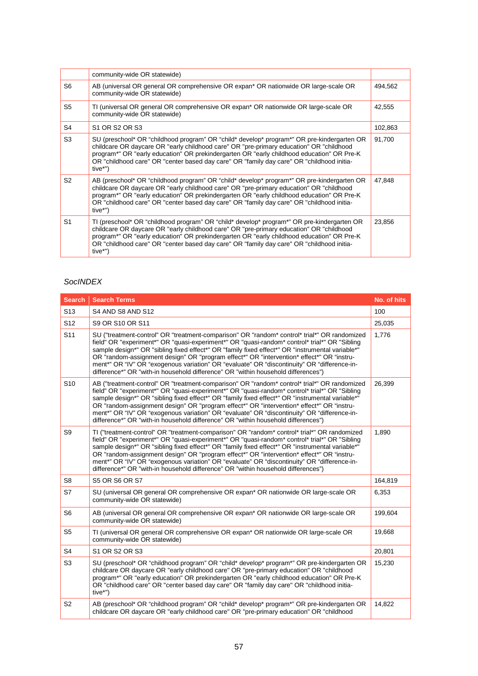|                | community-wide OR statewide)                                                                                                                                                                                                                                                                                                                                                               |         |
|----------------|--------------------------------------------------------------------------------------------------------------------------------------------------------------------------------------------------------------------------------------------------------------------------------------------------------------------------------------------------------------------------------------------|---------|
| S <sub>6</sub> | AB (universal OR general OR comprehensive OR expan* OR nationwide OR large-scale OR<br>community-wide OR statewide)                                                                                                                                                                                                                                                                        | 494,562 |
| S <sub>5</sub> | TI (universal OR general OR comprehensive OR expan* OR nationwide OR large-scale OR<br>community-wide OR statewide)                                                                                                                                                                                                                                                                        | 42,555  |
| S4             | S <sub>1</sub> OR S <sub>2</sub> OR S <sub>3</sub>                                                                                                                                                                                                                                                                                                                                         | 102,863 |
| S <sub>3</sub> | SU (preschool* OR "childhood program" OR "child* develop* program*" OR pre-kindergarten OR<br>childcare OR daycare OR "early childhood care" OR "pre-primary education" OR "childhood<br>program*" OR "early education" OR prekindergarten OR "early childhood education" OR Pre-K<br>OR "childhood care" OR "center based day care" OR "family day care" OR "childhood initia-<br>tive*") | 91,700  |
| S <sub>2</sub> | AB (preschool* OR "childhood program" OR "child* develop* program*" OR pre-kindergarten OR<br>childcare OR daycare OR "early childhood care" OR "pre-primary education" OR "childhood<br>program*" OR "early education" OR prekindergarten OR "early childhood education" OR Pre-K<br>OR "childhood care" OR "center based day care" OR "family day care" OR "childhood initia-<br>tive*") | 47,848  |
| S <sub>1</sub> | TI (preschool* OR "childhood program" OR "child* develop* program*" OR pre-kindergarten OR<br>childcare OR daycare OR "early childhood care" OR "pre-primary education" OR "childhood<br>program*" OR "early education" OR prekindergarten OR "early childhood education" OR Pre-K<br>OR "childhood care" OR "center based day care" OR "family day care" OR "childhood initia-<br>tive*") | 23,856  |

#### *SocINDEX*

| <b>Search</b>   | <b>Search Terms</b>                                                                                                                                                                                                                                                                                                                                                                                                                                                                                                                                                                | No. of hits |
|-----------------|------------------------------------------------------------------------------------------------------------------------------------------------------------------------------------------------------------------------------------------------------------------------------------------------------------------------------------------------------------------------------------------------------------------------------------------------------------------------------------------------------------------------------------------------------------------------------------|-------------|
| S <sub>13</sub> | S4 AND S8 AND S12                                                                                                                                                                                                                                                                                                                                                                                                                                                                                                                                                                  | 100         |
| S <sub>12</sub> | S9 OR S10 OR S11                                                                                                                                                                                                                                                                                                                                                                                                                                                                                                                                                                   | 25,035      |
| S <sub>11</sub> | SU ("treatment-control" OR "treatment-comparison" OR "random* control* trial*" OR randomized<br>field" OR "experiment*" OR "quasi-experiment*" OR "quasi-random* control* trial*" OR "Sibling<br>sample design*" OR "sibling fixed effect*" OR "family fixed effect*" OR "instrumental variable*"<br>OR "random-assignment design" OR "program effect*" OR "intervention* effect*" OR "instru-<br>ment*" OR "IV" OR "exogenous variation" OR "evaluate" OR "discontinuity" OR "difference-in-<br>difference*" OR "with-in household difference" OR "within household differences") | 1,776       |
| S <sub>10</sub> | AB ("treatment-control" OR "treatment-comparison" OR "random* control* trial*" OR randomized<br>field" OR "experiment*" OR "quasi-experiment*" OR "quasi-random* control* trial*" OR "Sibling<br>sample design*" OR "sibling fixed effect*" OR "family fixed effect*" OR "instrumental variable*"<br>OR "random-assignment design" OR "program effect*" OR "intervention* effect*" OR "instru-<br>ment*" OR "IV" OR "exogenous variation" OR "evaluate" OR "discontinuity" OR "difference-in-<br>difference*" OR "with-in household difference" OR "within household differences") | 26,399      |
| S <sub>9</sub>  | TI ("treatment-control" OR "treatment-comparison" OR "random* control* trial*" OR randomized<br>field" OR "experiment*" OR "quasi-experiment*" OR "quasi-random* control* trial*" OR "Sibling<br>sample design*" OR "sibling fixed effect*" OR "family fixed effect*" OR "instrumental variable*"<br>OR "random-assignment design" OR "program effect*" OR "intervention* effect*" OR "instru-<br>ment*" OR "IV" OR "exogenous variation" OR "evaluate" OR "discontinuity" OR "difference-in-<br>difference*" OR "with-in household difference" OR "within household differences") | 1,890       |
| S8              | S5 OR S6 OR S7                                                                                                                                                                                                                                                                                                                                                                                                                                                                                                                                                                     | 164,819     |
| S7              | SU (universal OR general OR comprehensive OR expan* OR nationwide OR large-scale OR<br>community-wide OR statewide)                                                                                                                                                                                                                                                                                                                                                                                                                                                                | 6,353       |
| S <sub>6</sub>  | AB (universal OR general OR comprehensive OR expan* OR nationwide OR large-scale OR<br>community-wide OR statewide)                                                                                                                                                                                                                                                                                                                                                                                                                                                                | 199,604     |
| S <sub>5</sub>  | TI (universal OR general OR comprehensive OR expan* OR nationwide OR large-scale OR<br>community-wide OR statewide)                                                                                                                                                                                                                                                                                                                                                                                                                                                                | 19,668      |
| S <sub>4</sub>  | S1 OR S2 OR S3                                                                                                                                                                                                                                                                                                                                                                                                                                                                                                                                                                     | 20,801      |
| S <sub>3</sub>  | SU (preschool* OR "childhood program" OR "child* develop* program*" OR pre-kindergarten OR<br>childcare OR daycare OR "early childhood care" OR "pre-primary education" OR "childhood<br>program*" OR "early education" OR prekindergarten OR "early childhood education" OR Pre-K<br>OR "childhood care" OR "center based day care" OR "family day care" OR "childhood initia-<br>tive*")                                                                                                                                                                                         | 15,230      |
| S <sub>2</sub>  | AB (preschool* OR "childhood program" OR "child* develop* program*" OR pre-kindergarten OR<br>childcare OR daycare OR "early childhood care" OR "pre-primary education" OR "childhood                                                                                                                                                                                                                                                                                                                                                                                              | 14,822      |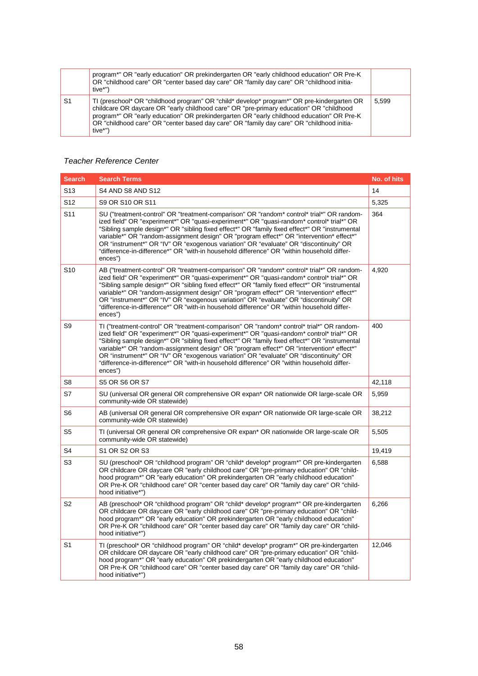|                | program*" OR "early education" OR prekindergarten OR "early childhood education" OR Pre-K<br>OR "childhood care" OR "center based day care" OR "family day care" OR "childhood initia-<br>tive*")                                                                                                                                                                                          |       |
|----------------|--------------------------------------------------------------------------------------------------------------------------------------------------------------------------------------------------------------------------------------------------------------------------------------------------------------------------------------------------------------------------------------------|-------|
| S <sub>1</sub> | TI (preschool* OR "childhood program" OR "child* develop* program*" OR pre-kindergarten OR<br>childcare OR daycare OR "early childhood care" OR "pre-primary education" OR "childhood<br>program*" OR "early education" OR prekindergarten OR "early childhood education" OR Pre-K<br>OR "childhood care" OR "center based day care" OR "family day care" OR "childhood initia-<br>tive*") | 5.599 |

#### *Teacher Reference Center*

| <b>Search</b>   | <b>Search Terms</b>                                                                                                                                                                                                                                                                                                                                                                                                                                                                                                                                                                    | No. of hits |
|-----------------|----------------------------------------------------------------------------------------------------------------------------------------------------------------------------------------------------------------------------------------------------------------------------------------------------------------------------------------------------------------------------------------------------------------------------------------------------------------------------------------------------------------------------------------------------------------------------------------|-------------|
| S <sub>13</sub> | S4 AND S8 AND S12                                                                                                                                                                                                                                                                                                                                                                                                                                                                                                                                                                      | 14          |
| S12             | S9 OR S10 OR S11                                                                                                                                                                                                                                                                                                                                                                                                                                                                                                                                                                       | 5,325       |
| S11             | SU ("treatment-control" OR "treatment-comparison" OR "random* control* trial*" OR random-<br>ized field" OR "experiment*" OR "quasi-experiment*" OR "quasi-random* control* trial*" OR<br>"Sibling sample design*" OR "sibling fixed effect*" OR "family fixed effect*" OR "instrumental<br>variable*" OR "random-assignment design" OR "program effect*" OR "intervention* effect*"<br>OR "instrument*" OR "IV" OR "exogenous variation" OR "evaluate" OR "discontinuity" OR<br>"difference-in-difference*" OR "with-in household difference" OR "within household differ-<br>ences") | 364         |
| S <sub>10</sub> | AB ("treatment-control" OR "treatment-comparison" OR "random* control* trial*" OR random-<br>ized field" OR "experiment*" OR "quasi-experiment*" OR "quasi-random* control* trial*" OR<br>"Sibling sample design*" OR "sibling fixed effect*" OR "family fixed effect*" OR "instrumental<br>variable*" OR "random-assignment design" OR "program effect*" OR "intervention* effect*"<br>OR "instrument*" OR "IV" OR "exogenous variation" OR "evaluate" OR "discontinuity" OR<br>"difference-in-difference*" OR "with-in household difference" OR "within household differ-<br>ences") | 4,920       |
| S9              | TI ("treatment-control" OR "treatment-comparison" OR "random* control* trial*" OR random-<br>ized field" OR "experiment*" OR "quasi-experiment*" OR "quasi-random* control* trial*" OR<br>"Sibling sample design*" OR "sibling fixed effect*" OR "family fixed effect*" OR "instrumental<br>variable*" OR "random-assignment design" OR "program effect*" OR "intervention* effect*"<br>OR "instrument*" OR "IV" OR "exogenous variation" OR "evaluate" OR "discontinuity" OR<br>"difference-in-difference*" OR "with-in household difference" OR "within household differ-<br>ences") | 400         |
| S8              | <b>S5 OR S6 OR S7</b>                                                                                                                                                                                                                                                                                                                                                                                                                                                                                                                                                                  | 42,118      |
| S7              | SU (universal OR general OR comprehensive OR expan* OR nationwide OR large-scale OR<br>community-wide OR statewide)                                                                                                                                                                                                                                                                                                                                                                                                                                                                    | 5,959       |
| S6              | AB (universal OR general OR comprehensive OR expan* OR nationwide OR large-scale OR<br>community-wide OR statewide)                                                                                                                                                                                                                                                                                                                                                                                                                                                                    | 38,212      |
| S5              | TI (universal OR general OR comprehensive OR expan* OR nationwide OR large-scale OR<br>community-wide OR statewide)                                                                                                                                                                                                                                                                                                                                                                                                                                                                    | 5,505       |
| S4              | S1 OR S2 OR S3                                                                                                                                                                                                                                                                                                                                                                                                                                                                                                                                                                         | 19,419      |
| S3              | SU (preschool* OR "childhood program" OR "child* develop* program*" OR pre-kindergarten<br>OR childcare OR daycare OR "early childhood care" OR "pre-primary education" OR "child-<br>hood program*" OR "early education" OR prekindergarten OR "early childhood education"<br>OR Pre-K OR "childhood care" OR "center based day care" OR "family day care" OR "child-<br>hood initiative*")                                                                                                                                                                                           | 6,588       |
| S <sub>2</sub>  | AB (preschool* OR "childhood program" OR "child* develop* program*" OR pre-kindergarten<br>OR childcare OR daycare OR "early childhood care" OR "pre-primary education" OR "child-<br>hood program*" OR "early education" OR prekindergarten OR "early childhood education"<br>OR Pre-K OR "childhood care" OR "center based day care" OR "family day care" OR "child-<br>hood initiative*")                                                                                                                                                                                           | 6,266       |
| S1              | TI (preschool* OR "childhood program" OR "child* develop* program*" OR pre-kindergarten<br>OR childcare OR daycare OR "early childhood care" OR "pre-primary education" OR "child-<br>hood program*" OR "early education" OR prekindergarten OR "early childhood education"<br>OR Pre-K OR "childhood care" OR "center based day care" OR "family day care" OR "child-<br>hood initiative*")                                                                                                                                                                                           | 12,046      |